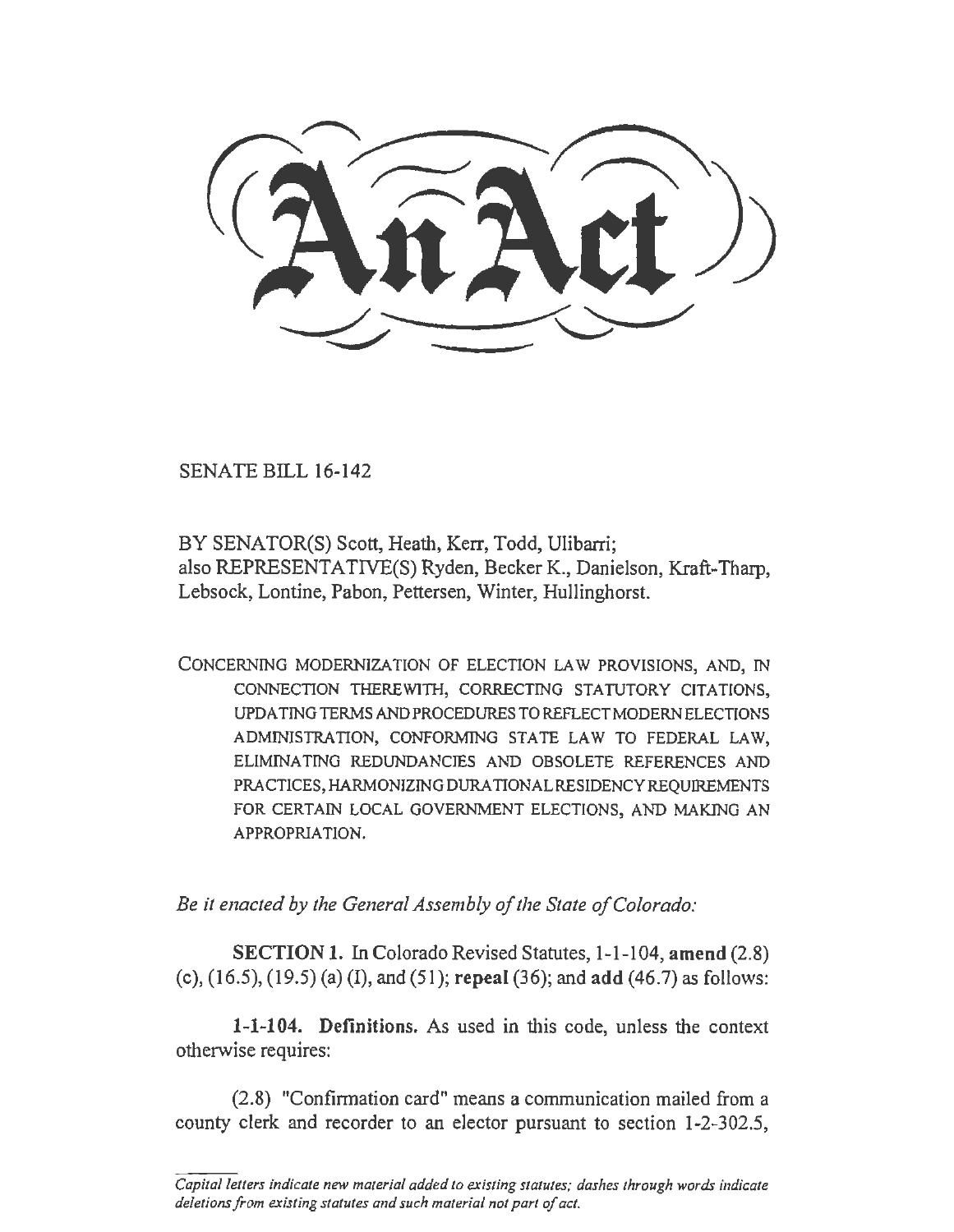SENATE BILL 16-142

BY SENATOR(S) Scott, Heath, Kerr, Todd, Ulibarri; also REPRESENTATIVE(S) Ryden, Becker K., Danielson, Kraft-Tharp, Lebsock, Lontine, Pabon, Pettersen, Winter, Hullinghorst.

CONCERNING MODERNJZA TION OF ELECTION LAW PROVISIONS, AND, IN CONNECTION THEREWlTII, CORRECTING STATUTORY CITATIONS, UPDATING TERMS AND PROCEDURES TO REFLECT MODERN ELECTIONS ADMINISTRATION, CONFORMING STATE LAW TO FEDERAL LAW, ELIMINATING REDUNDANCIES AND OBSOLETE REFERENCES AND PRACTICES, HARMONIZING DURATIONAL RESIDENCY REQUIREMENTS FOR CERTAIN LOCAL GOVERNMENT ELECTIONS, AND MAKING AN APPROPRIATION.

*Be it enacted by the General Assembly of the State of Colorado:* 

SECTION 1. In Colorado Revised Statutes, 1-1-104, amend (2.8) (c), (16.5), (19.5) (a) (I), and (51); repeal (36); and add (46.7) as follows:

1-1-104. Definitions. As used in this code, unless the context otherwise requires:

(2.8) "Confirmation card" means a communication mailed from a county clerk and recorder to an elector pursuant to section 1-2-302.5,

*Capital letters indicate new material added to existing statutes; dashes through words indicate deletions from existing statutes and such material not part of act.*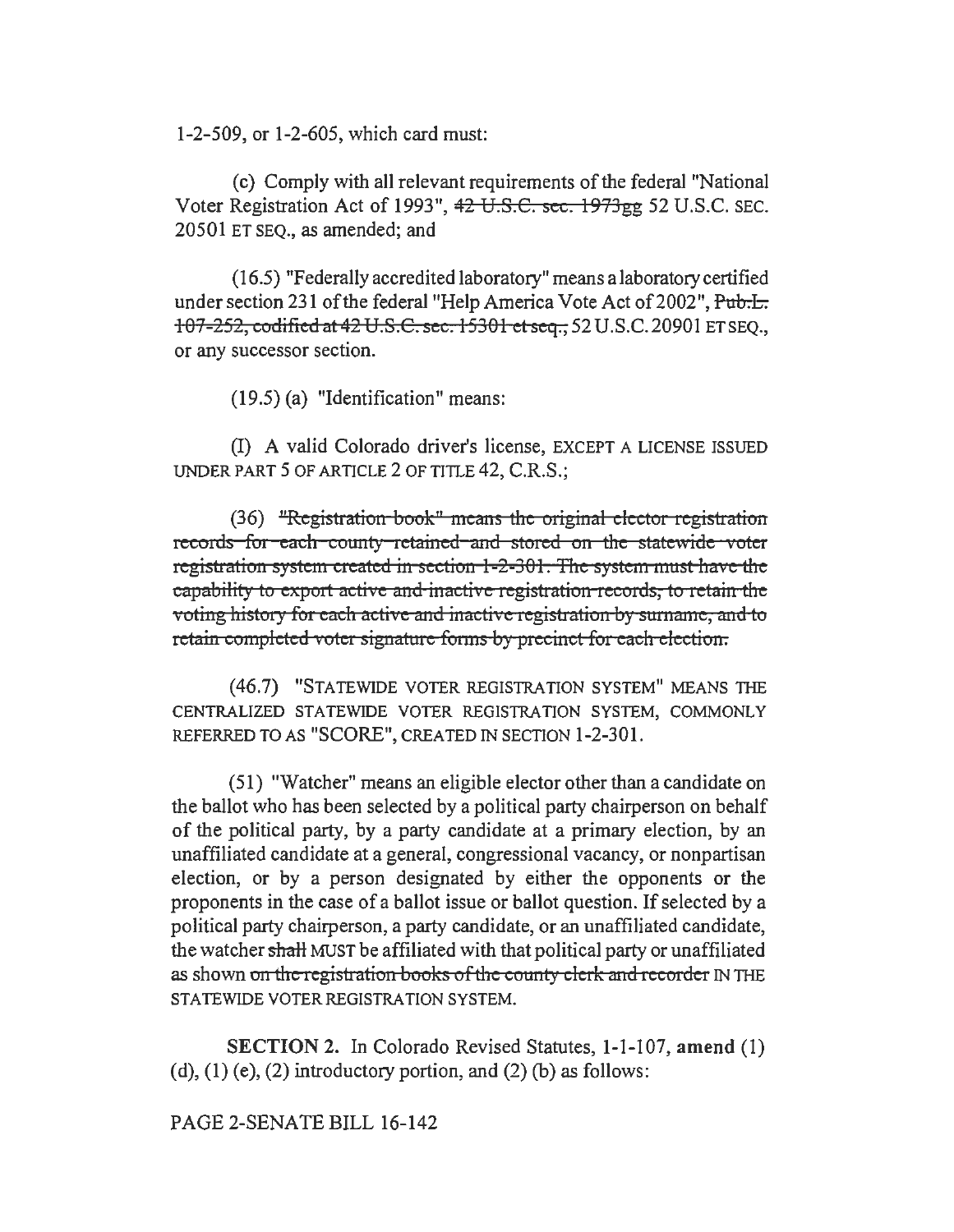1-2-509, or 1-2-605, which card must:

(c) Comply with all relevant requirements of the federal "National Voter Registration Act of 1993", 42 U.S.€. sec. 1973gg 52 U.S.C. SEC. 20501 ET SEQ., as amended; and

(16.5) "Federally accredited laboratory" means a laboratory certified under section 231 of the federal "Help America Vote Act of 2002", Pub.I. 107-252, codificdat42 U.S.C. sec. 15301 ct seq., 52 U.S.C.20901 ET SEQ., or any successor section.

(19.5) (a) "Identification" means:

(1) A valid Colorado driver's license, EXCEPT A LICENSE ISSUED UNDER PART 5 OF ARTICLE 2 OF TITLE 42, C.R.S.;

 $(36)$  "Registration book" means the original elector registration records for each county retained and stored on *the* statewide voter registration system created in section 1-2-301. The system must have the capability to export active and inactive registration records, to retain the voting history for each active and inactive registration by surname, and to retain completed voter signature forms *by* precinct for each election.

(46.7) "STATEWIDE VOTER REGISTRATION SYSTEM" MEANS THE CENTRALIZED STATEWIDE VOTER REGISTRATION SYSTEM, COMMONLY REFERRED TO AS "SCORE", CREATED IN SECTION 1-2-301.

(51) "Watcher" means an eligible elector other than a candidate on the ballot who has been selected by a political party chairperson on behalf of the political party, by a party candidate at a primary election, by an unaffiliated candidate at a general, congressional vacancy, or nonpartisan election, or by a person designated by either the opponents or the proponents in the case of a ballot issue or ballot question. If selected by a political party chairperson, a party candidate, or an unaffiliated candidate, the watcher shaH MUST be affiliated with that political party or unaffiliated as shown on the registration books of the county clerk and recorder IN THE STATEWIDE VOTER REGISTRATION SYSTEM.

SECTION 2. In Colorado Revised Statutes, 1-1-107, amend (1) (d),  $(1)$  (e),  $(2)$  introductory portion, and  $(2)$  (b) as follows:

PAGE 2-SENATE BILL 16-142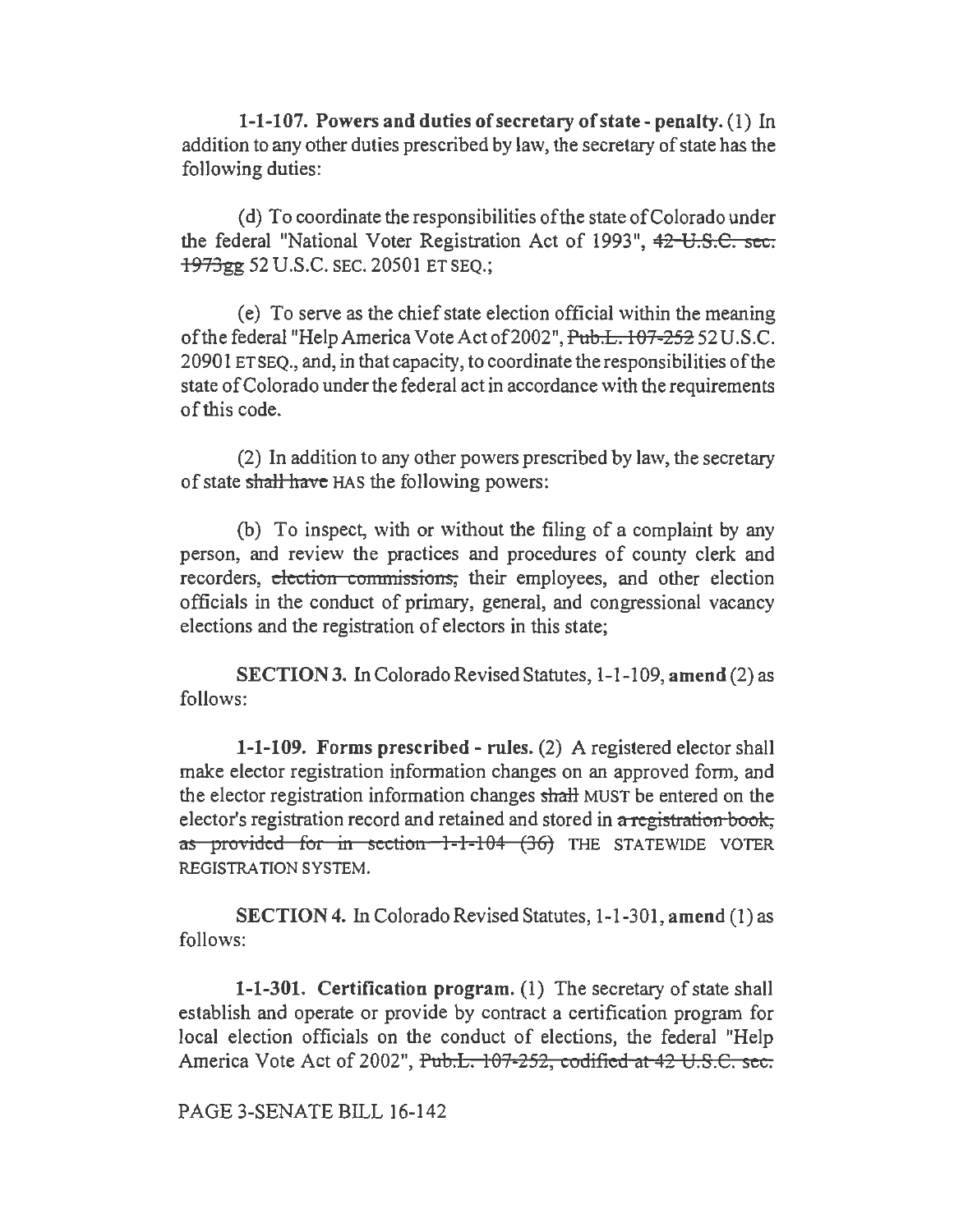1-1-107. Powers and duties of secretary of state- penalty. (1) In addition to any other duties prescribed by law, the secretary of state has the following duties:

( d) To coordinate the responsibilities of the state of Colorado under the federal "National Voter Registration Act of 1993", 42 U.S.C. sec. 1973gg 52 U.S.C. SEC. 20501 ET SEQ.;

(e) To serve as the chief state election official within the meaning of the federal "Help America VoteActof2002",Pub.L. 107-252 52 U.S.C. 20901 ET SEQ., and, in that capacity, to coordinate the responsibilities of the state of Colorado under the federal act in accordance with the requirements of this code.

(2) In addition to any other powers prescribed by law, the secretary of state shall have HAS the following powers:

(b) To inspect, with or without the filing of a complaint by any person, and review the practices and procedures of county clerk and recorders, election commissions, their employees, and other election officials in the conduct of primary, general, and congressional vacancy elections and the registration of electors in this state;

SECTION 3. In Colorado Revised Statutes, 1-1-109, amend (2) as follows:

1-1-109. Forms prescribed - rules. (2) A registered elector shall make elector registration information changes on an approved form, and the elector registration information changes shalt MUST be entered on the elector's registration record and retained and stored in a registration book, as provided for in section 1-1-104 (36) THE STATEWIDE VOTER REGISTRATION SYSTEM.

SECTION 4. In Colorado Revised Statutes, 1-1-301, amend (1) as follows:

1-1-301. Certification program. (1) The secretary of state shall establish and operate or provide by contract a certification program for local election officials on the conduct of elections, the federal "Help America Vote Act of 2002", Pub.L. 107-252, codified at 42 U.S.C. sec.

PAGE 3-SENATE BILL 16-142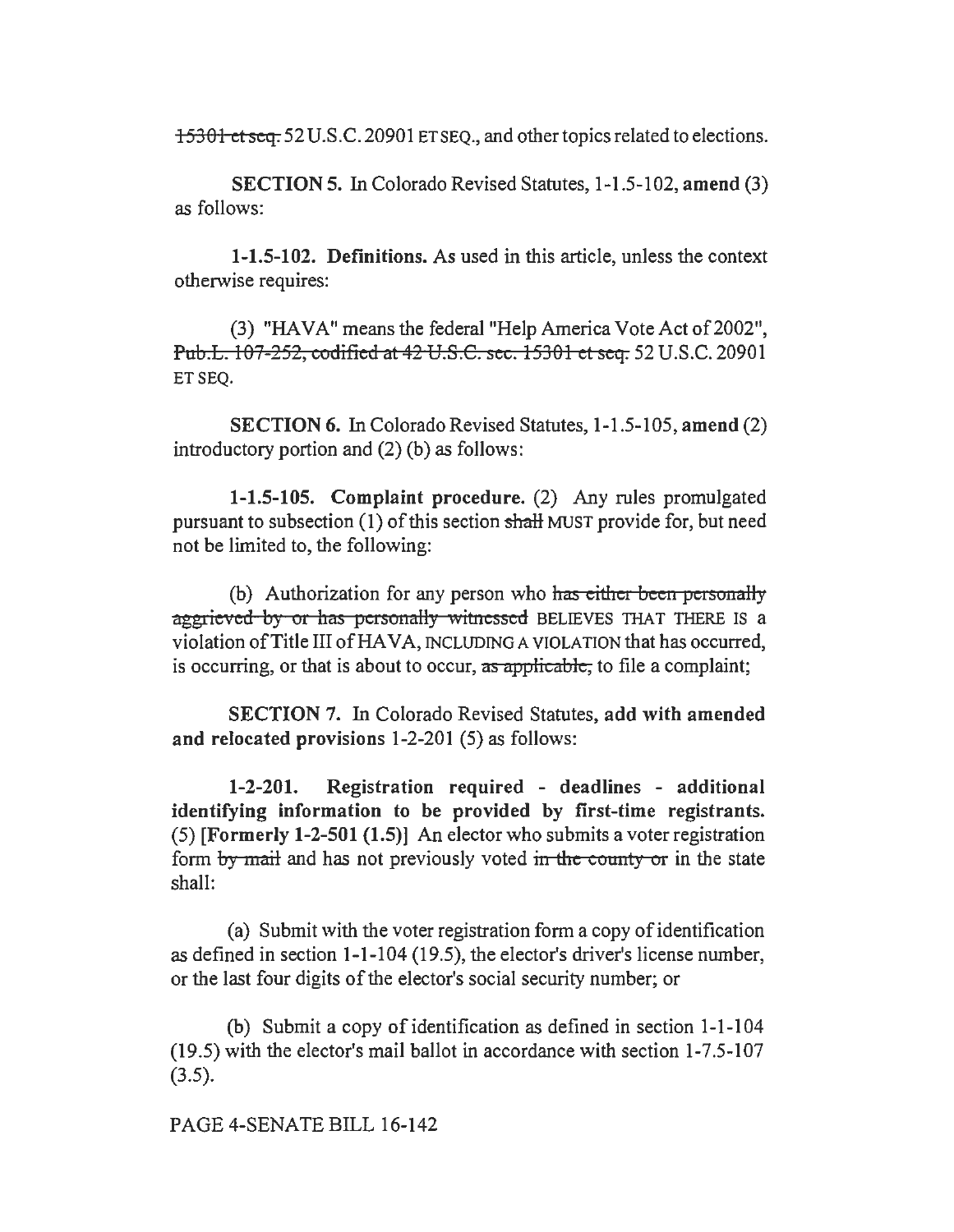15301 et seq. 52 U.S.C. 20901 ET SEQ., and other topics related to elections.

SECTION 5. In Colorado Revised Statutes, 1-1.5-102, amend (3) as follows:

1-1.5-102. Definitions. As used in this article, unless the context otherwise requires:

(3) "HAVA" means the federal "Help America Vote Act of 2002", Pnb.L. 107-252, codified at 42 U.S.C. sec. 15301 et seq. 52 U.S.C. 20901 ET SEQ.

SECTION 6. In Colorado Revised Statutes, 1-1.5-105, amend (2) introductory portion and (2) (b) as follows:

1-1.5-105. Complaint procedure. (2) Any rules promulgated pursuant to subsection (1) of this section shaH MUST provide for, but need not be limited to, the following:

(b) Authorization for any person who has either been personally aggrieved by or has personally witnessed BELIEVES THAT THERE IS a violation of Title III of HAVA, INCLUDING A VIOLATION that has occurred, is occurring, or that is about to occur, as applicable, to file a complaint;

SECTION 7. In Colorado Revised Statutes, add with amended and relocated provisions 1-2-201 (5) as follows:

1-2-201. Registration required - deadlines - additional identifying information to be provided by first-time registrants. (5) [Formerly 1-2-501 (1.5)] An elector who submits a voter registration form by mail and has not previously voted in the county or in the state shall:

(a) Submit with the voter registration form a copy of identification as defined in section 1-1-104 (19.5), the elector's driver's license number, or the last four digits of the elector's social security number; or

(b) Submit a copy of identification as defined in section 1-1-104 (19.5) with the elector's mail ballot in accordance with section 1-7.5-107  $(3.5).$ 

PAGE 4-SENATE BILL 16-142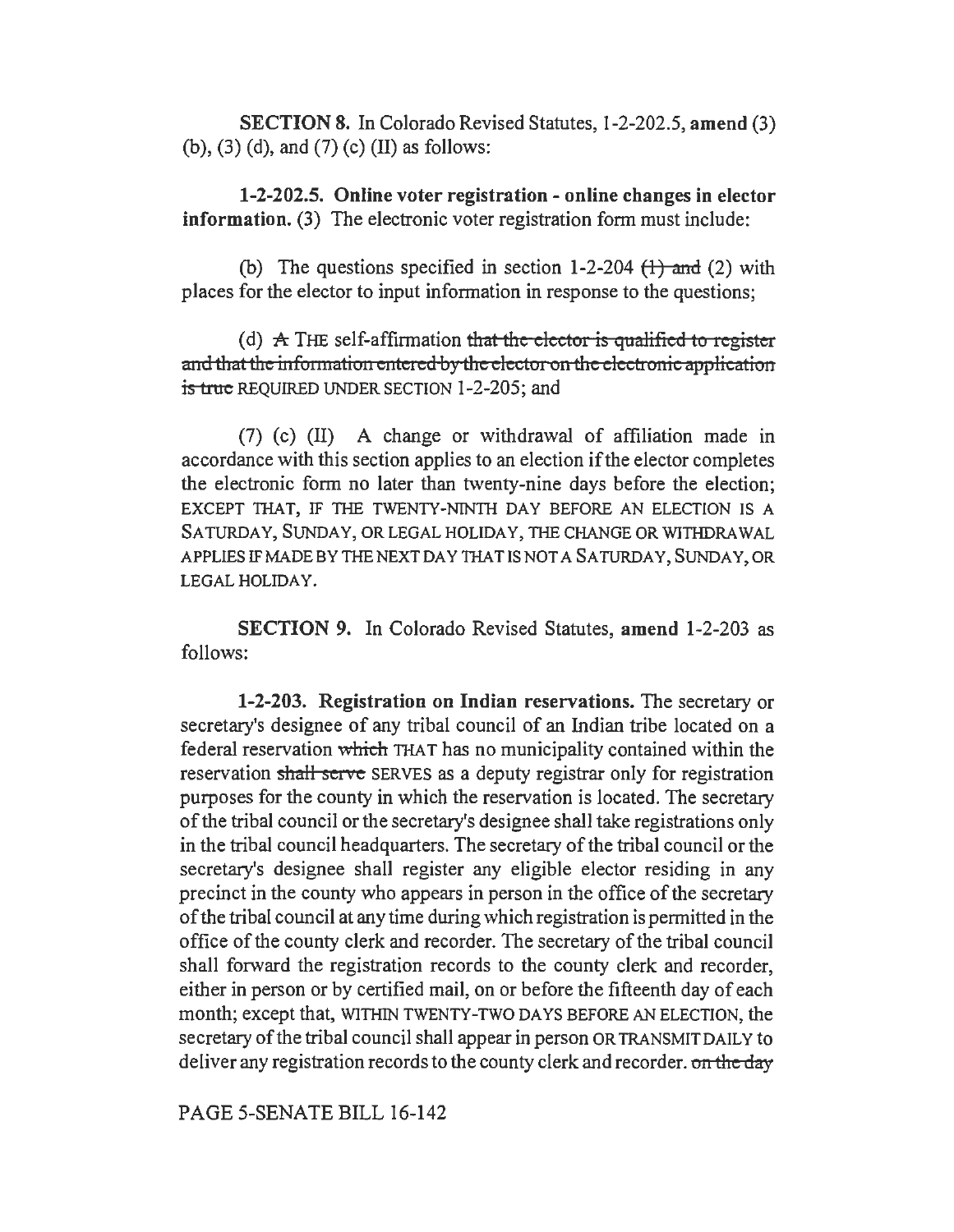SECTION 8. In Colorado Revised Statutes, 1-2-202.5, amend (3) (b), (3) (d), and (7) (c) (II) as follows:

1-2-202.5. Online voter registration - online changes in elector information. (3) The electronic voter registration form must include:

(b) The questions specified in section 1-2-204  $(1)$  and (2) with places for the elector to input information in response to the questions;

(d)  $\pm$  THE self-affirmation that the elector is qualified to register and that the information entered by the elector on the electronic application is true REQUIRED UNDER SECTION 1-2-205; and

(7) ( c) (II) A change or withdrawal of affiliation made in accordance with this section applies to an election ifthe elector completes the electronic form no later than twenty-nine days before the election; EXCEPT THAT, IF THE TWENTY-NINTH DAY BEFORE AN ELECTION IS A SATURDAY, SUNDAY, OR LEGAL HOLIDAY, THE CHANGE OR WITHDRAWAL APPLIES IF MADE BY THE NEXT DAY THAT IS NOT A SATURDAY, SUNDAY, OR LEGAL HOLIDAY.

SECTION 9. In Colorado Revised Statutes, amend 1-2-203 as follows:

1-2-203. Registration on Indian reservations. The secretary or secretary's designee of any tribal council of an Indian tribe located on a federal reservation which THAT has no municipality contained within the reservation shall serve SERVES as a deputy registrar only for registration purposes for the county in which the reservation is located. The secretary of the tribal council or the secretary's designee shall take registrations only in the tribal council headquarters. The secretary of the tribal council or the secretary's designee shall register any eligible elector residing in any precinct in the county who appears in person in the office of the secretary of the tribal council at any time during which registration is permitted in the office of the county clerk and recorder. The secretary of the tribal council shall forward the registration records to the county clerk and recorder, either in person or by certified mail, on or before the fifteenth day of each month; except that, WITHIN TWENTY-TWO DAYS BEFORE AN ELECTION, the secretary of the tribal council shall appear in person OR TRANSMIT DAILY to deliver any registration records to the county clerk and recorder. on the day

PAGE 5-SENATE BILL 16-142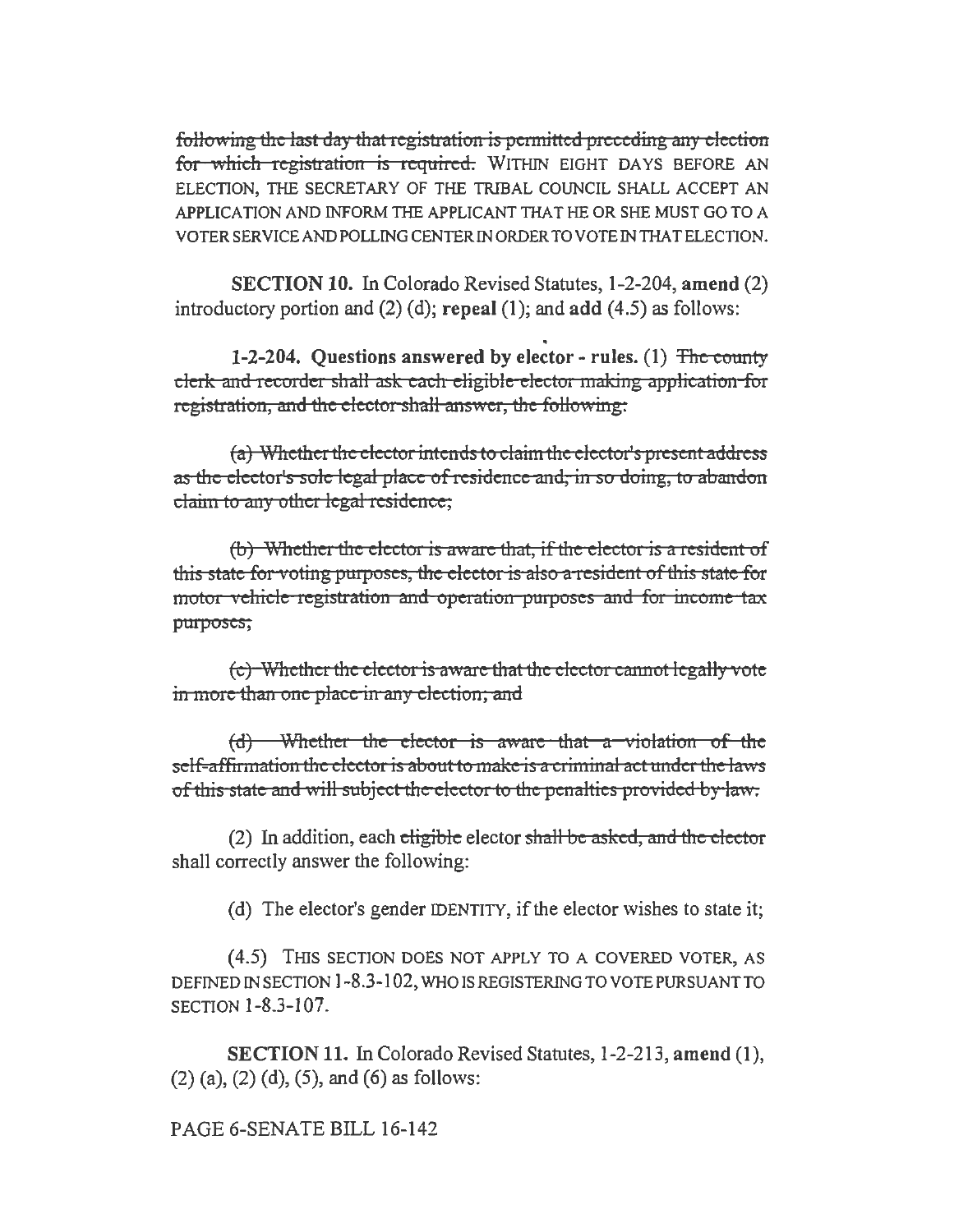following the last day that registration is permitted preceding any election for which registration is required. WITHIN EIGHT DAYS BEFORE AN ELECTION, THE SECRETARY OF THE TRIBAL COUNCIL SHALL ACCEPT AN APPLICATION AND INFORM THE APPLICANT THAT HE OR SHE MUST GO TO A VOTERSERVICEANDPOLLINGCENTERINORDERTOVOTEINTHATELECTION.

SECTION 10. In Colorado Revised Statutes, 1-2-204, amend (2) introductory portion and  $(2)$  (d); repeal (1); and add (4.5) as follows:

1-2-204. Ouestions answered by elector - rules. (1) The county clerk and recorder shall ask each eligible elector making application for registration, and the elector shall answer, the following:

(a) Whether the elector intends to claim the elector's present address as the elector's sole legal place of residence and, in so doing, to abandon claim to any other legal residence;

 $(b)$  Whether the elector is aware that, if the elector is a resident of this state for voting purposes, the elector is also a resident of this state for motor vehicle registration and operation purposes and for income tax purposes;

 $(c)$  Whether the elector is aware that the elector cannot legally vote in more than one place in any election; and

(d) Whether the elector is aware that a violation of the self-affirmation the elector is about to make is a criminal act under the laws of this state and will subject the elector to the penalties provided by law.

(2) In addition, each eligible elector shall be asked, and the elector shall correctly answer the following:

(d) The elector's gender IDENTITY, if the elector wishes to state it;

( 4.5) THIS SECTION DOES NOT APPLY TO A COVERED VOTER, AS DEFINED IN SECTION 1-8.3-102, WHO IS REGISTERING TO VOTE PURSUANT TO SECTION 1-8.3-107.

SECTION 11. In Colorado Revised Statutes, 1-2-213, amend (1),  $(2)$  (a),  $(2)$  (d),  $(5)$ , and  $(6)$  as follows:

PAGE 6-SENATE BILL 16-142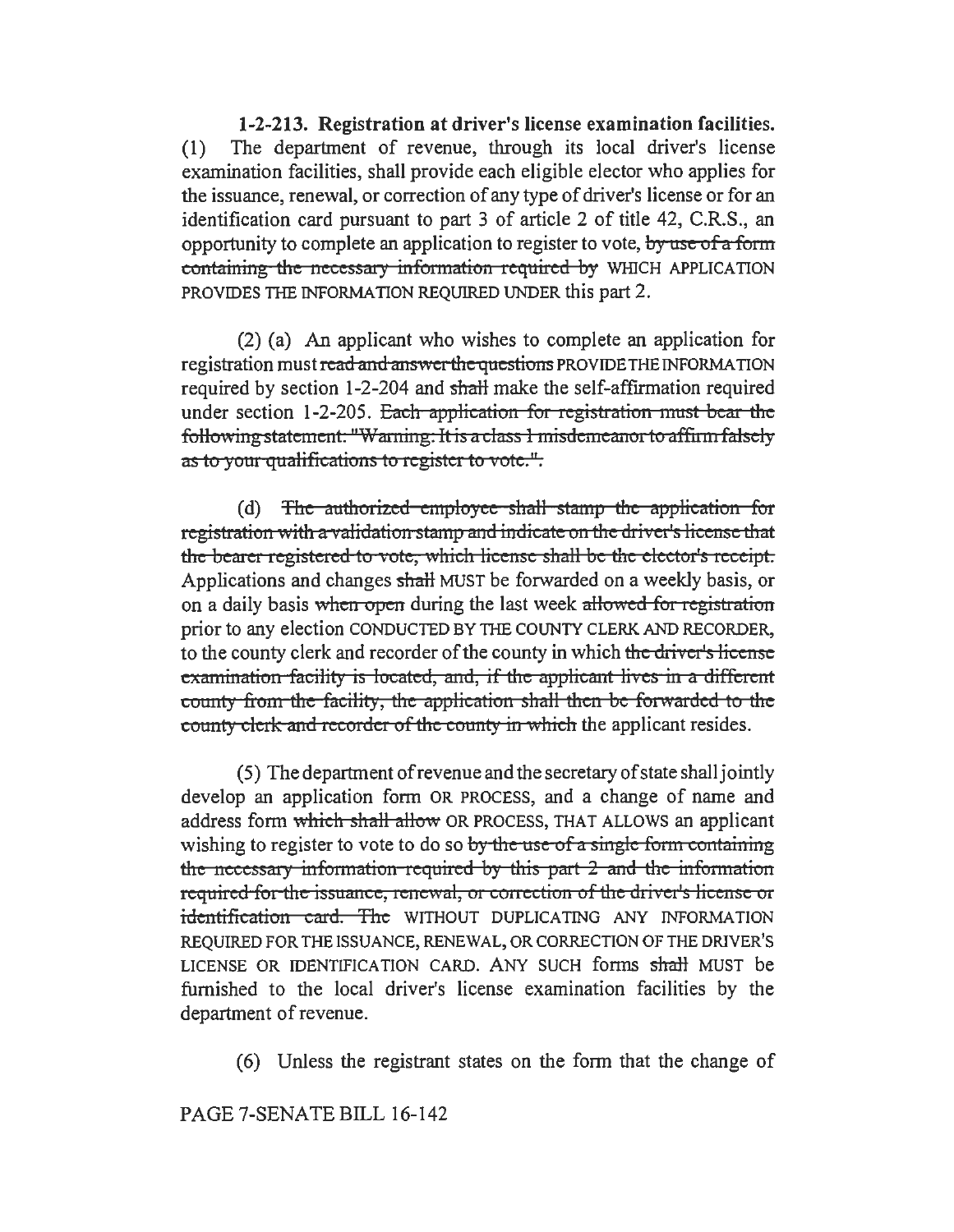1-2-213. Registration at driver's license examination facilities. (1) The department of revenue, through its local driver's license examination facilities, shall provide each eligible elector who applies for the issuance, renewal, or correction of any type of driver's license or for an identification card pursuant to part 3 of article 2 of title 42, C.R.S., an opportunity to complete an application to register to vote, by use of a form containing the necessary information required by WHICH APPLICATION PROVIDES THE INFORMATION REQUIRED UNDER this part 2.

(2) (a) An applicant who wishes to complete an application for registration must read and answer the questions PROVIDE THE INFORMATION required by section 1-2-204 and shalt make the self-affirmation required under section 1-2-205. Each application for registration must bear the following statement. "Warning: It is a class 1 misdemeanor to affirm falsely as to your qualifications to register to vote.".

(d) The authorized employee shall stamp the application for registration with a validation stamp and indicate on the driver's license that the bearer registered to vote, which license shall be the elector's receipt. Applications and changes shall MUST be forwarded on a weekly basis, or on a daily basis when open during the last week allowed for registration prior to any election CONDUCTED BY THE COUNTY CLERK AND RECORDER, to the county clerk and recorder of the county in which the driver's license examination facility is located, and, if the applicant lives in a different county from the facility, the application shall then be forwarded to the county clerk and recorder of the county in which the applicant resides.

( 5) The department of revenue and the secretary of state shall jointly develop an application form OR PROCESS, and a change of name and address form which shall allow OR PROCESS, THAT ALLOWS an applicant wishing to register to vote to do so by the use of a single form containing the necessary information-required by this part 2 and the information required for the issuance, renewal, or correction of the driver's license or identification card. The WITHOUT DUPLICATING ANY INFORMATION REQUIRED FOR THE ISSUANCE, RENEWAL, OR CORRECTION OF THE DRIVER'S LICENSE OR IDENTIFICATION CARD. ANY SUCH forms shalt MUST be furnished to the local driver's license examination facilities by the department of revenue.

(6) Unless the registrant states on the form that the change of

## PAGE 7-SENATE BILL 16-142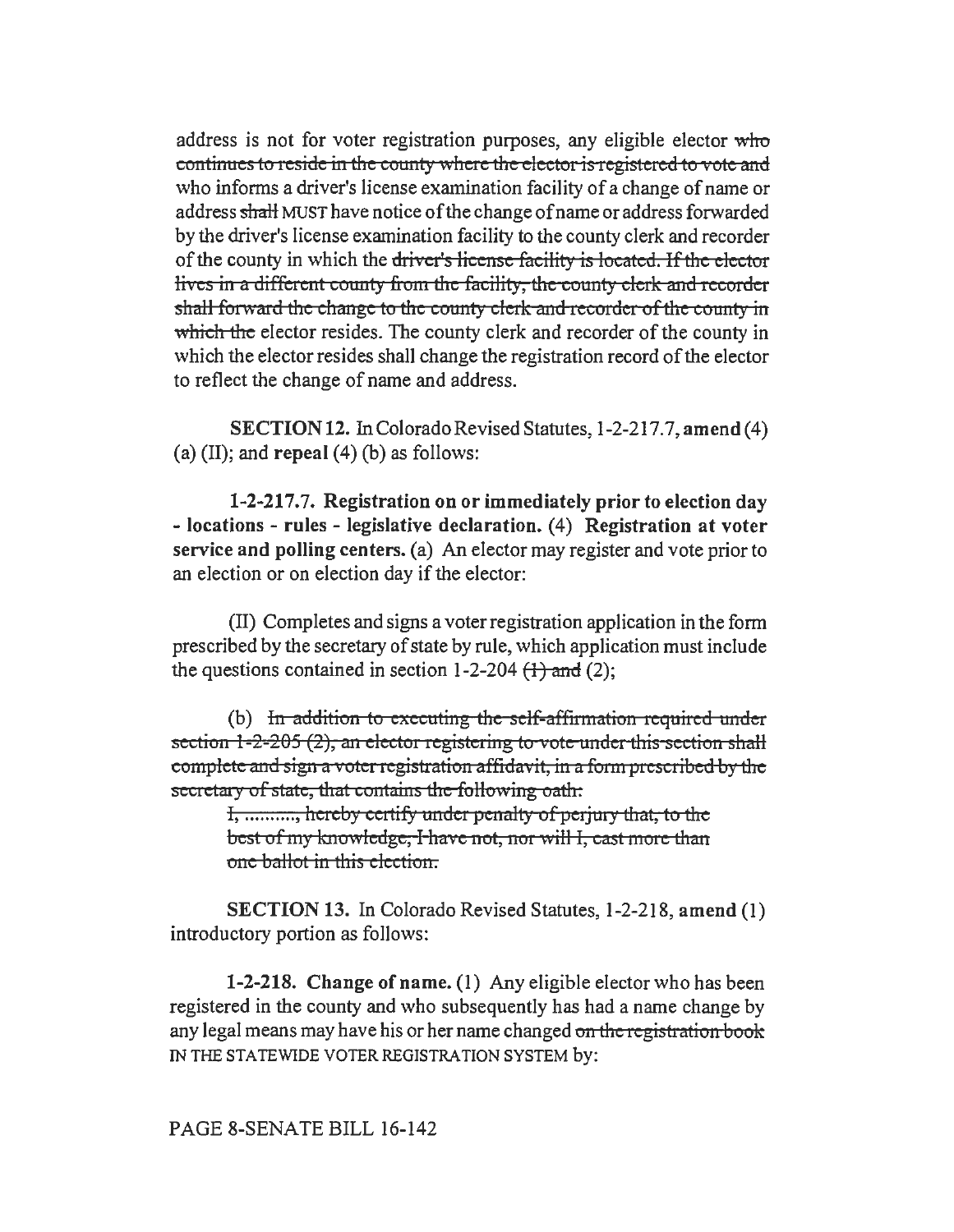address is not for voter registration purposes, any eligible elector who continues to reside in the county where the elector is registered to vote and who informs a driver's license examination facility of a change of name or address shalt MUST have notice of the change of name or address forwarded by the driver's license examination facility to the county clerk and recorder of the county in which the driver's license facility is located. If the elector lives in a different county from the facility, the county clerk and recorder shall forward the change to the county clerk and recorder of the county in which the elector resides. The county clerk and recorder of the county in which the elector resides shall change the registration record of the elector to reflect the change of name and address.

SECTION 12. In Colorado Revised Statutes, 1-2-217.7, amend (4) (a) (II); and repeal  $(4)$  (b) as follows:

1-2-217.7. Registration on or immediately prior to election day - locations - rules - legislative declaration. (4) Registration at voter service and polling centers. (a) An elector may register and vote prior to an election or on election day if the elector:

(II) Completes and signs a voter registration application in the form prescribed by the secretary of state by rule, which application must include the questions contained in section  $1-2-204$   $(1)$  and  $(2)$ ;

(b) In addition to executing the self-affirmation required under section  $1-2-205$  (2), an elector registering to vote under this section shall complete and sign a voter registration affidavit, in a form prescribed by the secretary of state, that contains the following oath:

I, ..........., hereby certify under penalty of perjury that, to the best of my knowledge, I have not, nor will I, cast more than one ballot in this election.

SECTION 13. In Colorado Revised Statutes, 1-2-218, amend (1) introductory portion as follows:

1-2-218. Change of name. (1) Any eligible elector who has been registered in the county and who subsequently has had a name change by any legal means may have his or her name changed on the registration book IN THE STATEWIDE VOTER REGISTRATION SYSTEM by: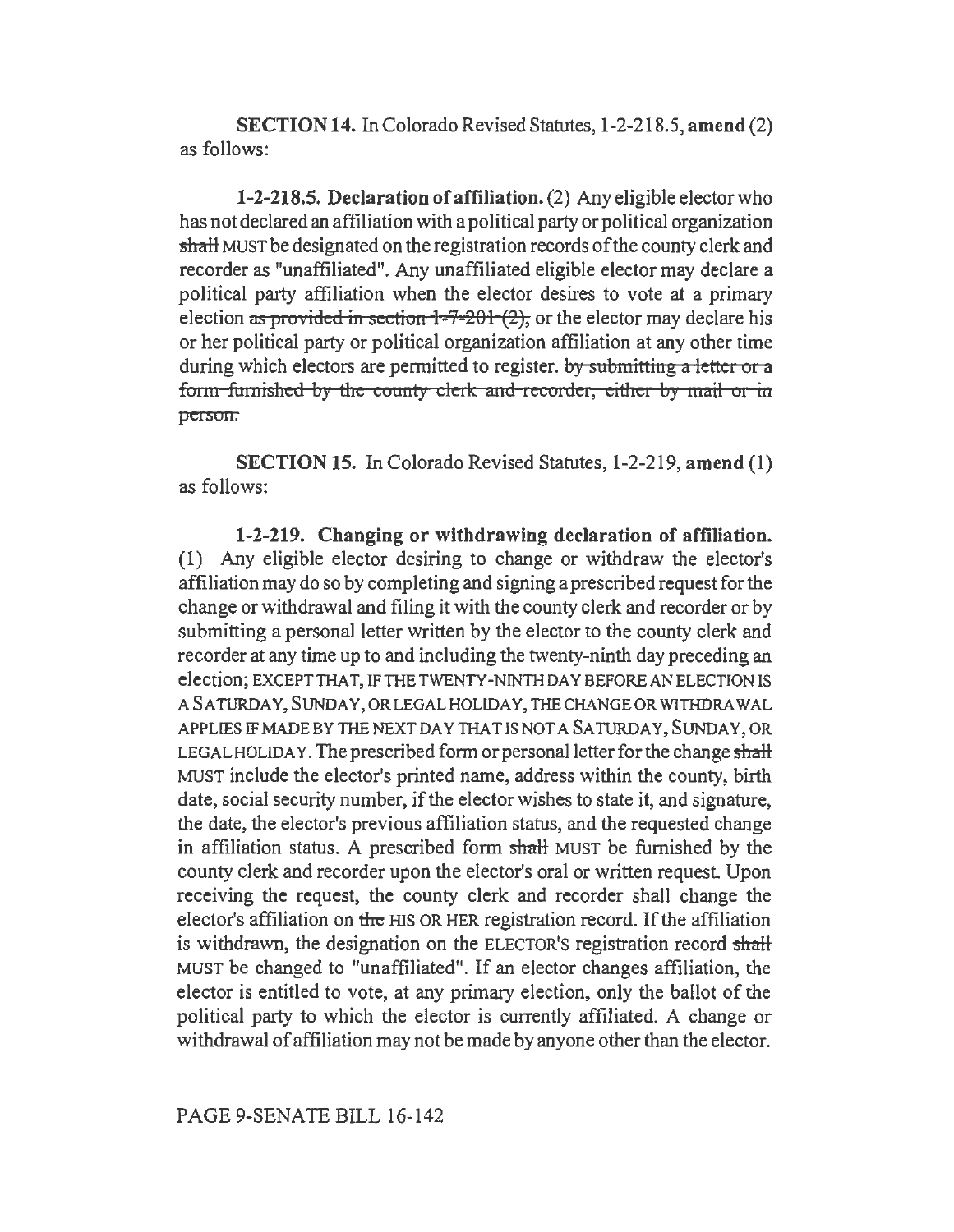SECTION 14. In Colorado Revised Statutes, 1-2-218.5, amend(2) as follows:

1-2-218.5. Declaration of affiliation. (2) Any eligible elector who has not declared an affiliation with a political party or political organization shalt MUST be designated on the registration records of the county clerk and recorder as "unaffiliated". Any unaffiliated eligible elector may declare a political party affiliation when the elector desires to vote at a primary election as provided in section  $1-7-201$  (2), or the elector may declare his or her political party or political organization affiliation at any other time during which electors are permitted to register. *by* submitting a letter or a form furnished by the county clerk and recorder, either by mail or in person.

SECTION 15. In Colorado Revised Statutes, 1-2-219, amend (1) as follows:

1-2-219. Changing or withdrawing declaration of affiliation. (1) Any eligible elector desiring to change or withdraw the elector's affiliation may do so by completing and signing a prescribed request for the change or withdrawal and filing it with the county clerk and recorder or by submitting a personal letter written by the elector to the county clerk and recorder at any time up to and including the twenty-ninth day preceding an election; EXCEPT THAT, IF THE TWENTY-NINTH DA y BEFORE AN ELECTION IS A SATURDAY, SUNDAY, OR LEGAL HOLIDAY, THE CHANGE OR WITHDRAWAL APPLIES IF MADE BY THE NEXT DAY THAT IS NOT A SATURDAY, SUNDAY, OR LEGAL HOLIDAY. The prescribed form or personal letter for the change shall MUST include the elector's printed name, address within the county, birth date, social security number, if the elector wishes to state it, and signature, the date, the elector's previous affiliation status, and the requested change in affiliation status. A prescribed form shalt MUST be furnished by the county clerk and recorder upon the elector's oral or written request. Upon receiving the request, the county clerk and recorder shall change the elector's affiliation on the HIS OR HER registration record. If the affiliation is withdrawn, the designation on the ELECTOR'S registration record shall MUST be changed to "unaffiliated". If an elector changes affiliation, the elector is entitled to vote, at any primary election, only the ballot of the political party to which the elector is currently affiliated. A change or withdrawal of affiliation may not be made by anyone other than the elector.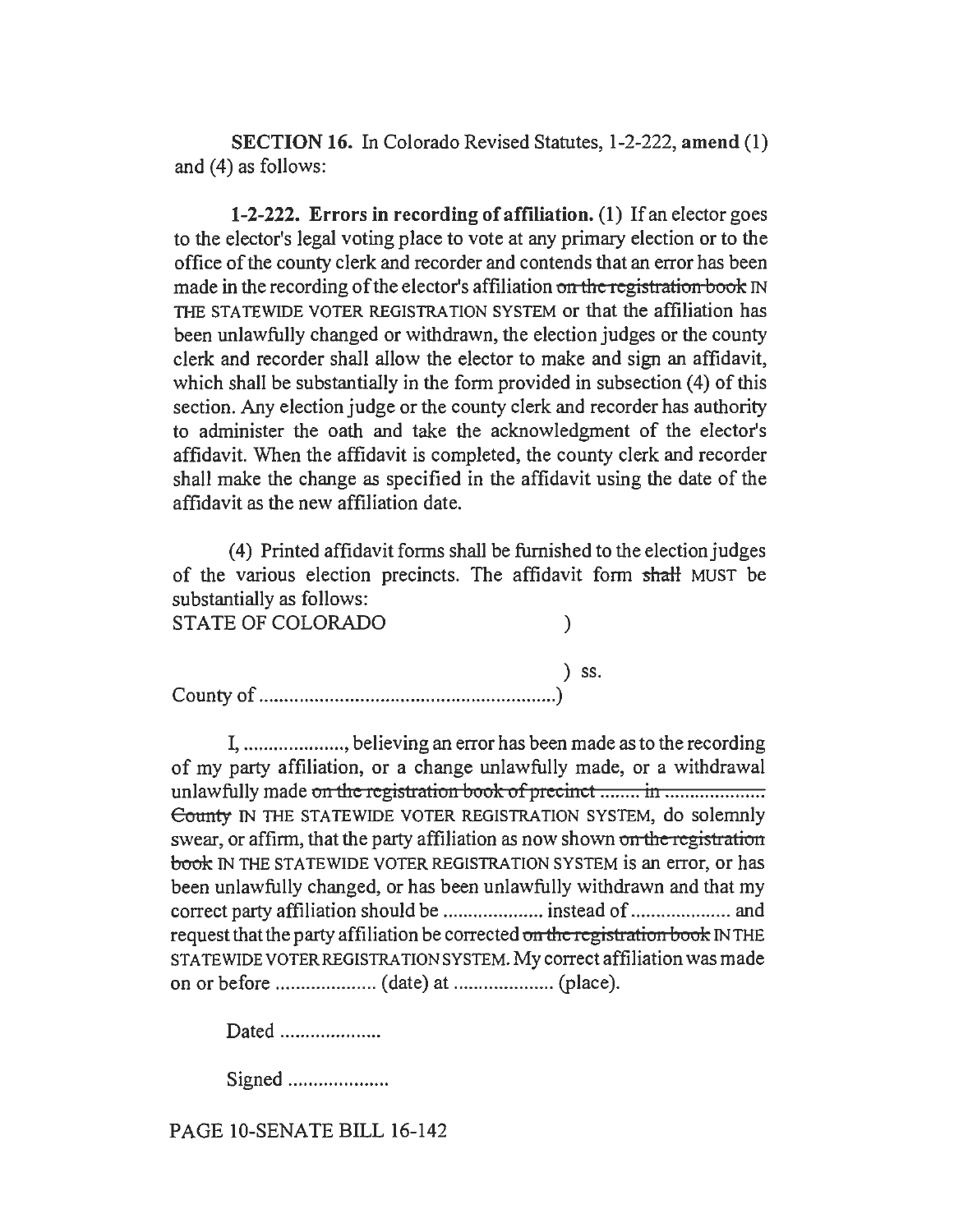SECTION 16. In Colorado Revised Statutes, 1-2-222, amend (1) and (4) as follows:

1-2-222. Errors in recording of affiliation. (1) If an elector goes to the elector's legal voting place to vote at any primary election or to the office of the county clerk and recorder and contends that an error has been made in the recording of the elector's affiliation on the registration book IN THE STATEWIDE VOTER REGISTRATION SYSTEM or that the affiliation has been unlawfully changed or withdrawn, the election judges or the county clerk and recorder shall allow the elector to make and sign an affidavit, which shall be substantially in the form provided in subsection (4) of this section. Any election judge or the county clerk and recorder has authority to administer the oath and take the acknowledgment of the elector's affidavit. When the affidavit is completed, the county clerk and recorder shall make the change as specified in the affidavit using the date of the affidavit as the new affiliation date.

(4) Printed affidavit forms shall be furnished to the election judges of the various election precincts. The affidavit form shaH MUST be substantially as follows:

| STATE OF COLORADO |            |
|-------------------|------------|
|                   | $\sum$ SS. |
|                   |            |

I, .................... ,believing an error has been made as to the recording of my party affiliation, or a change unlawfully made, or a withdrawal unlawfully made on the registration book ofpreci:nct ........ in .................. .. County IN THE STATEWIDE VOTER REGISTRATION SYSTEM, do solemnly swear, or affirm, that the party affiliation as now shown on the registration book IN THE STATEWIDE VOTER REGISTRATION SYSTEM is an error, or has been unlawfully changed, or has been unlawfully withdrawn and that my correct party affiliation should be .................... instead of .................... and request that the party affiliation be corrected on the registration book IN THE STATEWIDE VOTER REGISTRATION SYSTEM. My correct affiliation was made on or before .................... (date) at .................... (place).

Dated .....................

Signed ................... .

PAGE IO-SENATE BILL 16-142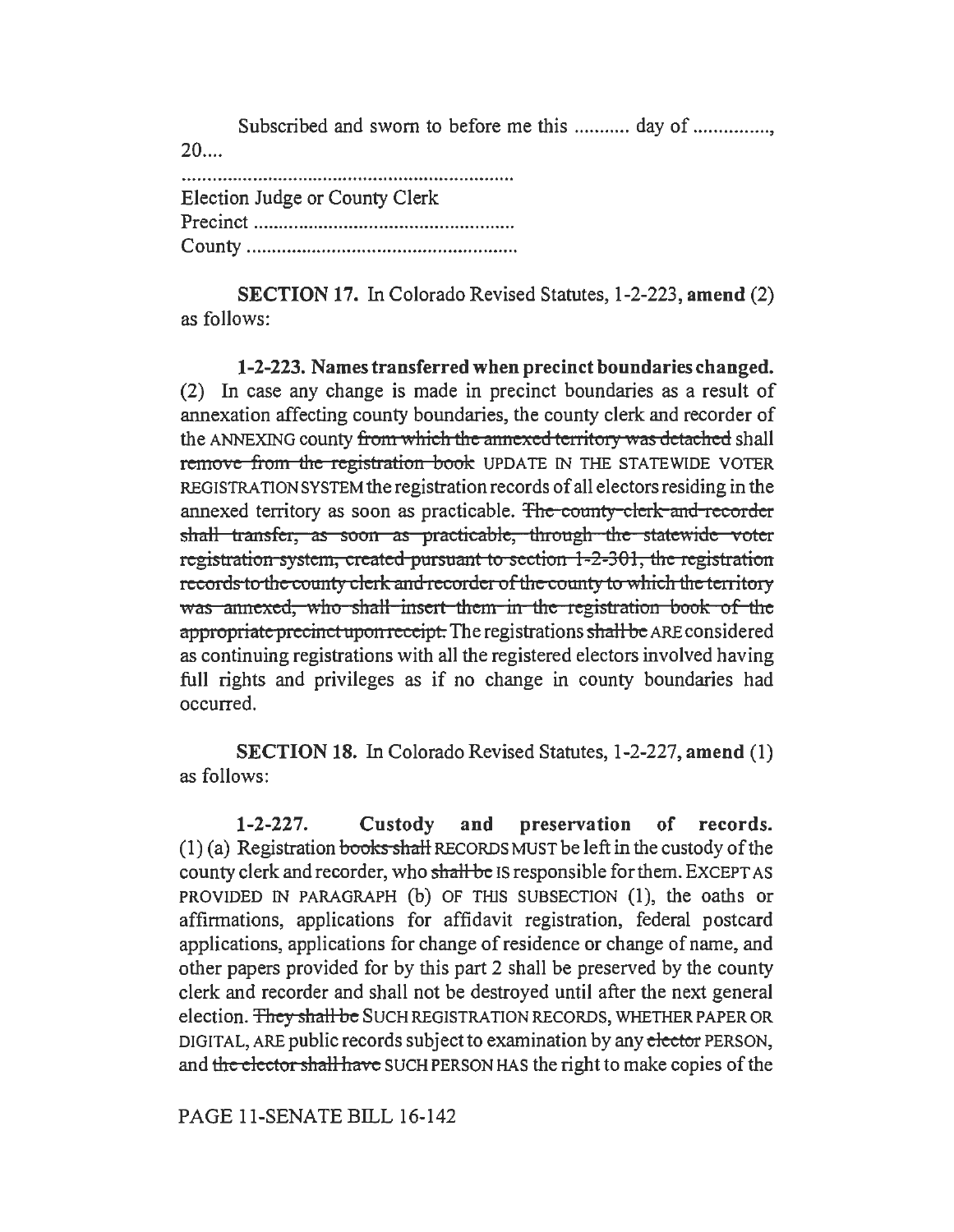Subscribed and sworn to before me this ............ day of ................ 20 ....

| Election Judge or County Clerk |
|--------------------------------|
|                                |
|                                |

SECTION 17. In Colorado Revised Statutes, 1-2-223, amend (2) as follows:

1-2-223. Names transferred when precinct boundaries changed. (2) In case any change is made in precinct boundaries as a result of annexation affecting county boundaries, the county clerk and recorder of the ANNEXING county from which the annexed territory was detached shall remove from the registration book UPDATE IN THE STATEWIDE VOTER REGISTRATION SYSTEM the registration records of all electors residing in the annexed territory as soon as practicable. The county clerk and recorder shall transfer, as soon as practicable, through the statewide voter registration system, created porsoant to section 1-2-301, the registration records to the county clerk and recorder of the county to which the territory was annexed, who shall insert them in the registration book of the appropriate precinct upon receipt. The registrations shall be ARE considered as continuing registrations with all the registered electors involved having full rights and privileges as if no change in county boundaries had occurred.

SECTION 18. In Colorado Revised Statutes, 1-2-227, amend (1) as follows:

1-2-227. Custody and preservation of records.  $(1)$  (a) Registration books shall RECORDS MUST be left in the custody of the county clerk and recorder, who shall be IS responsible for them. EXCEPT AS PROVIDED IN PARAGRAPH (b) OF THJS SUBSECTION (1), the oaths or affirmations, applications for affidavit registration, federal postcard applications, applications for change of residence or change of name, and other papers provided for by this part 2 shall be preserved by the county clerk and recorder and shall not be destroyed until after the next general election. They shall be SUCH REGISTRATION RECORDS, WHETHER PAPER OR DIGITAL, ARE public records subject to examination by any elector PERSON, and the elector shall have SUCH PERSON HAS the right to make copies of the

PAGE 11-SENATE BILL 16-142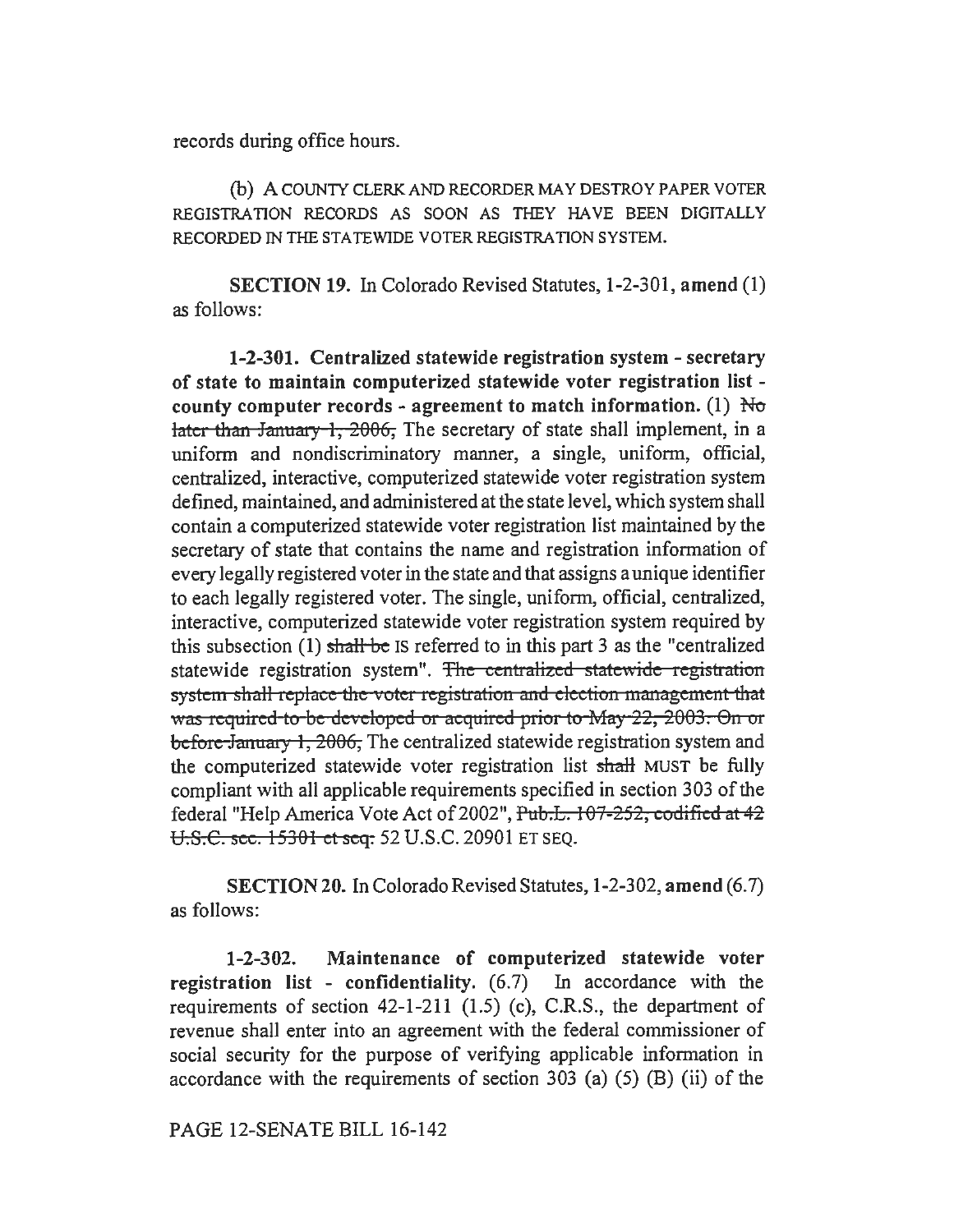records during office hours.

(b) A COUNTY CLERK AND RECORDER MAY DESTROY PAPER VOTER REGISTRATION RECORDS AS SOON AS THEY HAVE BEEN DIGITALLY RECORDED IN THE STATEWIDE VOTER REGISTRATION SYSTEM.

SECTION 19. In Colorado Revised Statutes, 1-2-301, amend (1) as follows:

1-2-301. Centralized statewide registration system - secretary of state to maintain computerized statewide voter registration list county computer records - agreement to match information. (1)  $\overline{N\sigma}$ later than January 1,  $2006$ . The secretary of state shall implement, in a uniform and nondiscriminatory manner, a single, uniform, official, centralized, interactive, computerized statewide voter registration system defined, maintained, and administered at the state level, which system shall contain a computerized statewide voter registration list maintained by the secretary of state that contains the name and registration information of every legally registered voter in the state and that assigns a unique identifier to each legally registered voter. The single, uniform, official, centralized, interactive, computerized statewide voter registration system required by this subsection  $(1)$  shall be IS referred to in this part 3 as the "centralized statewide registration system". The centralized statewide registration system shall replace the voter registration and election management that was required to be developed or acquired prior to May 22, 2003. On or before January 1, 2006, The centralized statewide registration system and the computerized statewide voter registration list shall MUST be fully compliant with all applicable requirements specified in section 303 of the federal "Help America Vote Act of 2002", Pub.L. 107-252, codified at 42 U.S.C. sec. 15301 et seq. 52 U.S.C. 20901 ET SEQ.

SECTION20. In Colorado Revised Statutes, 1-2-302, amend (6.7) as follows:

1-2-302. Maintenance of computerized statewide voter registration list - confidentiality.  $(6.7)$  In accordance with the requirements of section 42-1-211 (1.5) (c), C.R.S., the department of revenue shall enter into an agreement with the federal commissioner of social security for the purpose of verifying applicable information in accordance with the requirements of section  $303$  (a) (5) (B) (ii) of the

PAGE 12-SENATE BILL 16-142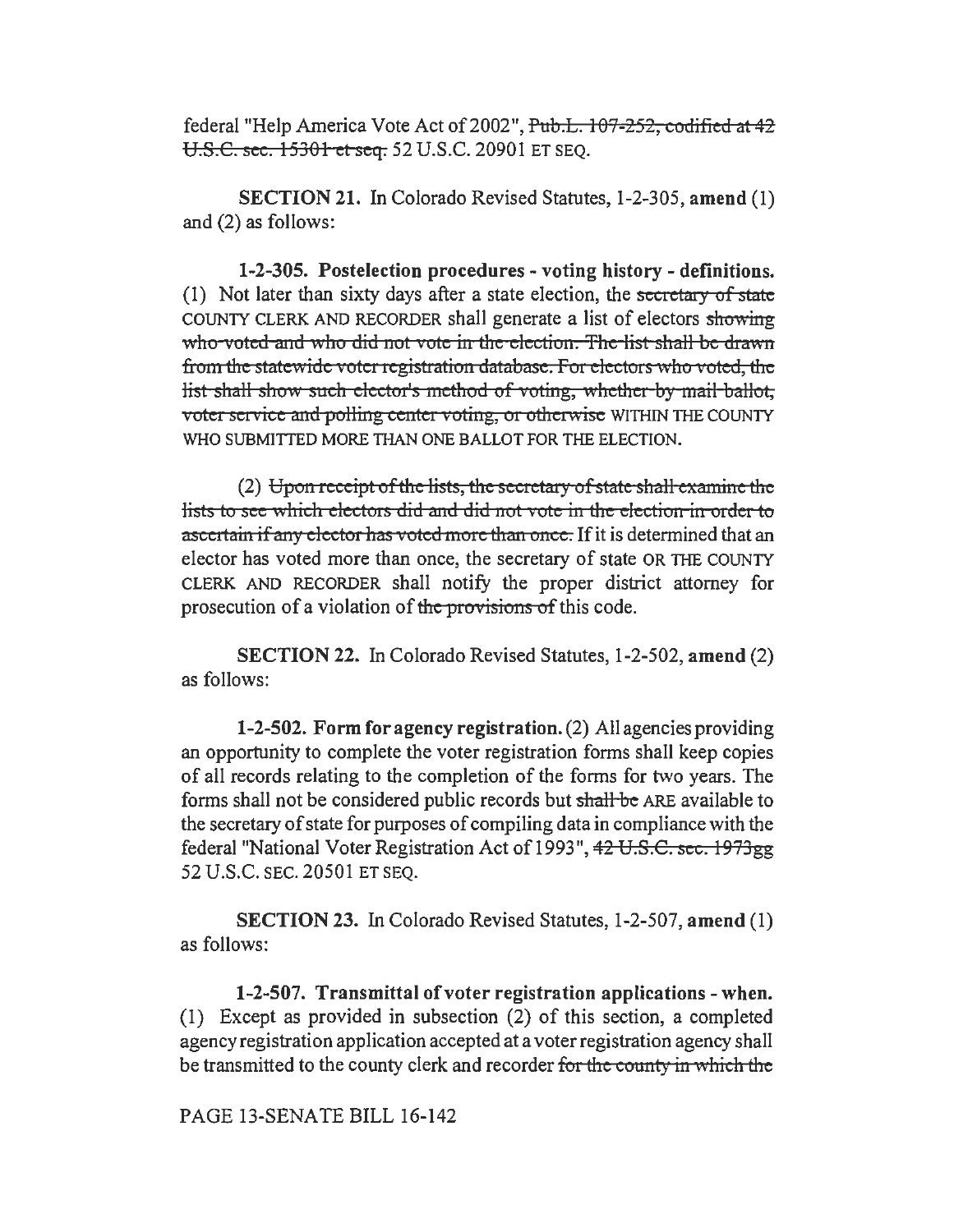federal "Help America Vote Act of 2002", Pub.L. 107-252, codified at 42 U.S.C. see. 15301 *et* seq. 52 U.S.C. 20901 ET SEQ.

SECTION 21. In Colorado Revised Statutes, 1-2-305, amend (1) and (2) as follows:

1-2-305. Postelection procedures - voting history - definitions. (1) Not later than sixty days after a state election, the secretary of state COUNTY CLERK AND RECORDER shall generate a list of electors showing who voted and who did not vote in the election. The list shall be drawn from the statewide voter registration database. For electors who voted, the list shall show such elector's method of voting, whether by mail ballot; voter service and polling center voting, or otherwise WITHIN THE COUNTY WHO SUBMITTED MORE THAN ONE BALLOT FOR THE ELECTION.

 $(2)$  Upon receipt of the lists, the secretary of state shall examine the lists to see which electors did and did not vote in the election in order to ascertain if any elector has voted more than once. If it is determined that an elector has voted more than once, the secretary of state OR THE COUNTY CLERK AND RECORDER shall notify the proper district attorney for prosecution of a violation of the provisions of this code.

SECTION 22. In Colorado Revised Statutes, 1-2-502, amend (2) as follows:

1-2-502. Form for agency registration. (2) All agencies providing an opportunity to complete the voter registration forms shall keep copies of all records relating to the completion of the forms for two years. The forms shall not be considered public records but shall be ARE available to the secretary of state for purposes of compiling data in compliance with the federal "National Voter Registration Act of 1993", 42 U.S.C. sec. 1973gg 52 U.S.C. SEC. 20501 ET SEQ.

SECTION 23. In Colorado Revised Statutes, 1-2-507, amend (1) as follows:

1-2-507. Transmittal of voter registration applications - when. (1) Except as provided in subsection (2) of this section, a completed agency registration application accepted at a voter registration agency shall be transmitted to the county clerk and recorder for the county in which the

### PAGE 13-SENATE BILL 16-142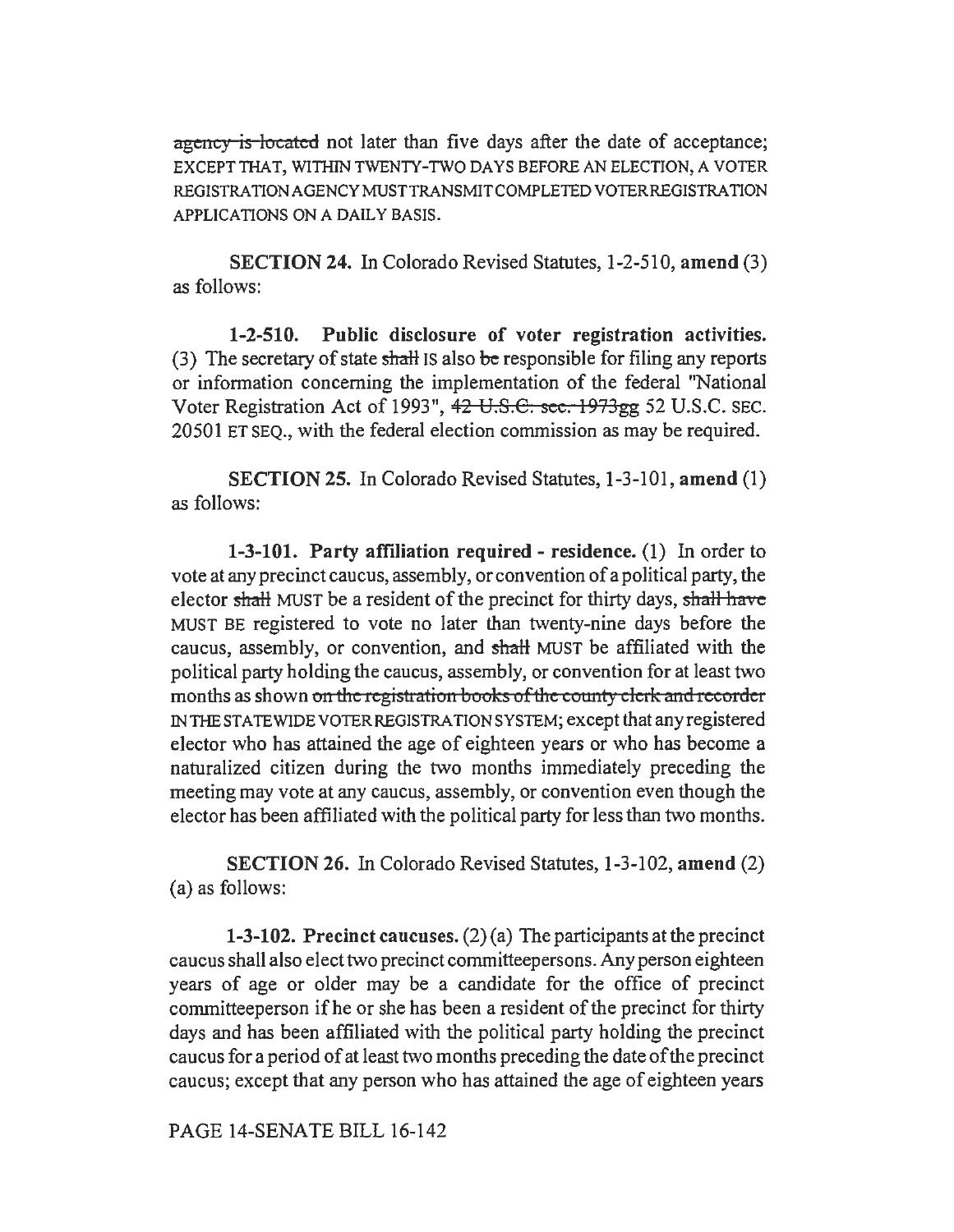agency is located not later than five days after the date of acceptance; EXCEPT THAT, WITHIN TWENTY-TWO DAYS BEFORE AN ELECTION, A VOTER REGISTRATIONAGENCYMUSTTRANSMITCOMPLETEDVOTERREGISTRATION APPLICATIONS ON A DAILY BASIS.

SECTION 24. In Colorado Revised Statutes, 1-2-510, amend (3) as follows:

1-2-510. Public disclosure of voter registration activities. (3) The secretary of state shall IS also be responsible for filing any reports or information concerning the implementation of the federal "National Voter Registration Act of 1993", 42 U.S.C. sec. 1973gg 52 U.S.C. SEC. 20501 ET SEQ., with the federal election commission as may be required.

SECTION 25. In Colorado Revised Statutes, 1-3-101, amend (1) as follows:

1-3-101. Party affiliation required - residence. (1) In order to vote at any precinct caucus, assembly, or convention of a political party, the elector shall MUST be a resident of the precinct for thirty days, shall have MUST BE registered to vote no later than twenty-nine days before the caucus, assembly, or convention, and shalt MUST be affiliated with the political party holding the caucus, assembly, or convention for at least two months as shown on the registration books of the county clerk and recorder IN THE STATE WIDE VOTER REGISTRATION SYSTEM; except that any registered elector who has attained the age of eighteen years or who has become a naturalized citizen during the two months immediately preceding the meeting may vote at any caucus, assembly, or convention even though the elector has been affiliated with the political party for less than two months.

SECTION 26. In Colorado Revised Statutes, 1-3-102, amend (2) (a) as follows:

1-3-102. Precinct caucuses.  $(2)$  (a) The participants at the precinct caucus shall also elect two precinct committeepersons. Any person eighteen years of age or older may be a candidate for the office of precinct committeeperson ifhe or she has been a resident of the precinct for thirty days and has been affiliated with the political party holding the precinct caucus for a period of at least two months preceding the date of the precinct caucus; except that any person who has attained the age of eighteen years

PAGE 14-SENATE BILL 16-142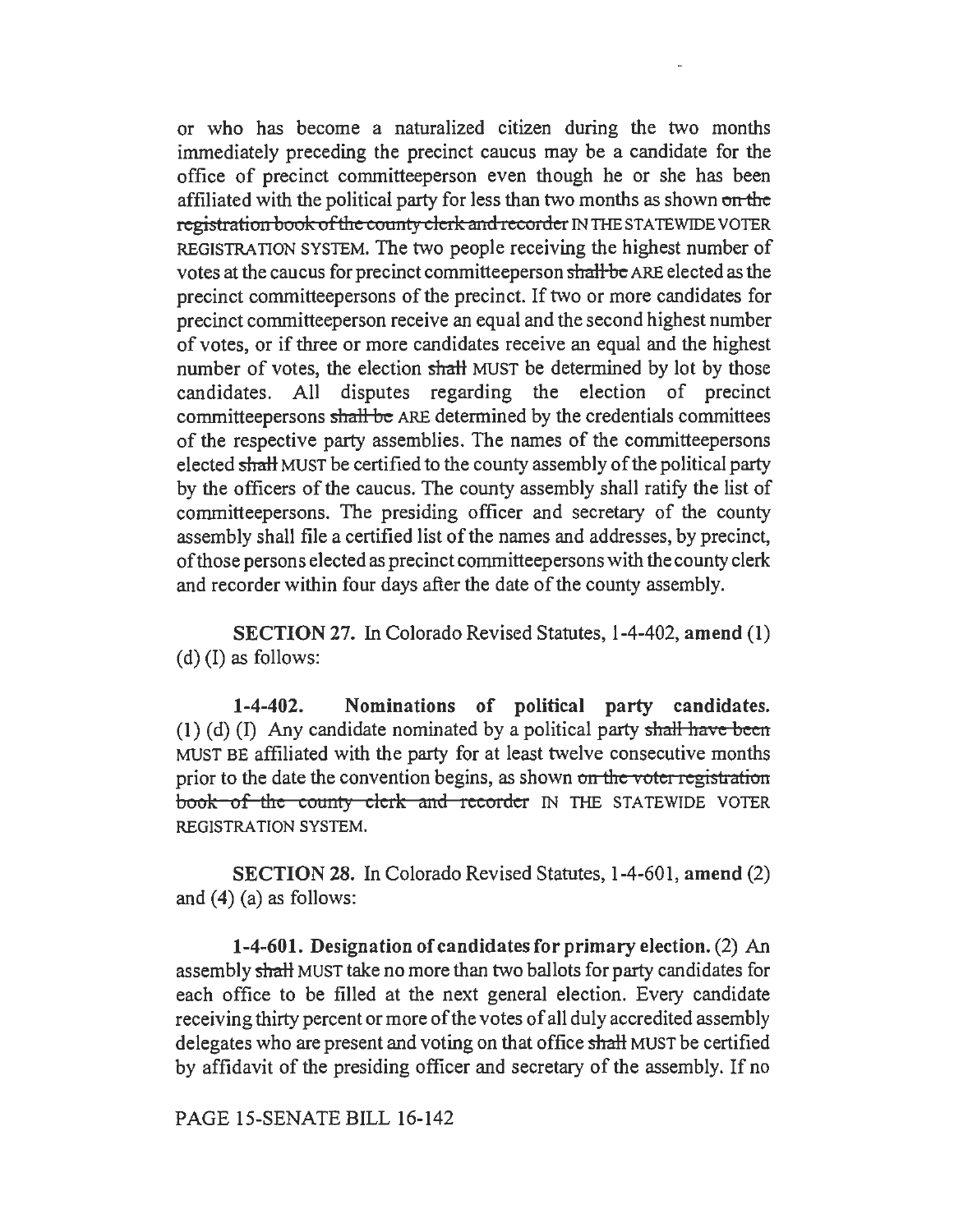or who has become a naturalized citizen during the two months immediately preceding the precinct caucus may be a candidate for the office of precinct committeeperson even though he or she has been affiliated with the political party for less than two months as shown on the registration book of the county clerk and recorder IN THE STATEWIDE VOTER REGISTRATION SYSTEM. The two people receiving the highest number of votes at the caucus for precinct committeeperson shall be ARE elected as the precinct comrnitteepersons of the precinct. If two or more candidates for precinct committeeperson receive an equal and the second highest number of votes, or if three or more candidates receive an equal and the highest number of votes, the election shall MUST be determined by lot by those candidates. All disputes regarding the election of precinct committeepersons shall be ARE determined by the credentials committees of the respective party assemblies. The names of the committeepersons elected shall MUST be certified to the county assembly of the political party by the officers of the caucus. The county assembly shall ratify the list of committeepersons. The presiding officer and secretary of the county assembly shall file a certified list of the names and addresses, by precinct, of those persons elected as precinct committeepersons with the county clerk and recorder within four days after the date of the county assembly.

SECTION 27. In Colorado Revised Statutes, 1-4-402, amend (1) (d) (I) as follows:

1-4-402. Nominations of political party candidates. (1) (d) (I) Any candidate nominated by a political party shall have been MUST BE affiliated with the party for at least twelve consecutive months prior to the date the convention begins, as shown on the voter registration book of the county clerk and recorder IN THE STATEWIDE VOTER REGISTRATION SYSTEM.

SECTION 28. In Colorado Revised Statutes, 1-4-601, amend (2) and (4) (a) as follows:

1-4-601. Designation of candidates for primary election. (2) An assembly shaH MUST take no more than two ballots for party candidates for each office to be filled at the next general election. Every candidate receiving thirty percent or more of the votes of all duly accredited assembly delegates who are present and voting on that office shall MUST be certified by affidavit of the presiding officer and secretary of the assembly. If no

PAGE 15-SENATE BILL 16-142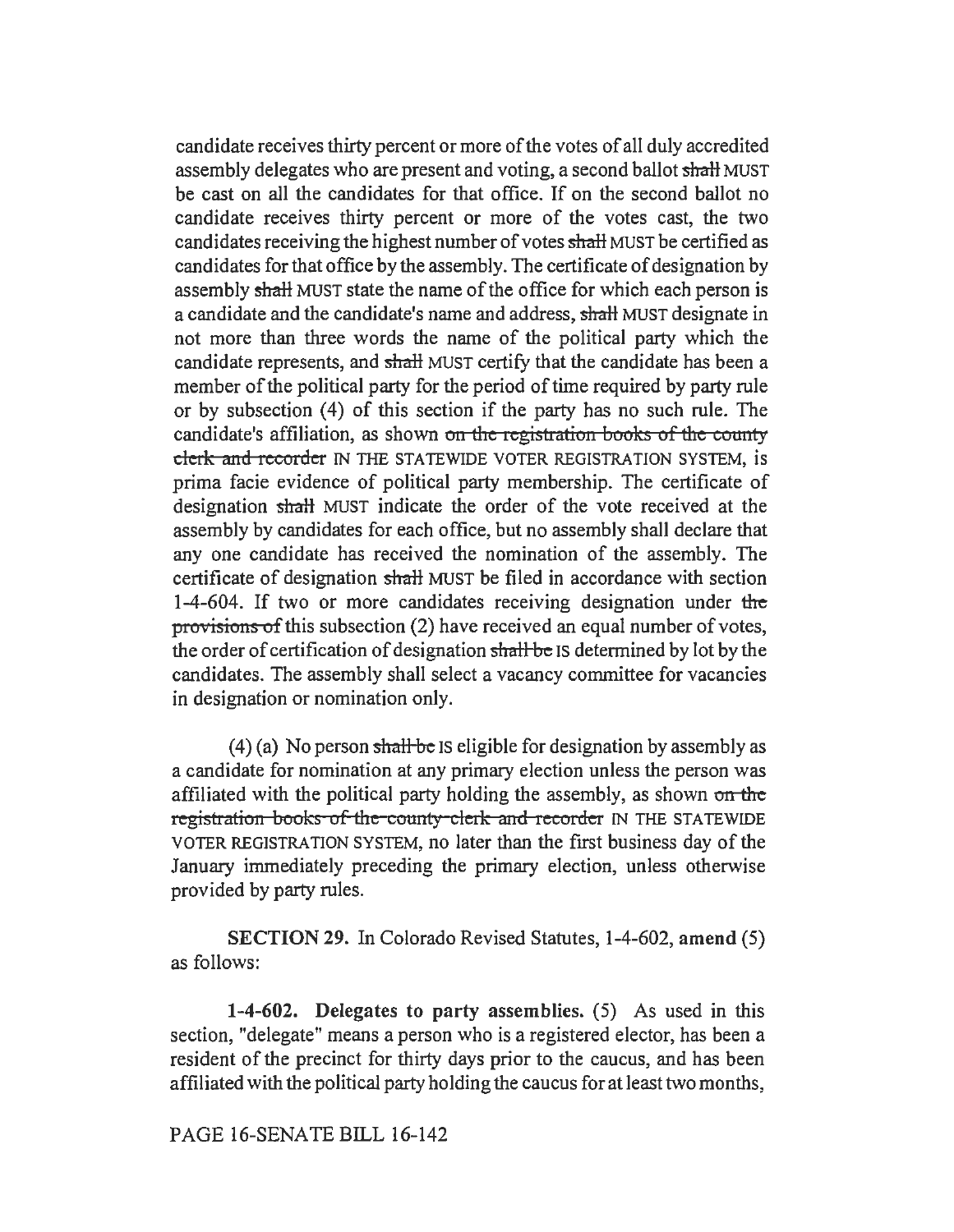candidate receives thirty percent or more of the votes of all duly accredited assembly delegates who are present and voting, a second ballot shall MUST be cast on all the candidates for that office. If on the second ballot no candidate receives thirty percent or more of the votes cast, the two candidates receiving the highest number of votes shall MUST be certified as candidates for that office by the assembly. The certificate of designation by assembly shall MUST state the name of the office for which each person is a candidate and the candidate's name and address, shall MUST designate in not more than three words the name of the political party which the candidate represents, and shall MUST certify that the candidate has been a member of the political party for the period of time required by party rule or by subsection (4) of this section if the party has no such rule. The candidate's affiliation, as shown on the registration books of the county clerk and recorder IN THE STATEWIDE VOTER REGISTRATION SYSTEM, is prima facie evidence of political party membership. The certificate of designation shaH MUST indicate the order of the vote received at the assembly by candidates for each office, but no assembly shall declare that any one candidate has received the nomination of the assembly. The certificate of designation shall MUST be filed in accordance with section 1-4-604. If two or more candidates receiving designation under the provisions of this subsection (2) have received an equal number of votes, the order of certification of designation shall be IS determined by lot by the candidates. The assembly shall select a vacancy committee for vacancies in designation or nomination only.

(4) (a) No person shall be IS eligible for designation by assembly as a candidate for nomination at any primary election unless the person was affiliated with the political party holding the assembly, as shown on the registration books of the county clerk and recorder IN THE STATEWIDE VOTER REGISTRATION SYSTEM, no later than the first business day of the January immediately preceding the primary election, unless otherwise provided by party rules.

SECTION 29. In Colorado Revised Statutes, 1-4-602, amend (5) as follows:

1-4-602. Delegates to party assemblies. (5) As used in this section, "delegate" means a person who is a registered elector, has been a resident of the precinct for thirty days prior to the caucus, and has been affiliated with the political party holding the caucus for at least two months,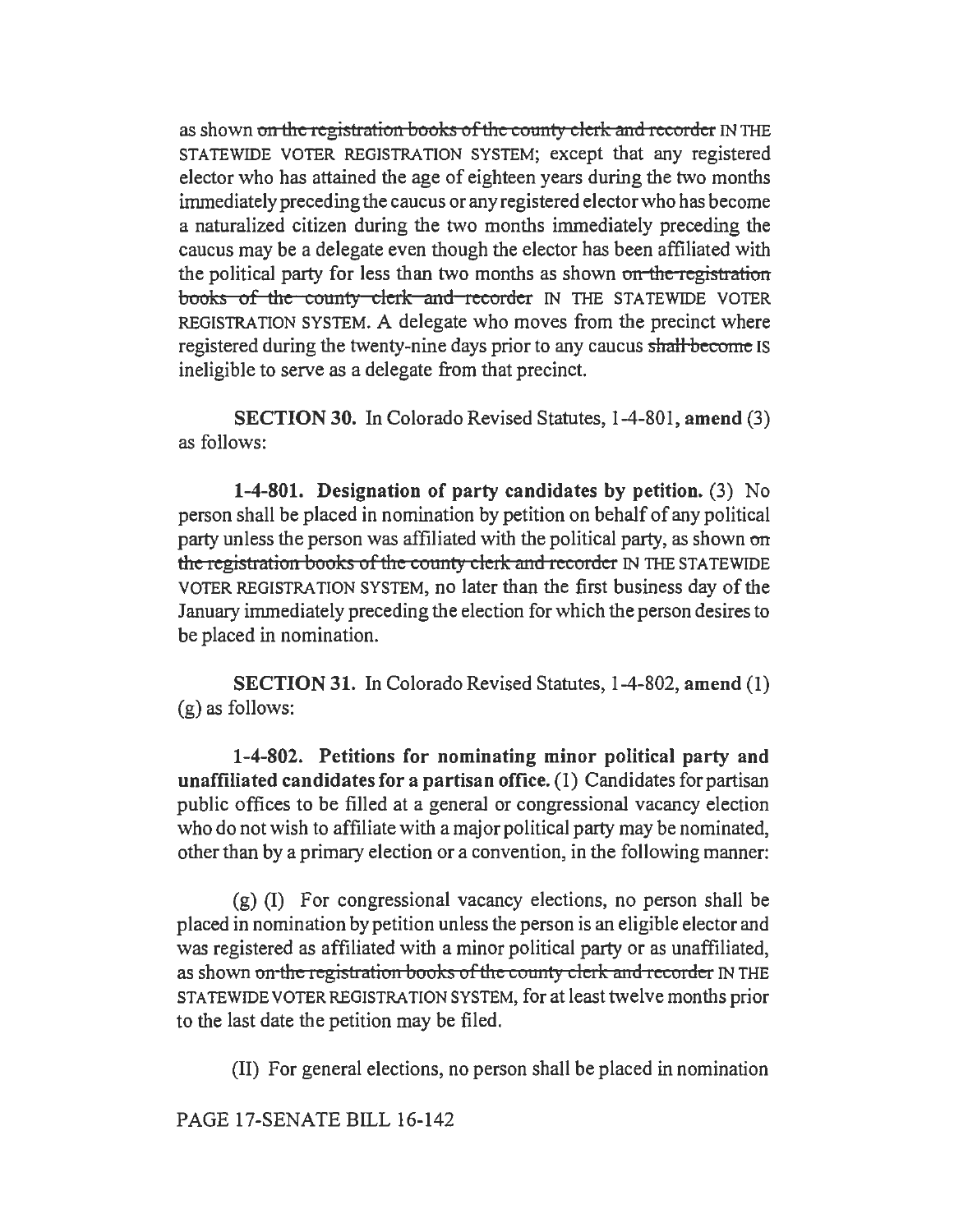as shown on the registration books of the county clerk and recorder IN THE STATEWIDE VOTER REGISTRATION SYSTEM; except that any registered elector who has attained the age of eighteen years during the two months immediately preceding the caucus or any registered elector who has become a naturalized citizen during the two months immediately preceding the caucus may be a delegate even though the elector has been affiliated with the political party for less than two months as shown on the registration books of the county clerk and recorder IN THE STATEWIDE VOTER REGISTRATION SYSTEM. A delegate who moves from the precinct where registered during the twenty-nine days prior to any caucus shall become IS ineligible to serve as a delegate from that precinct.

SECTION 30. In Colorado Revised Statutes, 1-4-801, amend (3) as follows:

1-4-801. Designation of party candidates by petition. (3) No person shall be placed in nomination by petition on behalf of any political party unless the person was affiliated with the political party, as shown on the registration books of the county clerk and recorder IN THE STATEWIDE VOTER REGISTRATION SYSTEM, no later than the first business day of the January immediately preceding the election for which the person desires to be placed in nomination.

SECTION 31. In Colorado Revised Statutes, 1-4-802, amend (1) (g) as follows:

1-4-802. Petitions for nominating minor political party and unaffiliated candidates for a partisan office. (1) Candidates for partisan public offices to be filled at a general or congressional vacancy election who do not wish to affiliate with a major political party may be nominated, other than by a primary election or a convention, in the following manner:

(g) (I) For congressional vacancy elections, no person shall be placed in nomination by petition unless the person is an eligible elector and was registered as affiliated with a minor political party or as unaffiliated, as shown on the registration books of the county clerk and recorder IN THE STATEWIDE VOTER REGISTRATION SYSTEM, for at least twelve months prior to the last date the petition may be filed.

(II) For general elections, no person shall be placed in nomination

PAGE 17-SENATE BILL 16-142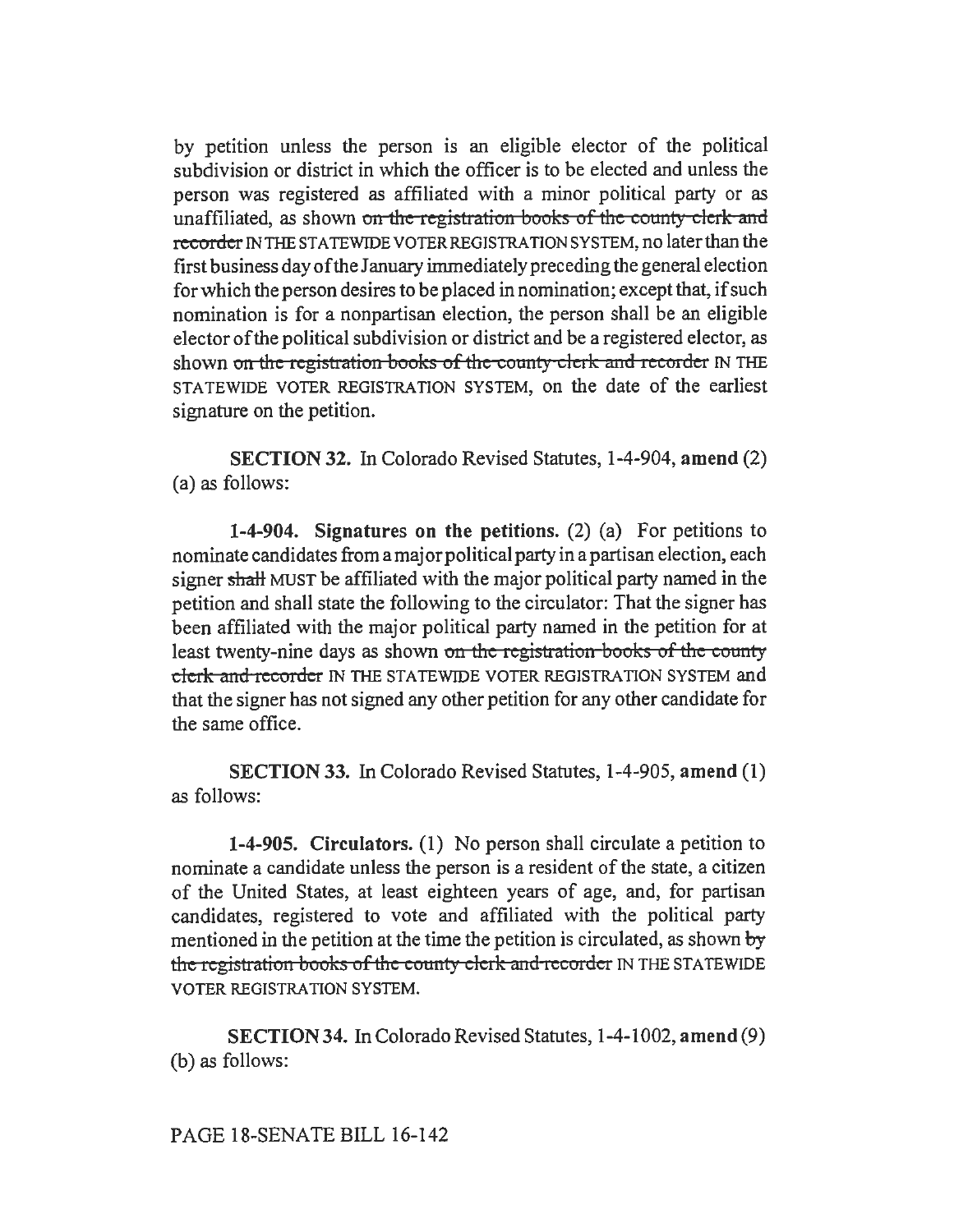by petition unless the person is an eligible elector of the political subdivision or district in which the officer is to be elected and unless the person was registered as affiliated with a minor political party or as unaffiliated, as shown on the registration books of the county clerk and recorder IN THE STATEWIDE VOTER REGISTRATION SYSTEM, no later than the first business day of the January immediately preceding the general election for which the person desires to be placed in nomination; except that, if such nomination is for a nonpartisan election, the person shall be an eligible elector of the political subdivision or district and be a registered elector, as shown on the registration books of the county clerk and recorder IN THE STATEWIDE VOTER REGISTRATION SYSTEM, on the date of the earliest signature on the petition.

SECTION 32. In Colorado Revised Statutes, 1-4-904, amend (2) (a) as follows:

1-4-904. Signatures on the petitions. (2) (a) For petitions to nominate candidates from amajorpolitical party in a partisan election, each signer shall MUST be affiliated with the major political party named in the petition and shall state the following to the circulator: That the signer has been affiliated with the major political party named in the petition for at least twenty-nine days as shown on the registration-books of the county clerk and recorder IN THE STATEWIDE VOTER REGISTRATION SYSTEM and that the signer has not signed any other petition for any other candidate for the same office.

SECTION 33. In Colorado Revised Statutes, 1-4-905, amend (1) as follows:

1-4-905. Circulators. (1) No person shall circulate a petition to nominate a candidate unless the person is a resident of the state, a citizen of the United States, at least eighteen years of age, and, for partisan candidates, registered to vote and affiliated with the political party mentioned in the petition at the time the petition is circulated, as shown by the registration books of the county clerk and recorder IN THE STATEWIDE VOTER REGISTRATION SYSTEM.

SECTION 34. In Colorado Revised Statutes, 1-4-1002, amend (9) (b) as follows: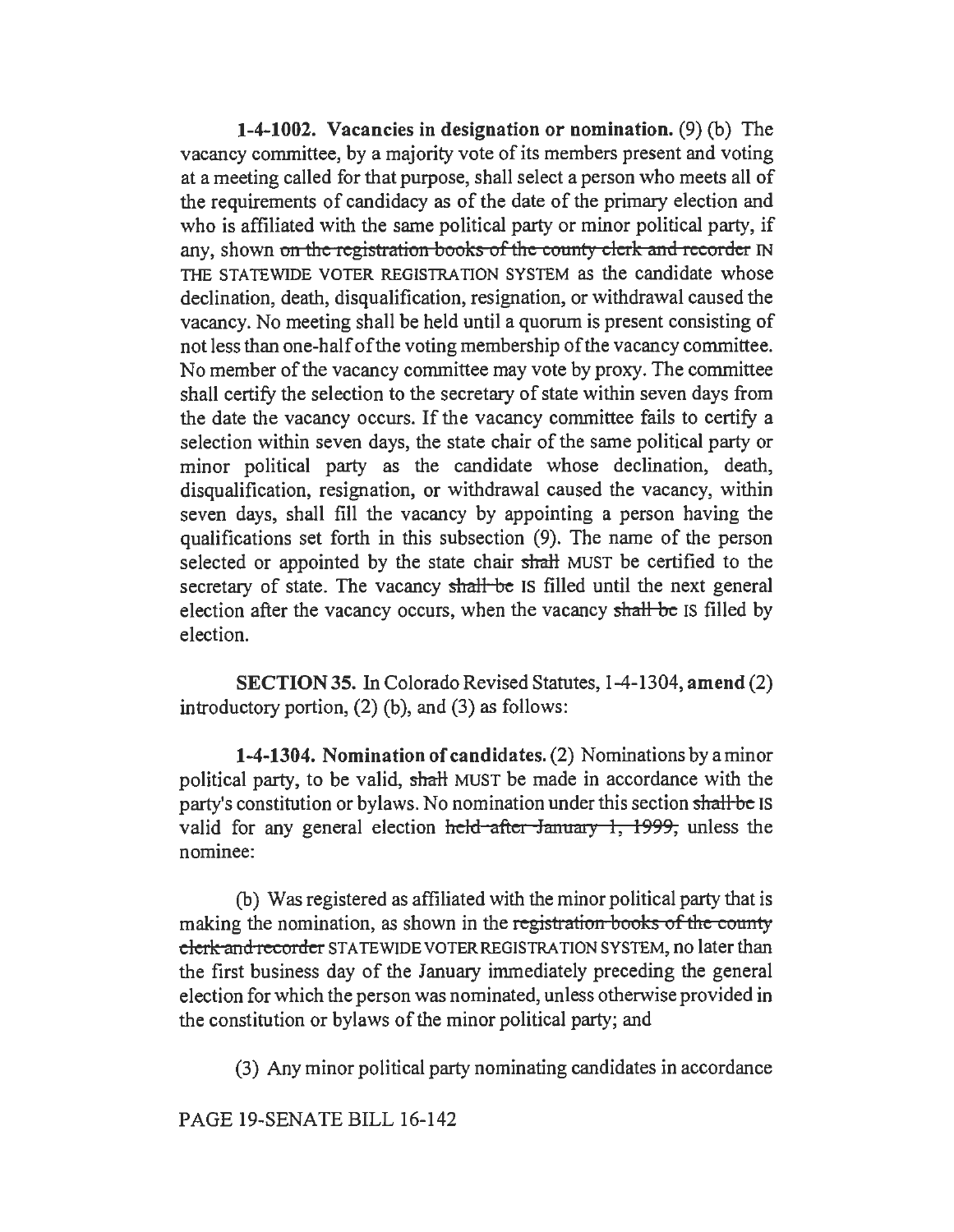1-4-1002. Vacancies in designation or nomination. (9) (b) The vacancy committee, by a majority vote of its members present and voting at a meeting called for that purpose, shall select a person who meets all of the requirements of candidacy as of the date of the primary election and who is affiliated with the same political party or minor political party, if any, shown on the registration books of the county clerk and recorder IN THE STATEWIDE VOTER REGISTRATION SYSTEM as the candidate whose declination, death, disqualification, resignation, or withdrawal caused the vacancy. No meeting shall be held until a quorum is present consisting of not less than one-half of the voting membership of the vacancy committee. No member of the vacancy committee may vote by proxy. The committee shall certify the selection to the secretary of state within seven days from the date the vacancy occurs. If the vacancy committee fails to certify a selection within seven days, the state chair of the same political party or minor political party as the candidate whose declination, death, disqualification, resignation, or withdrawal caused the vacancy, within seven days, shall fill the vacancy by appointing a person having the qualifications set forth in this subsection (9). The name of the person selected or appointed by the state chair shall MUST be certified to the secretary of state. The vacancy shall be IS filled until the next general election after the vacancy occurs, when the vacancy shall be IS filled by election.

SECTION 35. In Colorado Revised Statutes, 1-4-1304, amend (2) introductory portion,  $(2)$  (b), and  $(3)$  as follows:

1-4-1304. Nomination of candidates. (2) Nominations by a minor political party, to be valid, shall MUST be made in accordance with the party's constitution or bylaws. No nomination under this section shall be IS valid for any general election held after January 1, 1999, unless the nominee:

(b) Was registered as affiliated with the minor political party that is making the nomination, as shown in the registration books of the county clerk and recorder STATEWIDE VOTER REGISTRATION SYSTEM, no later than the first business day of the January immediately preceding the general election for which the person was nominated, unless otherwise provided in the constitution or bylaws of the minor political party; and

(3) Any minor political party nominating candidates in accordance

PAGE 19-SENATE BILL 16-142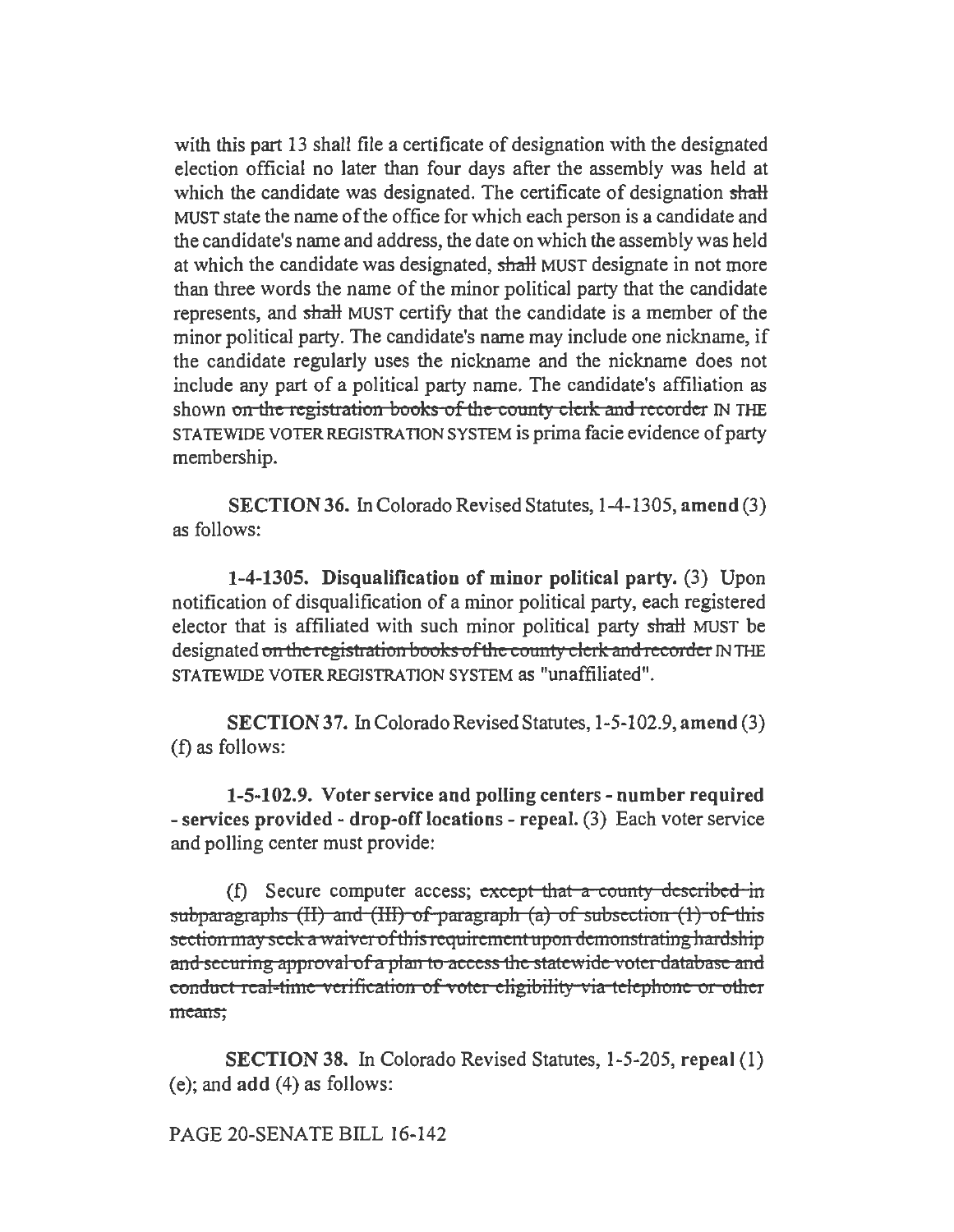with this part 13 shall file a certificate of designation with the designated election official no later than four days after the assembly was held at which the candidate was designated. The certificate of designation shall MUST state the name of the office for which each person is a candidate and the candidate's name and address, the date on which the assembly was held at which the candidate was designated, shall MUST designate in not more than three words the name of the minor political party that the candidate represents, and shall MUST certify that the candidate is a member of the minor political party. The candidate's name may include one nickname, if the candidate regularly uses the nickname and the nickname does not include any part of a political party name. The candidate's affiliation as shown on the registration books of the county clerk and recorder IN THE STATEWIDE VOTER REGISTRATION SYSTEM is prima facie evidence of party membership.

SECTION 36. In Colorado Revised Statutes, 1-4-1305, amend (3) as follows:

1-4-1305. Disqualification of minor political party. (3) Upon notification of disqualification of a minor political party, each registered elector that is affiliated with such minor political party shaH MUST be designated on the registration books of the county clerk and recorder IN THE STATEWIDE VOTER REGISTRATION SYSTEM as "unaffiliated".

SECTION 37. In Colorado Revised Statutes, 1-5-102.9, amend (3) (f) as follows:

1-5-102.9. Voter service and polling centers - number required - services provided - drop-off locations - repeal. (3) Each voter service and polling center must provide:

(f) Secure computer access; except that a county described in subparagraphs (II) and (III) of paragraph (a) of subsection  $(1)$  of this section may seek a waiver of this requirement upon demonstrating hardship and securing approval of a plan to access the statewide voter database and conduct real-time verification of voter eligibility via telephone or other means:

SECTION 38. In Colorado Revised Statutes, 1-5-205, repeal (I) (e); and add (4) as follows:

PAGE 20-SENATE BILL 16-142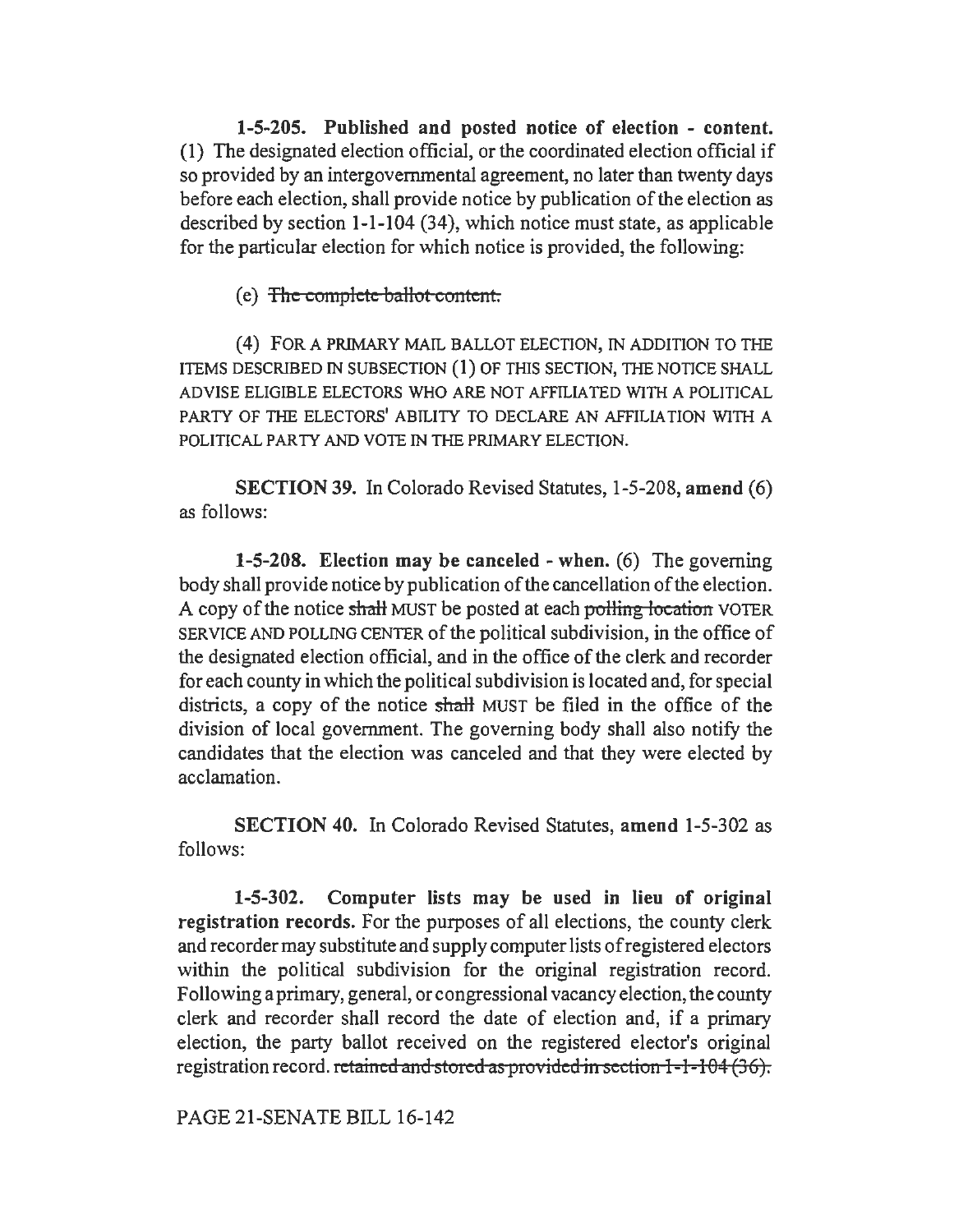1-5-205. Published and posted notice of election - content. (1) The designated election official, or the coordinated election official if so provided by an intergovernmental agreement, no later than twenty days before each election, shall provide notice by publication of the election as described by section 1-1-104 (34), which notice must state, as applicable for the particular election for which notice is provided, the following:

(e) The complete ballot content.

(4) FOR A PRIMARY MAIL BALLOT ELECTION, IN ADDITION TO THE ITEMS DESCRIBED IN SUBSECTION (1) OF THIS SECTION, THE NOTICE SHALL ADVISE ELIGIBLE ELECTORS WHO ARE NOT AFFILIATED WITH A POLITICAL PARTY OF THE ELECTORS' ABILITY TO DECLARE AN AFFILIATION WITH A POLITICAL PARTY AND VOTE IN THE PRIMARY ELECTION.

SECTION 39. In Colorado Revised Statutes, 1-5-208, amend (6) as follows:

1-5-208. Election may be canceled - when. (6) The governing body shall provide notice by publication of the cancellation of the election. A copy of the notice shall MUST be posted at each polling location VOTER SERVICE AND POLLING CENTER of the political subdivision, in the office of the designated election official, and in the office of the clerk and recorder for each county in which the political subdivision is located and, for special districts, a copy of the notice shall MUST be filed in the office of the division of local government. The governing body shall also notify the candidates that the election was canceled and that they were elected by acclamation.

SECTION 40. In Colorado Revised Statutes, amend 1-5-302 as follows:

1-5-302. Computer lists may be used in lieu of original registration records. For the purposes of all elections, the county clerk and recorder may substitute and supply computer lists of registered electors within the political subdivision for the original registration record. Following a primary, general, or congressional vacancy election, the county clerk and recorder shall record the date of election and, if a primary election, the party ballot received on the registered elector's original registration record. retained and stored as provided in section 1-1-104 (36).

PAGE 21-SENATE BILL 16-142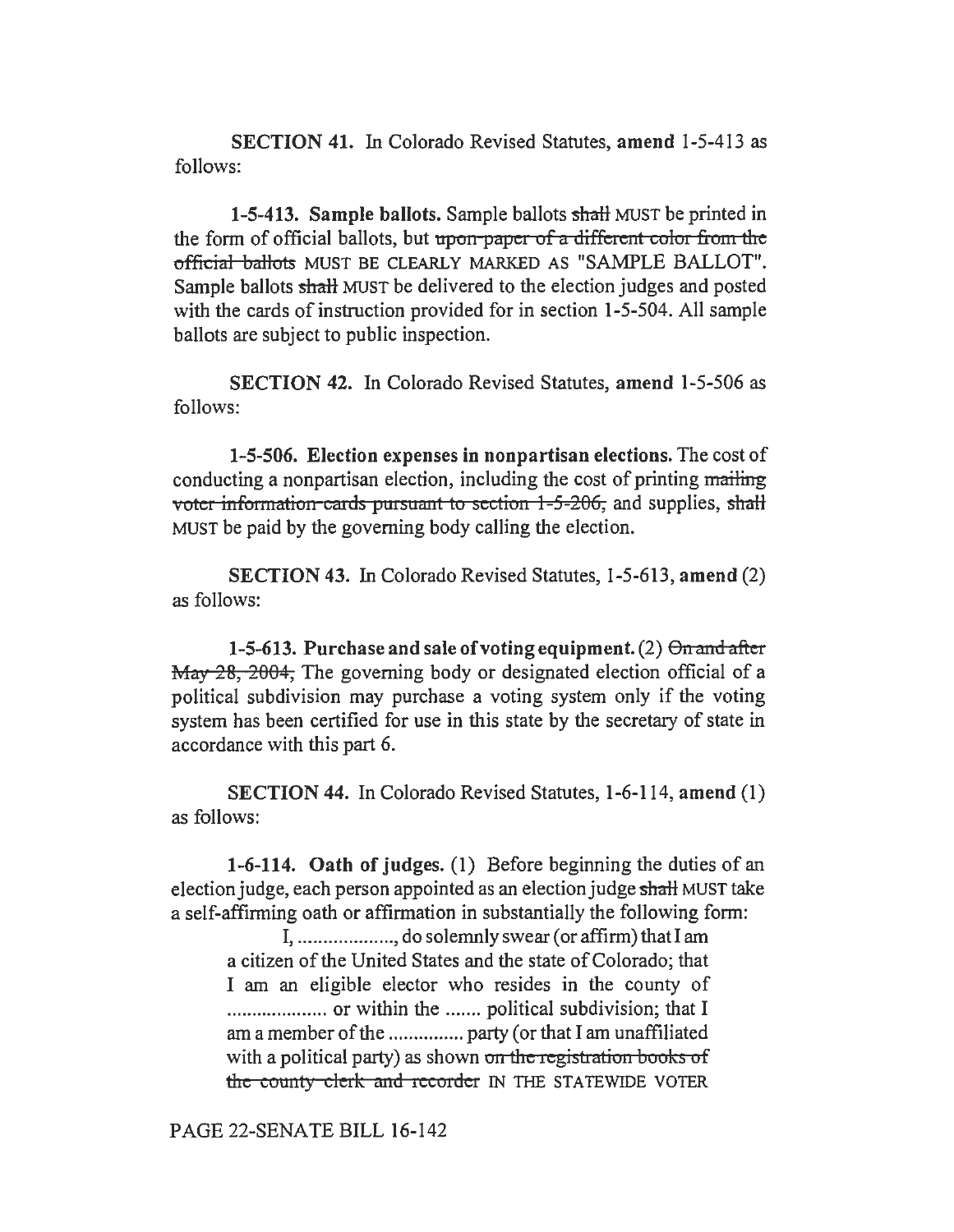SECTION 41. In Colorado Revised Statutes, amend 1-5-413 as follows:

1-5-413. Sample ballots. Sample ballots shall MUST be printed in the form of official ballots, but upon-paper of a different color from the official ballots MUST BE CLEARLY MARKED AS "SAMPLE BALLOT". Sample ballots shalt MUST be delivered to the election judges and posted with the cards of instruction provided for in section 1-5-504. All sample ballots are subject to public inspection.

SECTION 42. In Colorado Revised Statutes, amend 1-5-506 as follows:

1-5-506. Election expenses in nonpartisan elections. The cost of conducting a nonpartisan election, including the cost of printing mailing voter information cards pursuant to section  $1-5-206$ , and supplies, shall MUST be paid by the governing body calling the election.

SECTION 43. In Colorado Revised Statutes, 1-5-613, amend (2) as follows:

1-5-613. Purchase and sale of voting equipment.  $(2)$   $\Theta$  and after  $\frac{1}{28}$ , 2004, The governing body or designated election official of a political subdivision may purchase a voting system only if the voting system has been certified for use in this state by the secretary of state in accordance with this part 6.

SECTION 44. In Colorado Revised Statutes, 1-6-114, amend (1) as follows:

1-6-114. Oath of judges. (1) Before beginning the duties of an election judge, each person appointed as an election judge shall MUST take a self-affinning oath or affirmation in substantially the following form:

I, ................... , do solemnly swear(or affirm) that I am a citizen of the United States and the state of Colorado; that I am an eligible elector who resides in the county of .................... or within the ....... political subdivision; that I am a member of the ............... party (or that I am unaffiliated with a political party) as shown on the registration books of the county-clerk and recorder IN THE STATEWIDE VOTER

PAGE 22-SENATE BILL 16-142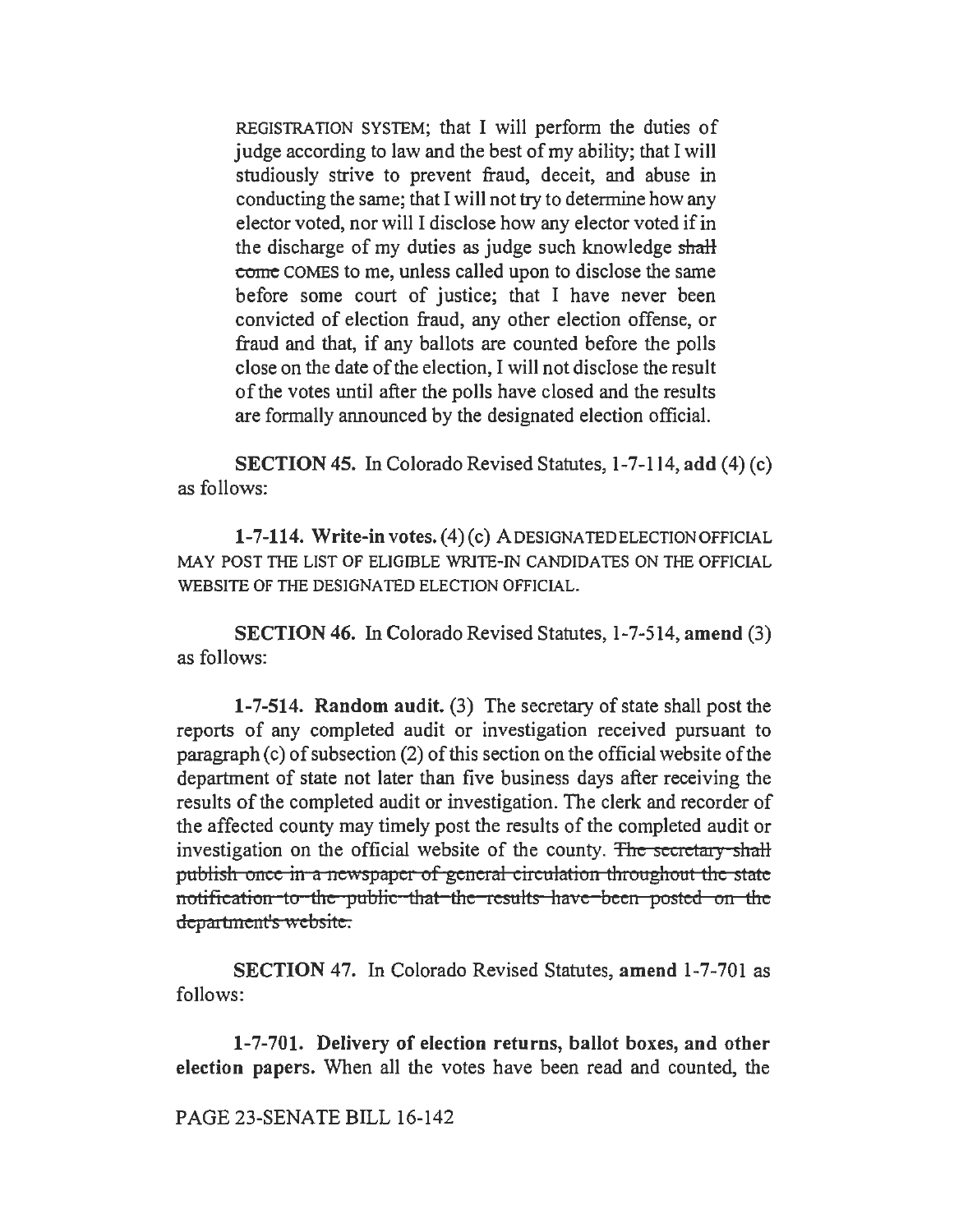REGISTRATION SYSTEM; that I will perform the duties of judge according to law and the best of my ability; that I will studiously strive to prevent fraud, deceit, and abuse in conducting the same; that I will not try to determine how any elector voted, nor will I disclose how any elector voted if in the discharge of my duties as judge such knowledge shall eomc COMES to me, unless called upon to disclose the same before some court of justice; that I have never been convicted of election fraud, any other election offense, or fraud and that, if any ballots are counted before the polls close on the date of the election, I will not disclose the result of the votes until after the polls have closed and the results are formally announced by the designated election official.

SECTION 45. In Colorado Revised Statutes, 1-7-114, add (4) (c) as follows:

1-7-114. Write-in votes. (4) (c) A DESIGNATED ELECTION OFFICIAL MAY POST THE LIST OF ELIGIBLE WRITE-IN CANDIDATES ON THE OFFICIAL WEBSITE OF THE DESIGNATED ELECTION OFFICIAL.

SECTION 46. In Colorado Revised Statutes, 1-7-514, amend (3) as follows:

1-7-514. Random audit. (3) The secretary of state shall post the reports of any completed audit or investigation received pursuant to paragraph (c) of subsection (2) of this section on the official website of the department of state not later than five business days after receiving the results of the completed audit or investigation. The clerk and recorder of the affected county may timely post the results of the completed audit or investigation on the official website of the county. The secretary shall publish once in a newspaper of general circulation throughout the state notification to the public that the results have been posted on the department's website.

SECTION 47. In Colorado Revised Statutes, amend 1-7-701 as follows:

1-7-701. Delivery of election returns, ballot boxes, and other election papers. When all the votes have been read and counted, the

PAGE 23-SENATE BILL 16-142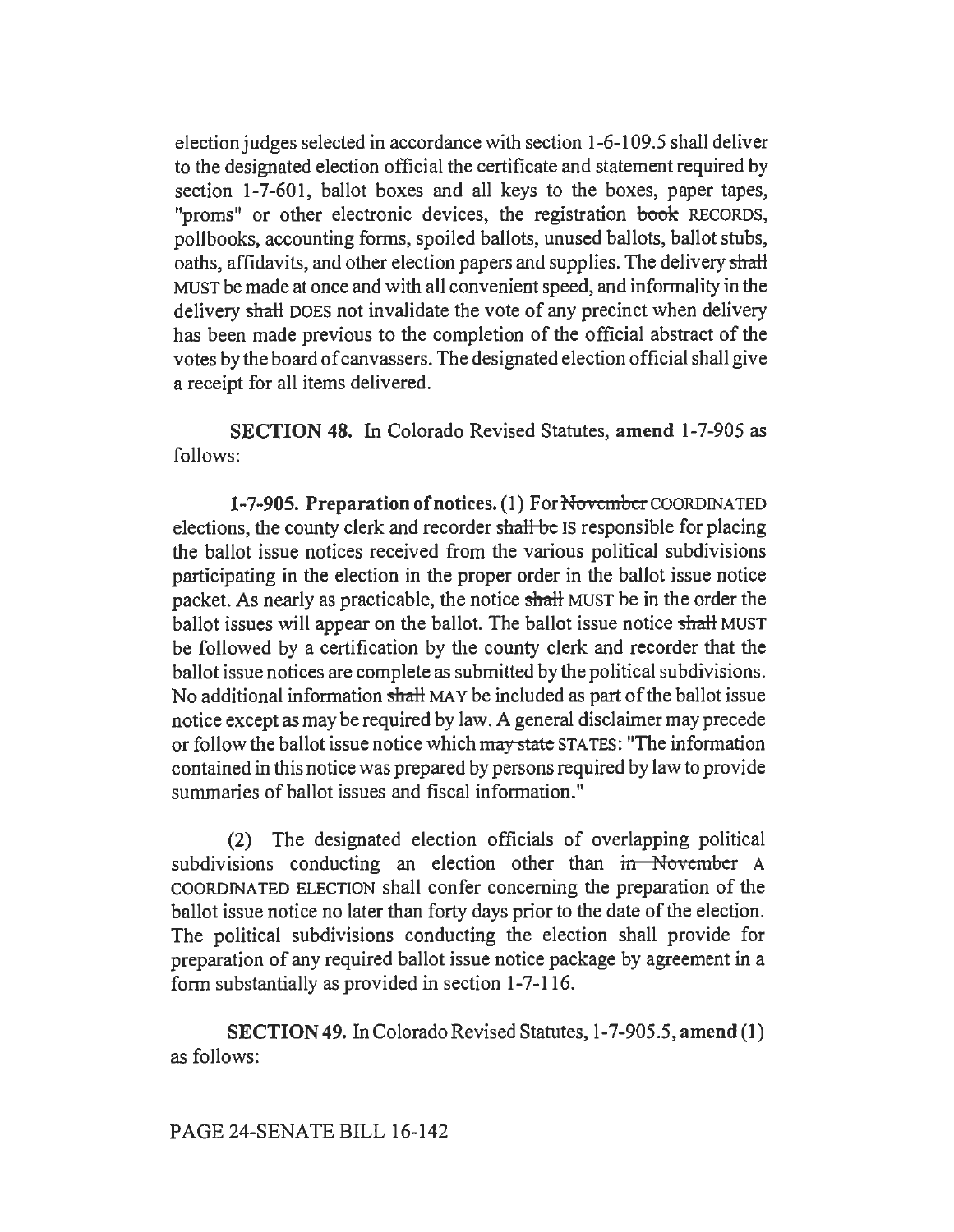election judges selected in accordance with section 1-6-109.5 shall deliver to the designated election official the certificate and statement required by section 1-7-601, ballot boxes and all keys to the boxes, paper tapes, "proms" or other electronic devices, the registration book RECORDS, pollbooks, accounting forms, spoiled ballots, unused ballots, ballot stubs, oaths, affidavits, and other election papers and supplies. The delivery shall MUST be made at once and with all convenient speed, and informality in the delivery shall DOES not invalidate the vote of any precinct when delivery has been made previous to the completion of the official abstract of the votes by the board of canvassers. The designated election official shall give a receipt for all items delivered.

SECTION 48. In Colorado Revised Statutes, amend 1-7-905 as follows:

1-7-905. Preparation of notices. (1) For November COORDINATED elections, the county clerk and recorder shall be IS responsible for placing the ballot issue notices received from the various political subdivisions participating in the election in the proper order in the ballot issue notice packet. As nearly as practicable, the notice shall MUST be in the order the ballot issues will appear on the ballot. The ballot issue notice shall MUST be followed by a certification by the county clerk and recorder that the ballot issue notices are complete as submitted by the political subdivisions. No additional information shall MAY be included as part of the ballot issue notice except as may be required by law. A general disclaimer may precede or follow the ballot issue notice which may state STATES: "The information contained in this notice was prepared by persons required by law to provide summaries of ballot issues and fiscal information."

(2) The designated election officials of overlapping political subdivisions conducting an election other than in November A COORDINATED ELECTION shall confer concerning the preparation of the ballot issue notice no later than forty days prior to the date of the election. The political subdivisions conducting the election shall provide for preparation of any required ballot issue notice package by agreement in a form substantially as provided in section 1-7-116.

SECTION 49. In Colorado Revised Statutes, 1-7-905.5, amend (1) as follows: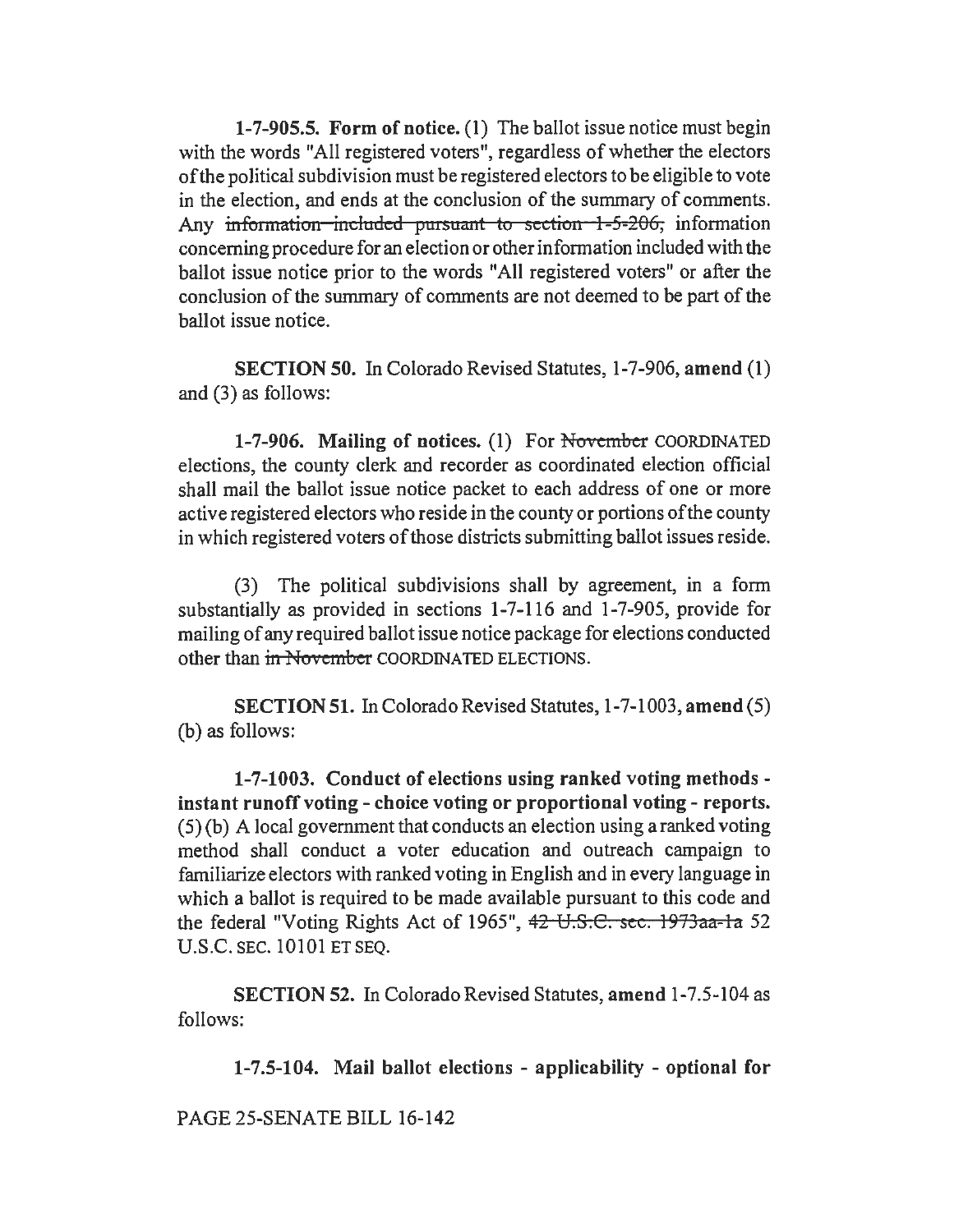1-7-905.5. Form of notice. (1) The ballot issue notice must begin with the words "All registered voters", regardless of whether the electors of the political subdivision must be registered electors to be eligible to vote in the election, and ends at the conclusion of the summary of comments. Any information included pursuant to section 1-5-206, information concerning procedure for an election or other information included with the ballot issue notice prior to the words "All registered voters" or after the conclusion of the summary of comments are not deemed to be part of the ballot issue notice.

SECTION 50. In Colorado Revised Statutes, 1-7-906, amend (I) and (3) as follows:

1-7-906. Mailing of notices. (1) For November COORDINATED elections, the county clerk and recorder as coordinated election official shall mail the ballot issue notice packet to each address of one or more active registered electors who reside in the county or portions of the county in which registered voters of those districts submitting ballot issues reside.

(3) The political subdivisions shall by agreement, in a form substantially as provided in sections 1-7-116 and 1-7-905, provide for mailing of any required ballot issue notice package for elections conducted other than in November COORDINATED ELECTIONS.

SECTION 51. In Colorado Revised Statutes, 1-7-1003, amend (5) (b) as follows:

1-7-1003. Conduct of elections using ranked voting methods instant runoff voting - choice voting or proportional voting - reports. (5) (b) A local government that conducts an election using a ranked voting method shall conduct a voter education and outreach campaign to familiarize electors with ranked voting in English and in every language in which a ballot is required to be made available pursuant to this code and the federal "Voting Rights Act of 1965", 42 U.S.C. sec. 1973aa-la 52 U.S.C. SEC. 10101 ET SEQ.

SECTION 52. In Colorado Revised Statutes, amend 1-7.5-104 as follows:

1-7.5-104. Mail ballot elections - applicability - optional for

PAGE 25-SENATE BILL 16-142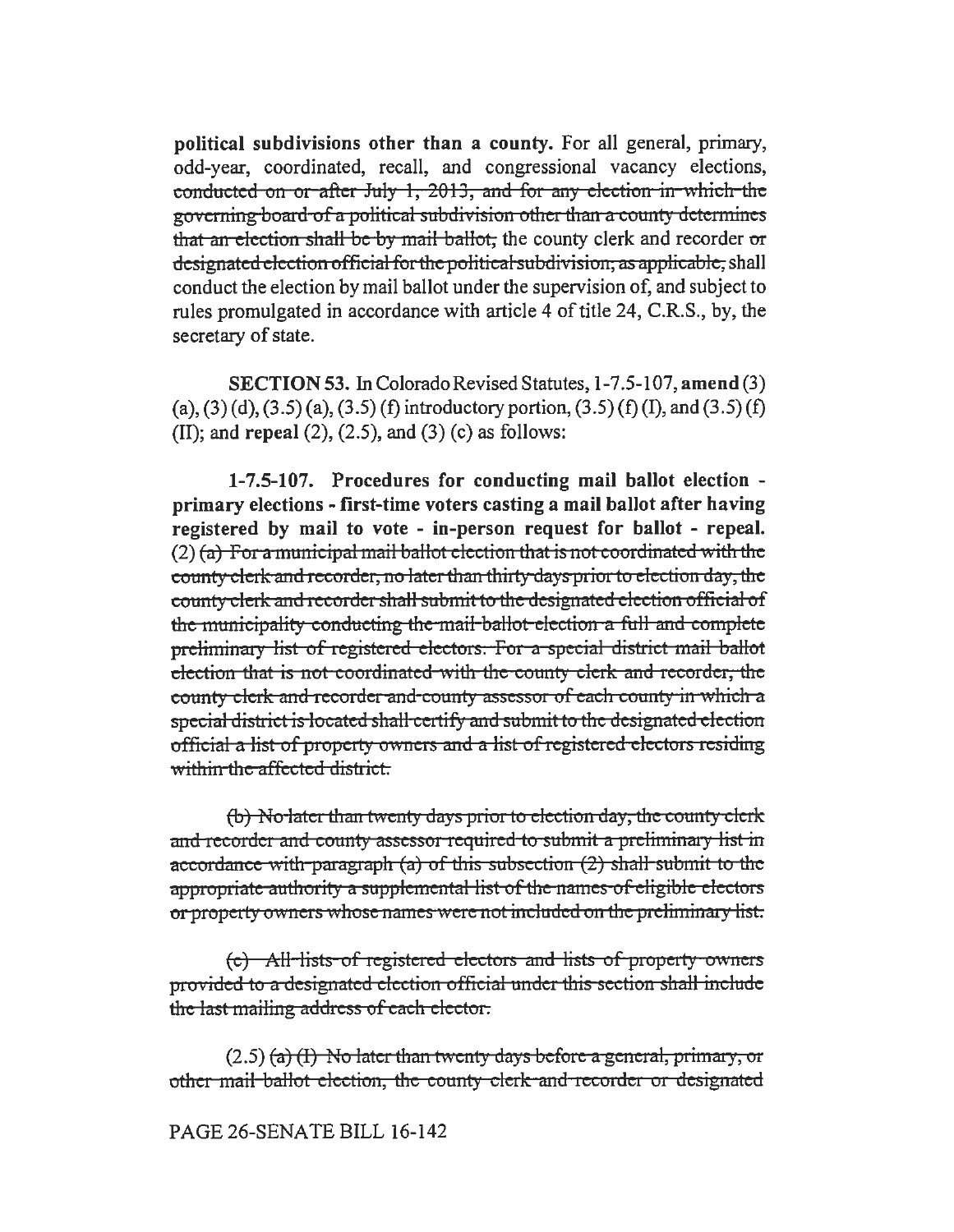political subdivisions other than a county. For all general, primary, odd-year, coordinated, recall, and congressional vacancy elections, conducted on or after July 1, 2013, and for any election in which the governing board of a political subdivision other than a county determines that an election shall be *by* mail ballot, the county clerk and recorder or designated election official for the political subdivision, as applicable, shall conduct the election by mail ballot under the supervision of, and subject to rules promulgated in accordance with article 4 of title 24, C.R.S., by, the secretary of state.

SECTION 53. In Colorado Revised Statutes, 1-7 .5-107, amend (3) (a), (3) (d), (3.5) (a), (3.5) (f) introductory portion, (3.5) (f) (I), and (3.5) (f) (II); and repeal  $(2)$ ,  $(2.5)$ , and  $(3)$   $(c)$  as follows:

1-7.5-107. Procedures for conducting mail ballot election primary elections - first-time voters casting a mail ballot after having registered by mail to vote - in-person request for ballot - repeal.  $(2)$  (a) For a municipal mail ballot election that is not coordinated with the county clerk and recorder, no later than thirty days prior to election day, the county clerk and recorder shall submit to the designated election official of the municipality conducting the mail ballot election a full and complete preliminary list of registered electors. For a special district mail ballot election that is not coordinated with the county clerk and recorder, the county clerk and recorder and county assessor of each county in which a special district is located shall certify and submit to the designated election official a list of property owners and a list of registered electors residing within the affected district.

(b) No later than twenty days prior to election day, the county clerk and recorder and county assessor required to submit a preliminary list in accordance with paragraph (a) of this subsection  $(2)$  shall-submit to the appropriate authority a supplemental list of the names of eligible electors or property owners whose names were not included on the preliminary list.

(c) All-lists of registered electors and lists of property owners provided to a designated election official under this section shall include the last mailing address of each elector.

 $(2.5)$  (a) (I) No later than twenty days before a general, primary, or other mail ballot election, the county clerk and recorder or designated

PAGE 26-SENATE BILL 16-142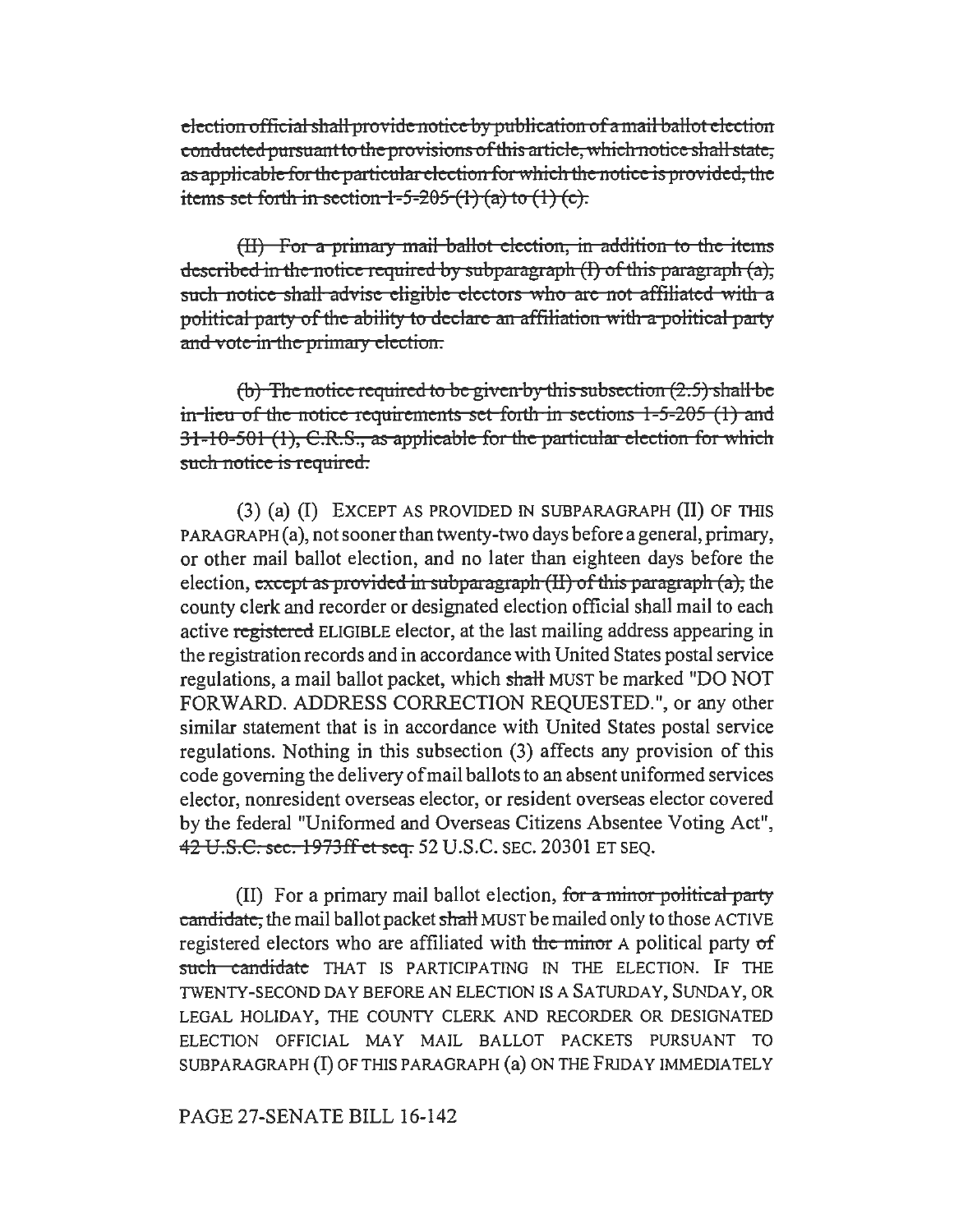election official shall provide notice by publication of a mail ballot election conducted pursuant to the provisions of this article, which notice shall state, as applicable for the particular election for which the notice is provided, the items set forth in section  $1-5-205$  (1) (a) to (1) (c).

(II) For a primary mail ballot election, in addition to the items described in the notice required by subparagraph (I) of this paragraph (a), such notice shall advise eligible electors who are not affiliated with a political party of the ability to declare an affiliation with a political party and vote in the primary election.

(b) The notice required to be given by this subsection  $(2.5)$  shall be in-lieu of the notice requirements set forth in sections  $1-5-205$  (1) and  $31-10-501$  (1), C.R.S., as applicable for the particular election for which such notice is required.

(3) (a) (I) EXCEPT AS PROVIDED IN SUBPARAGRAPH (II) OF THIS PARA GRAPH (a), not sooner than twenty-two days before a general, primary, or other mail ballot election, and no later than eighteen days before the election, except as provided in subparagraph  $(H)$  of this paragraph (a), the county clerk and recorder or designated election official shall mail to each active registered ELIGIBLE elector, at the last mailing address appearing in the registration records and in accordance with United States postal service regulations, a mail ballot packet, which shall MUST be marked "DO NOT" FORWARD. ADDRESS CORRECTION REQUESTED.", or any other similar statement that is in accordance with United States postal service regulations. Nothing in this subsection (3) affects any provision of this code governing the delivery of mail ballots to an absent uniformed services elector, nonresident overseas elector, or resident overseas elector covered by the federal "Uniformed and Overseas Citizens Absentee Voting Act", 42 U.S.C. sec. 1973ff et seq. 52 U.S.C. SEC. 20301 ET SEQ.

(II) For a primary mail ballot election, for a minor political party candidate, the mail ballot packet shall MUST be mailed only to those ACTIVE registered electors who are affiliated with the minor A political party of such candidate THAT IS PARTICIPATING IN THE ELECTION. IF THE TWENTY-SECOND DAY BEFORE AN ELECTION IS A SATURDAY, SUNDAY, OR LEGAL HOLIDAY, THE COUNTY CLERK AND RECORDER OR DESIGNATED ELECTION OFFICIAL MAY MAIL BALLOT PACKETS PURSUANT TO SUBPARAGRAPH (I) OF THIS PARAGRAPH (a) ON THE FRIDAY IMMEDIATELY

PAGE 27-SENATE BILL 16-142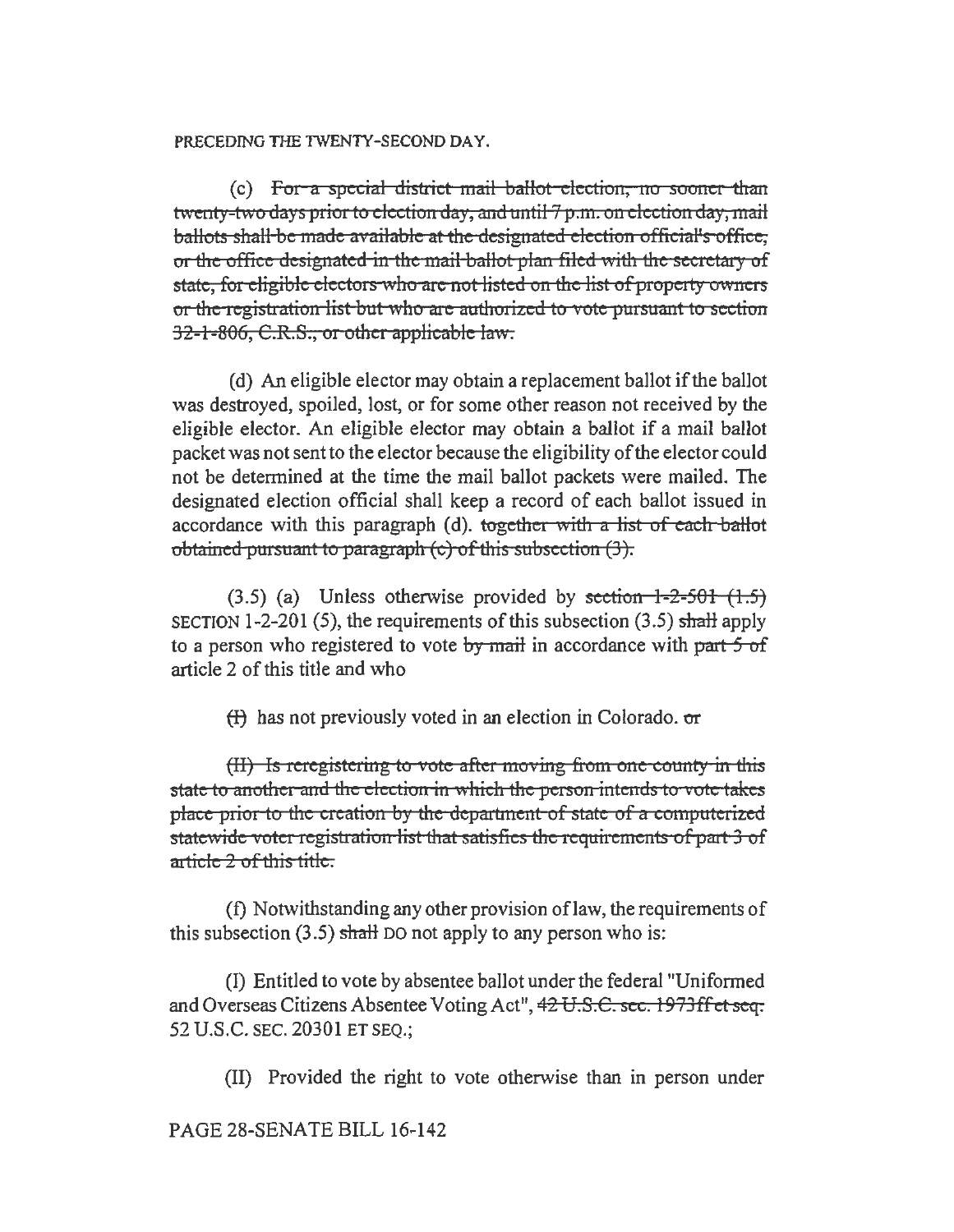#### PRECEDING THE TWENTY-SECOND DAY.

 $(c)$  For a special district mail ballot election, no sooner than twenty-two days prior to election day, and until  $7p.m.$  on election day, mail ballots shall be made available at the designated election official's office, or the office designated in the mail ballot plan filed with the secretary of state, for eligible electors who are not listed on the list of property owners or the registration list but who are authorized to vote pursuant to section 32-1-806, C.R.S., or other applicable law.

(d) An eligible elector may obtain a replacement ballot if the ballot was destroyed, spoiled, lost, or for some other reason not received by the eligible elector. An eligible elector may obtain a ballot if a mail ballot packet was not sent to the elector because the eligibility of the elector could not be determined at the time the mail ballot packets were mailed. The designated election official shall keep a record of each ballot issued in accordance with this paragraph (d). together with a list of each ballot obtained pursuant to paragraph  $(c)$  of this subsection  $(3)$ .

 $(3.5)$  (a) Unless otherwise provided by section 1-2-501  $(1.5)$ SECTION 1-2-201 (5), the requirements of this subsection  $(3.5)$  shall apply to a person who registered to vote *by* mail in accordance with patt 5 of article 2 of this title and who

 $(f)$  has not previously voted in an election in Colorado.  $\sigma r$ 

 $(H)$  Is reregistering to vote after moving from one county in this state to another and the election in which the person intends to vote takes place prior to the creation by the department of state of a computerized statewide voter registration list that satisfies the requirements of part 3 of article 2 of this title.

(f) Notwithstanding any other provision oflaw, the requirements of this subsection  $(3.5)$  shall DO not apply to any person who is:

(I) Entitled to vote by absentee ballot under the federal "Uniformed and Overseas Citizens Absentee Voting Act", 42 U.S.C. sec. 1973ffet seq. 52 U.S.C. SEC. 20301 ET SEQ.;

(II) Provided the right to vote otherwise than in person under

PAGE 28-SENATE BILL 16-142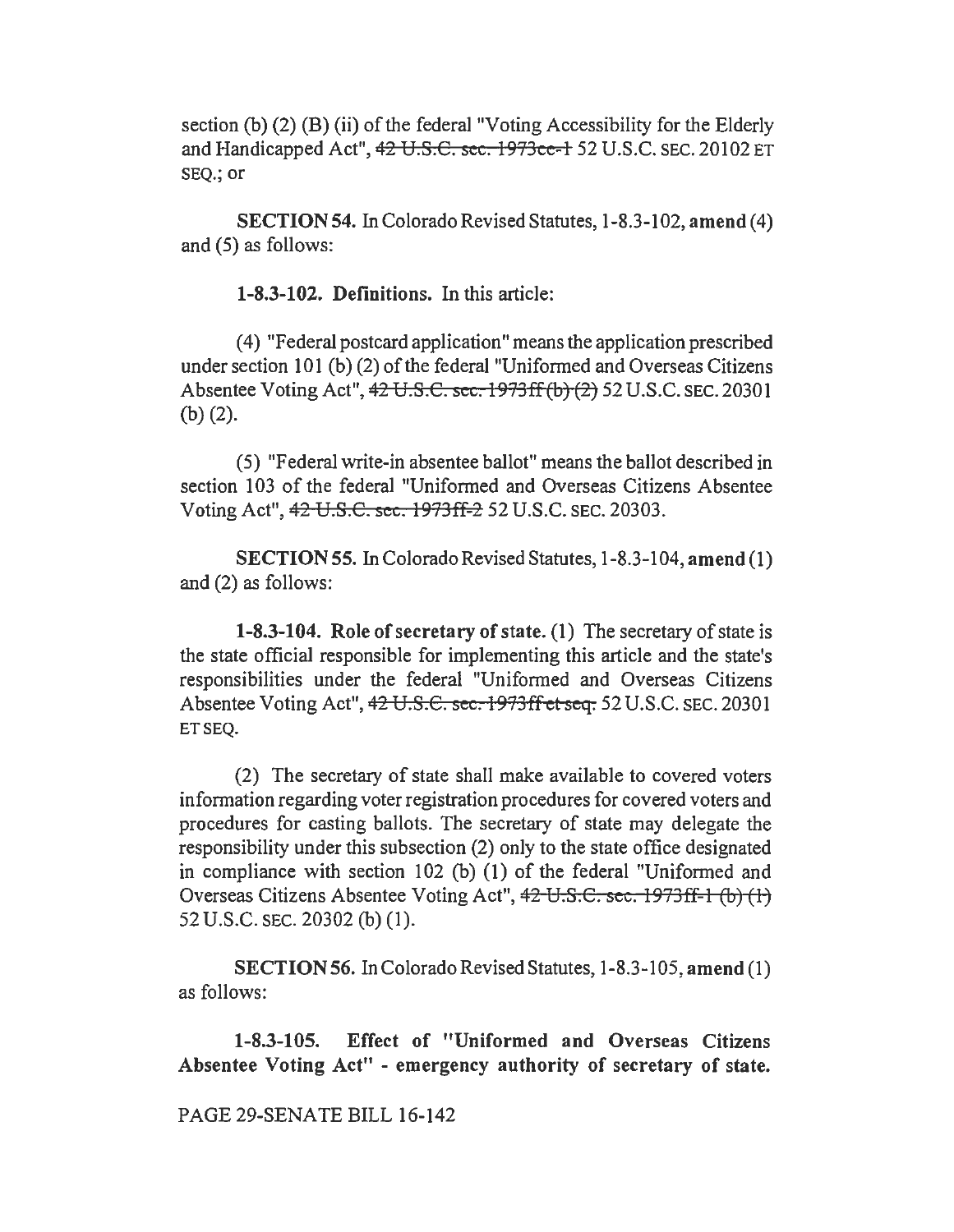section (b) (2) (B) (ii) of the federal "Voting Accessibility for the Elderly and Handicapped Act", 42 U.S.C. sec. 1973ce-1 52 U.S.C. SEC. 20102 ET SEQ.; or

SECTION 54. In Colorado Revised Statutes, 1-8.3-102, amend ( 4) and (5) as follows:

1-8.3-102. Definitions. In this article:

( 4) "Federal postcard application" means the application prescribed under section 101 (b) (2) of the federal "Uniformed and Overseas Citizens Absentee Voting Act", 42 U.S.C. sec. 1973ff(b) (2) 52 U.S.C. SEC. 20301 (b) (2).

(5) "Federal write-in absentee ballot" means the ballot described in section 103 of the federal "Uniformed and Overseas Citizens Absentee Voting Act", 42 U.S.C. sec. 1973ff-2 52 U.S.C. SEC. 20303.

SECTION 55. In Colorado Revised Statutes, 1-8.3-104, amend ( 1) and (2) as follows:

1-8.3-104. Role of secretary of state. (1) The secretary of state is the state official responsible for implementing this article and the state's responsibilities under the federal "Uniformed and Overseas Citizens Absentee Voting Act", 42 U.S.C. sec. 1973ff et seq. 52 U.S.C. SEC. 20301 ET SEQ.

(2) The secretary of state shall make available to covered voters information regarding voter registration procedures for covered voters and procedures for casting ballots. The secretary of state may delegate the responsibility under this subsection (2) only to the state office designated in compliance with section 102 (b) (1) of the federal "Uniformed and Overseas Citizens Absentee Voting Act", 42 U.S.C. sec. 1973ff-l (b) (I) 52 U.S.C. SEC. 20302 (b) (1).

SECTION 56. In Colorado Revised Statutes, 1-8.3-105, amend (1) as follows:

1-8.3-105. Effect of "Uniformed and Overseas Citizens Absentee Voting Act" - emergency authority of secretary of state.

PAGE 29-SENATE BILL 16-142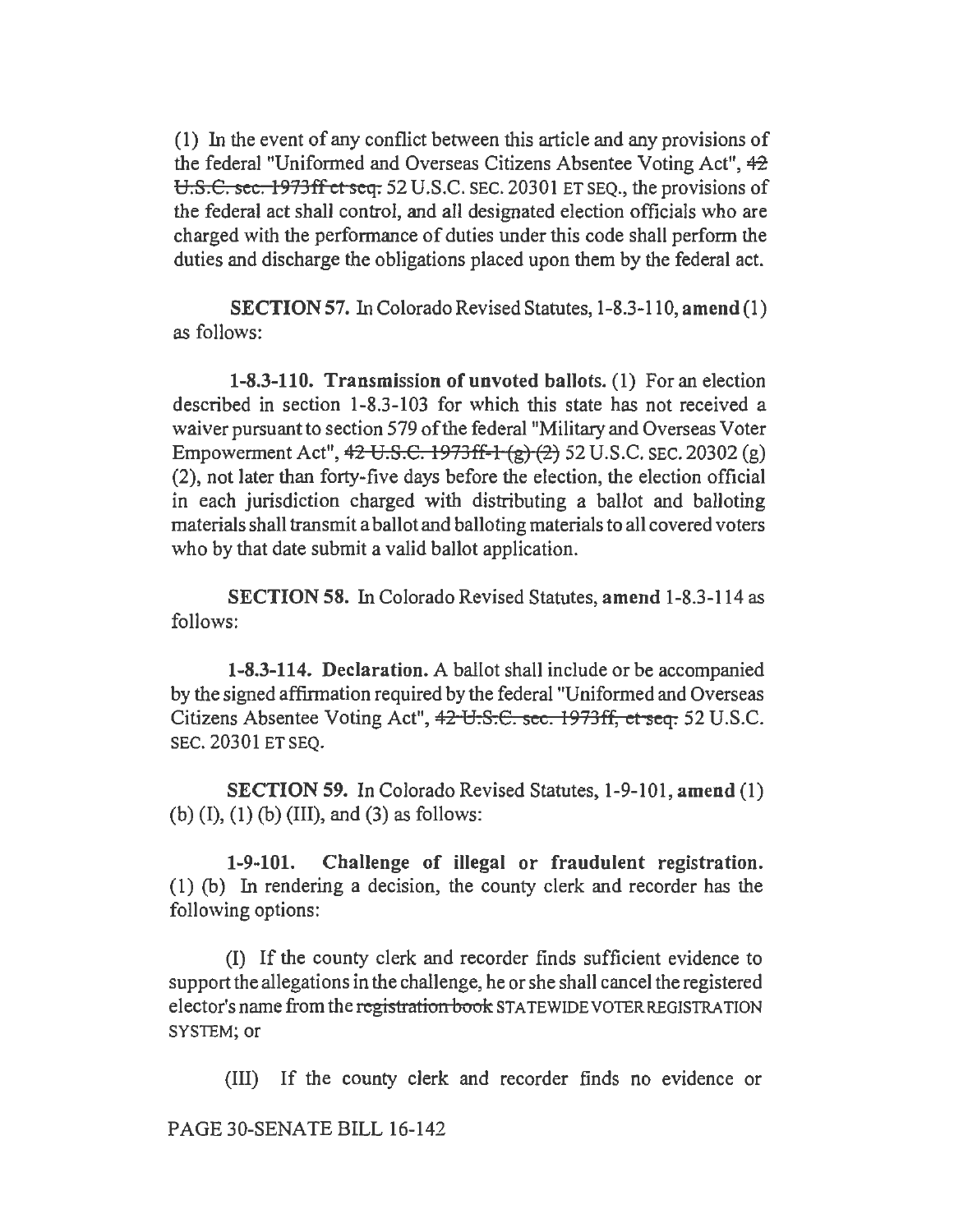(1) In the event of any conflict between this article and any provisions of the federal "Uniformed and Overseas Citizens Absentee Voting Act",  $42$ U.S.C. sec. 1973ff et seq. 52 U.S.C. SEC. 20301 ET SEO., the provisions of the federal act shall control, and all designated election officials who are charged with the performance of duties under this code shall perform the duties and discharge the obligations placed upon them by the federal act.

SECTION 57. In Colorado Revised Statutes, 1-8.3-110, amend (1) as follows:

1-8.3-110. Transmission of unvoted ballots. (1) For an election described in section 1-8.3-103 for which this state has not received a waiver pursuant to section 579 of the federal "Military and Overseas Voter Empowerment Act", 4<del>2 U.S.C. 1973ff-1 (g) (2)</del> 52 U.S.C. SEC. 20302 (g) (2), not later than forty-five days before the election, the election official in each jurisdiction charged with distributing a ballot and balloting materials shall transmit a ballot and balloting materials to all covered voters who by that date submit a valid ballot application.

SECTION 58. In Colorado Revised Statutes, amend 1-8.3-114 as follows:

1-8.3-114. Declaration. A ballot shall include or be accompanied by the signed affirmation required by the federal "Uniformed and Overseas Citizens Absentee Voting Act", 42 U.S.€. sec. 1973ff, et seq. 52 U.S.C. SEC. 20301 ET SEQ.

SECTION 59. In Colorado Revised Statutes, 1-9-101, amend (1) (b)  $(I)$ ,  $(I)$   $(b)$   $(III)$ , and  $(3)$  as follows:

1-9-101. Challenge of illegal or fraudulent registration. (1) (b) In rendering a decision, the county clerk and recorder has the following options:

(I) If the county clerk and recorder finds sufficient evidence to support the allegations in the challenge, he or she shall cancel the registered elector's name from the registration book STA TEWIDE VOTER REGISTRATION SYSTEM; or

(III) If the county clerk and recorder finds no evidence or

PAGE 30-SENATE BILL 16-142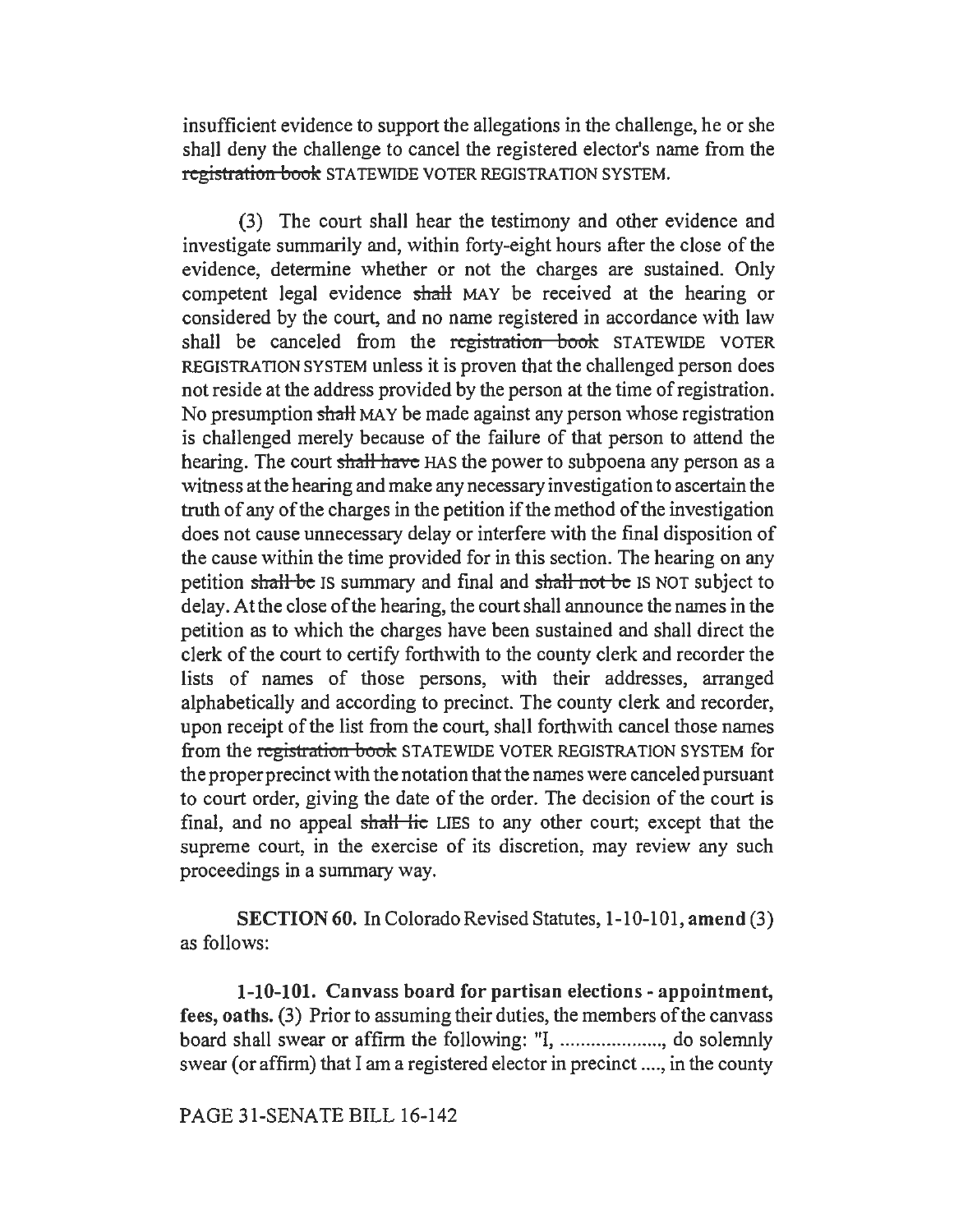insufficient evidence to support the allegations in the challenge, he or she shall deny the challenge to cancel the registered elector's name from the registration book STATEWIDE VOTER REGISTRATION SYSTEM.

(3) The court shall hear the testimony and other evidence and investigate summarily and, within forty-eight hours after the close of the evidence, determine whether or not the charges are sustained. Only competent legal evidence shall MAY be received at the hearing or considered by the court, and no name registered in accordance with law shall be canceled from the registration book STATEWIDE VOTER REGISTRATION SYSTEM unless it is proven that the challenged person does not reside at the address provided by the person at the time of registration. No presumption shall MAY be made against any person whose registration is challenged merely because of the failure of that person to attend the hearing. The court shall have HAS the power to subpoena any person as a witness at the hearing and make any necessary investigation to ascertain the truth of any of the charges in the petition if the method of the investigation does not cause unnecessary delay or interfere with the final disposition of the cause within the time provided for in this section. The hearing on any petition shall be IS summary and final and shall not be IS NOT subject to delay.Atthe close of the hearing, the court shall announce the names in the petition as to which the charges have been sustained and shall direct the clerk of the court to certify forthwith to the county clerk and recorder the lists of names of those persons, with their addresses, arranged alphabetically and according to precinct. The county clerk and recorder, upon receipt of the list from the court, shall forthwith cancel those names from the registration book STATEWIDE VOTER REGISTRATION SYSTEM for the proper precinct with the notation that the names were canceled pursuant to court order, giving the date of the order. The decision of the court is final, and no appeal shall lie LIES to any other court; except that the supreme court, in the exercise of its discretion, may review any such proceedings in a summary way.

SECTION 60. In Colorado Revised Statutes, 1-10-101, amend (3) as follows:

1-10-101. Canvass board for partisan elections - appointment, fees, oaths. (3) Prior to assuming their duties, the members of the canvass board shall swear or affirm the following: ul, .................... , do solemnly swear (or affirm) that I am a registered elector in precinct .... , in the county

### PAGE 31-SENATE BILL 16-142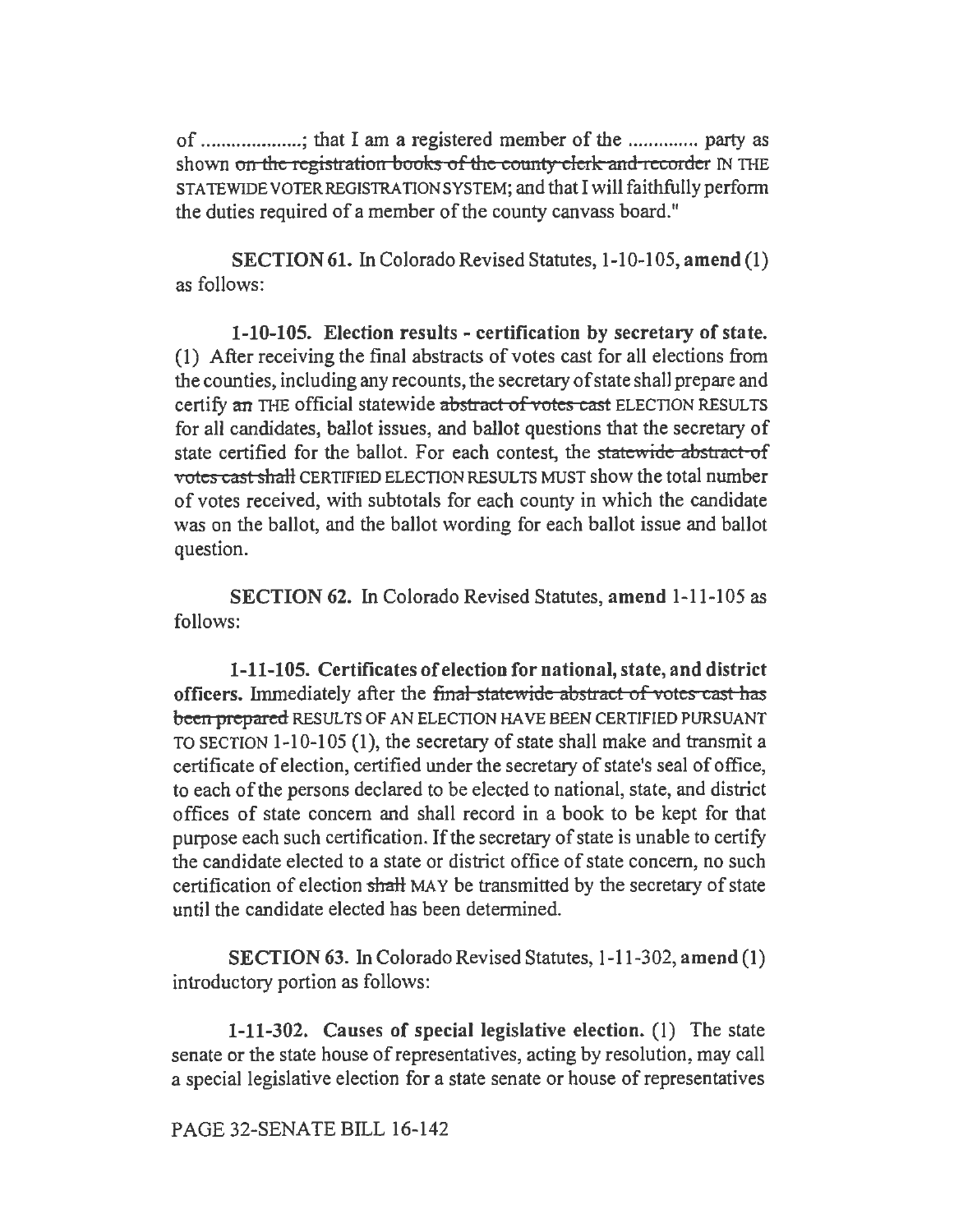of .................... ; that I am a registered member of the .............. party as shown on the registration books of the county clerk and recorder IN THE STATEWIDE VOTER REGISTRATION SYSTEM; and that I will faithfully perform the duties required of a member of the county canvass board."

SECTION 61. In Colorado Revised Statutes, 1-10-105, amend (1) as follows:

1-10-105. Election results - certification by secretary of state. (I) After receiving the final abstracts of votes cast for all elections from the counties, including any recounts, the secretary of state shall prepare and certify an TIIE official statewide abstract of *votes* cast ELECTION RESULTS for all candidates, ballot issues, and ballot questions that the secretary of state certified for the ballot. For each contest, the statewide abstract of votes cast shall CERTIFIED ELECTION RESULTS MUST show the total number of votes received, with subtotals for each county in which the candidate was on the ballot, and the ballot wording for each ballot issue and ballot question.

SECTION 62. In Colorado Revised Statutes, amend 1-11-105 as follows:

1-11-105. Certificates of election for national, state, and district officers. Immediately after the final statewide abstract of votes cast has been prepared RESULTS OF AN ELECTION HAVE BEEN CERTIFIED PURSUANT TO SECTION 1-10-105 (1), the secretary of state shall make and transmit a certificate of election, certified under the secretary of state's seal of office, to each of the persons declared to be elected to national, state, and district offices of state concern and shall record in a book to be kept for that purpose each such certification. If the secretary of state is unable to certify the candidate elected to a state or district office of state concern, no such certification of election shall MAY be transmitted by the secretary of state until the candidate elected has been determined.

SECTION 63. In Colorado Revised Statutes, 1-11-302, amend (1) introductory portion as follows:

1-11-302. Causes of special legislative election. (I) The state senate or the state house of representatives, acting by resolution, may call a special legislative election for a state senate or house of representatives

PAGE 32-SENATE BILL 16-142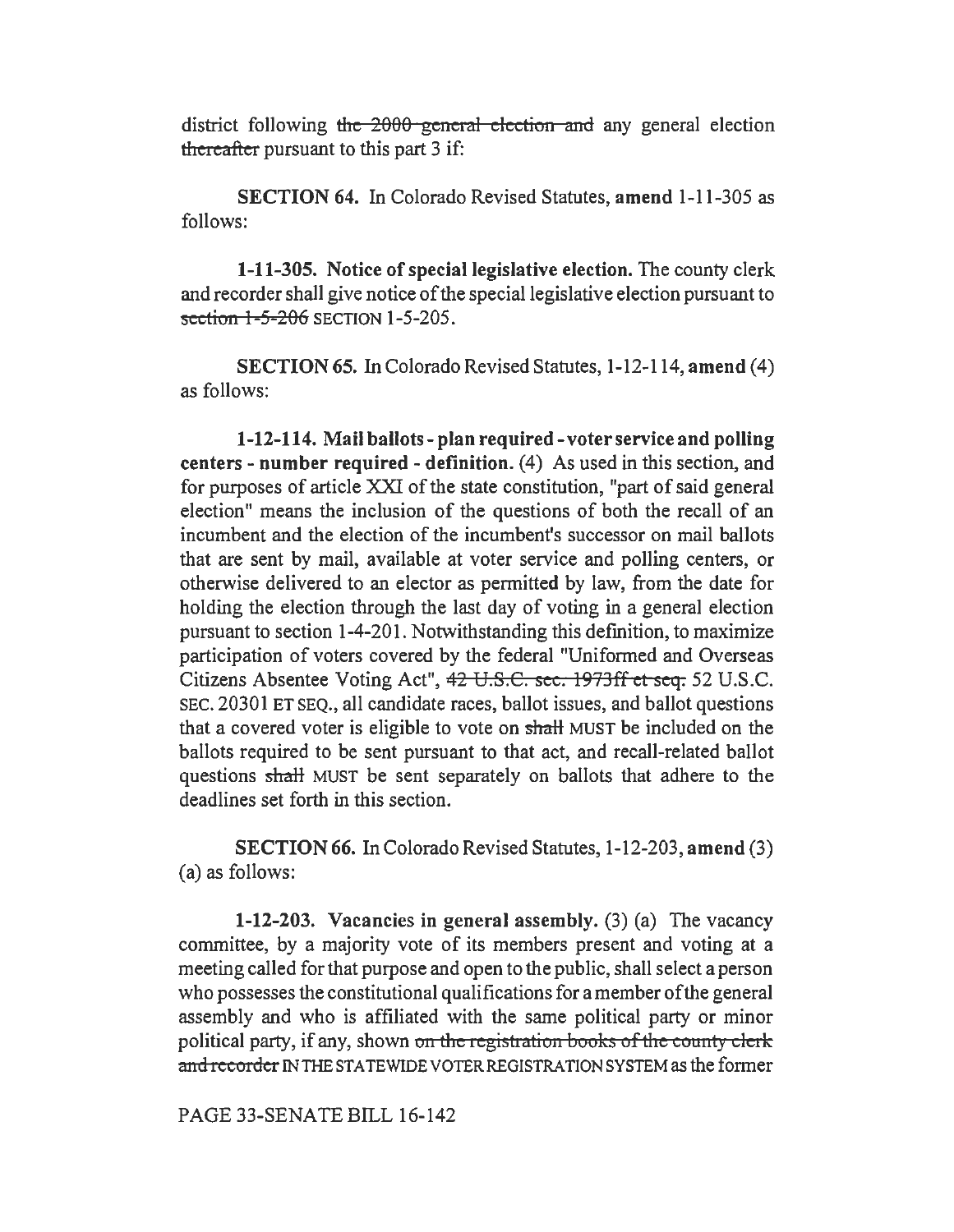district following the 2000 general election and any general election thereafter pursuant to this part 3 if:

SECTION 64. In Colorado Revised Statutes, amend 1-11-305 as follows:

1-11-305. Notice of special legislative election. The county clerk and recorder shall give notice of the special legislative election pursuant to  $section 1-5-206$  SECTION  $1-5-205$ .

SECTION 65. In Colorado Revised Statutes, 1-12-114, amend (4) as follows:

1-12-114. Mail ballots-plan required-voter service and polling centers - number required - definition. (4) As used in this section, and for purposes of article XXI of the state constitution, "part of said general election" means the inclusion of the questions of both the recall of an incumbent and the election of the incumbent's successor on mail ballots that are sent by mail, available at voter service and polling centers, or otherwise delivered to an elector as permitted by law, from the date for holding the election through the last day of voting in a general election pursuant to section 1-4-201. Notwithstanding this definition, to maximize participation of voters covered by the federal "Uniformed and Overseas Citizens Absentee Voting Act", 42 U.S.C. sec. 1973ff et seq. 52 U.S.C. SEC. 20301 ET SEQ., all candidate races, ballot issues, and ballot questions that a covered voter is eligible to vote on shalt MUST be included on the ballots required to be sent pursuant to that act, and recall-related ballot questions shalt MUST be sent separately on ballots that adhere to the deadlines set forth in this section.

SECTION 66. In Colorado Revised Statutes, 1-12-203, amend (3) (a) as follows:

1-12-203. Vacancies in general assembly. (3) (a) The vacancy committee, by a majority vote of its members present and voting at a meeting called for that purpose and open to the public, shall select a person who possesses the constitutional qualifications for a member of the general assembly and who is affiliated with the same political party or minor political party, if any, shown on the registration books of the county clerk and recorder IN THE STATEWIDE VOTER REGISTRATION SYSTEM as the former

PAGE 33-SENATE BILL 16-142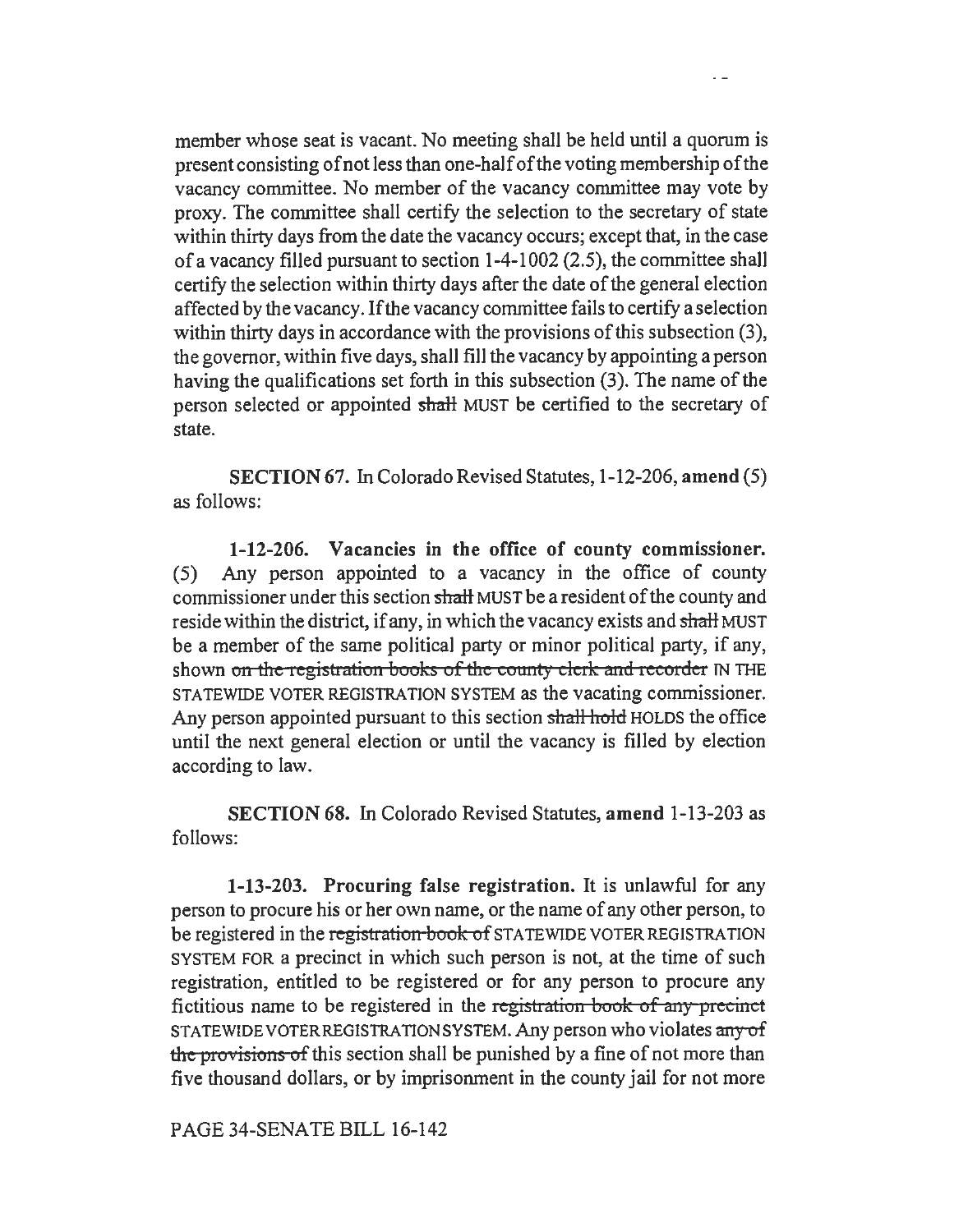member whose seat is vacant. No meeting shall be held until a quorum is present consisting of not less than one-half of the voting membership of the vacancy committee. No member of the vacancy committee may vote by proxy. The committee shall certify the selection to the secretary of state within thirty days from the date the vacancy occurs; except that, in the case of a vacancy filled pursuant to section 1-4-1002 (2.5), the committee shall certify the selection within thirty days after the date of the general election affected by the vacancy. If the vacancy committee fails to certify a selection within thirty days in accordance with the provisions of this subsection (3), the governor, within five days, shall fill the vacancy by appointing a person having the qualifications set forth in this subsection (3). The name of the person selected or appointed shalt MUST be certified to the secretary of state.

SECTION 67. In Colorado Revised Statutes, 1-12-206, amend (5) as follows:

1-12-206. Vacancies in the office of county commissioner. (5) Any person appointed to a vacancy in the office of county commissioner under this section shall MUST be a resident of the county and reside within the district, if any, in which the vacancy exists and shall MUST be a member of the same political party or minor political party, if any, shown on the registration books of the county clerk and recorder IN THE STATEWIDE VOTER REGISTRATION SYSTEM as the vacating commissioner. Any person appointed pursuant to this section shall hold HOLDS the office until the next general election or until the vacancy is filled by election according to law.

SECTION 68. In Colorado Revised Statutes, amend 1-13-203 as follows:

1-13-203. Procuring false registration. It is unlawful for any person to procure his or her own name, or the name of any other person, to be registered in the registration book of STATEWIDE VOTER REGISTRATION SYSTEM FOR a precinct in which such person is not, at the time of such registration, entitled to be registered or for any person to procure any fictitious name to be registered in the iegistration book of *any* precinct STATEWIDE VOTER REGISTRATION SYSTEM. Any person who violates any of the provisions of this section shall be punished by a fine of not more than five thousand dollars, or by imprisonment in the county jail for not more

PAGE 34-SENATE BILL 16-142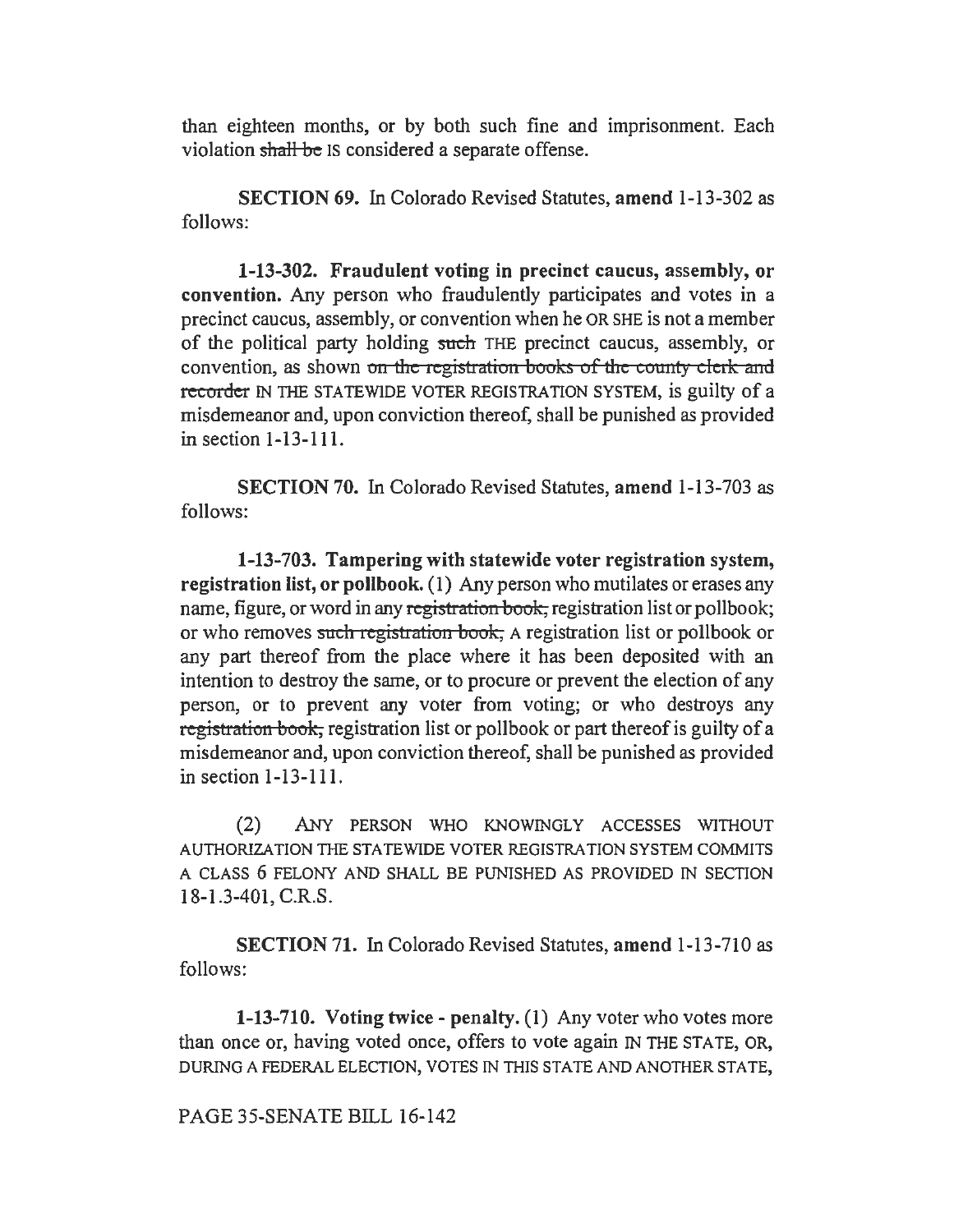than eighteen months, or by both such fine and imprisonment. Each violation shall be IS considered a separate offense.

SECTION 69. In Colorado Revised Statutes, amend 1-13-302 as follows:

1-13-302. Fraudulent voting in precinct caucus, assembly, or convention. Any person who fraudulently participates and votes in a precinct caucus, assembly, or convention when he OR SHE is not a member of the political party holding such THE precinct caucus, assembly, or convention, as shown on the registration books of the county clerk and recorder IN THE STATEWIDE VOTER REGISTRATION SYSTEM, is guilty of a misdemeanor and, upon conviction thereof, shall be punished as provided in section 1-13-111.

SECTION 70. In Colorado Revised Statutes, amend 1-13-703 as follows:

1-13-703. Tampering with statewide voter registration system, registration list, or pollbook. (1) Any person who mutilates or erases any name, figure, or word in any registration book, registration list or pollbook; or who removes sach registration book, A registration list or pollbook or any part thereof from the place where it has been deposited with an intention to destroy the same, or to procure or prevent the election of any person, or to prevent any voter from voting; or who destroys any registration book, registration list or pollbook or part thereof is guilty of a misdemeanor and, upon conviction thereof, shall be punished as provided in section 1-13-111.

(2) ANY PERSON WHO KNOWINGLY ACCESSES WITHOUT AUTHORIZATION THE STATEWIDE VOTER REGISTRATION SYSTEM COMMITS A CLASS 6 FELONY AND SHALL BE PUNISHED AS PROVIDED IN SECTION 18-1.3-401, C.R.S.

SECTION 71. In Colorado Revised Statutes, amend 1-13-710 as follows:

1-13-710. Voting twice - penalty. (1) Any voter who votes more than once or, having voted once, offers to vote again IN THE STATE, OR, DURING A FEDERAL ELECTION, VOTES IN THIS STATE AND ANOTHER STATE,

PAGE 35-SENATE BILL 16-142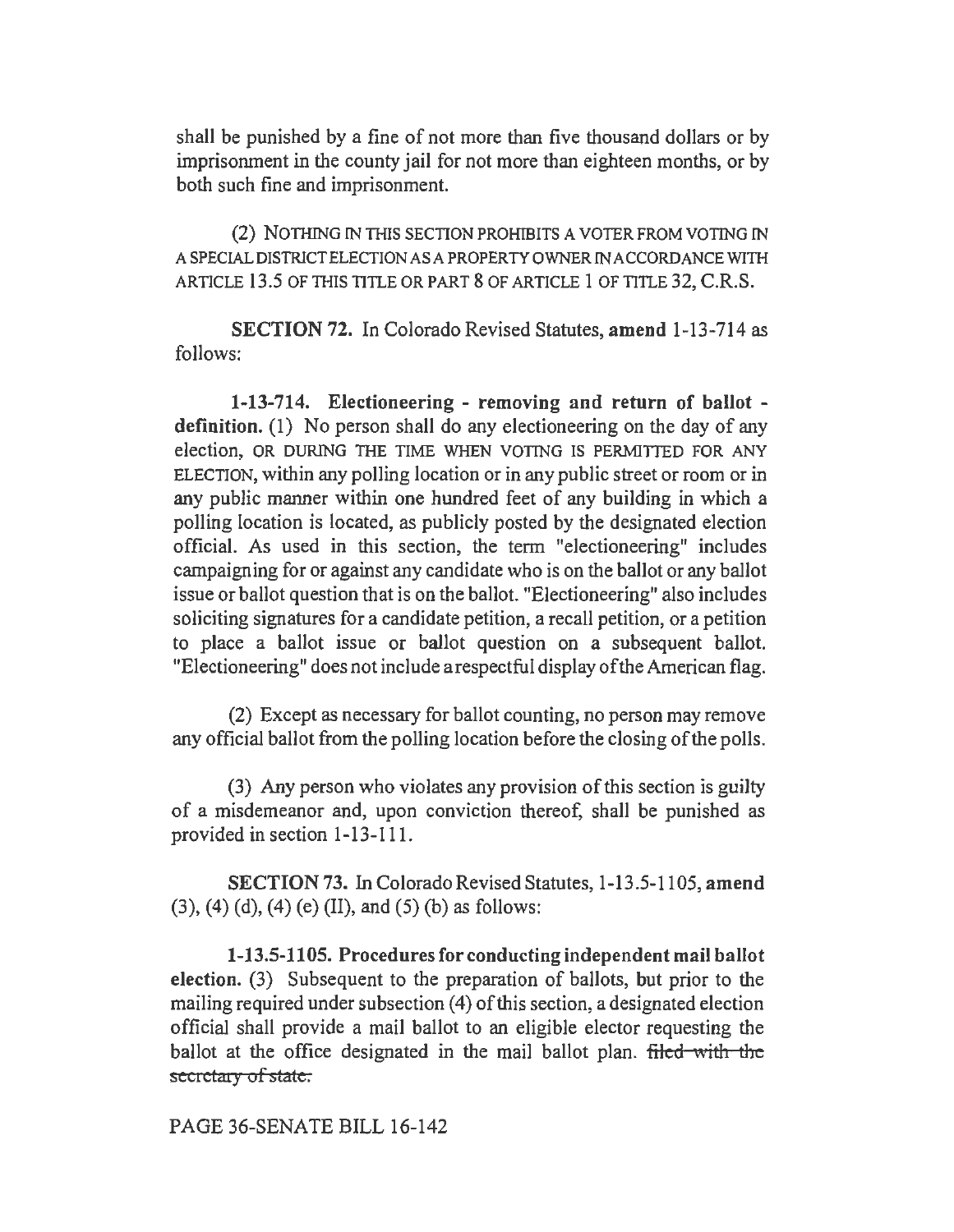shall be punished by a fine of not more than five thousand dollars or by imprisonment in the county jail for not more than eighteen months, or by both such fine and imprisonment.

(2) NOTHING IN THIS SECTION PROHIBITS A VOTER FROM VOTING IN A SPECIAL DISTRICT ELECTION AS A PROPERTY OWNER IN ACCORDANCE WITH ARTICLE 13.5 OF THIS TITLE OR PART 8 OF ARTICLE 1 OF TITLE 32, C.R.S.

SECTION 72. In Colorado Revised Statutes, amend 1-13-714 as follows:

1-13-714. Electioneering - removing and return of ballot definition. (1) No person shall do any electioneering on the day of any election, OR DURING THE TIME WHEN VOTING IS PERMITTED FOR ANY ELECTION, within any polling location or in any public street or room or in any public manner within one hundred feet of any building in which a polling location is located, as publicly posted by the designated election official. As used in this section, the term "electioneering" includes campaigning for or against any candidate who is on the ballot or any ballot issue or ballot question that is on the ballot. "Electioneering" also includes soliciting signatures for a candidate petition, a recall petition, or a petition to place a ballot issue or ballot question on a subsequent ballot. "Electioneering" does not include a respectful display of the American flag.

(2) Except as necessary for ballot counting, no person may remove any official ballot from the polling location before the closing of the polls.

(3) Any person who violates any provision of this section is guilty of a misdemeanor and, upon conviction thereof, shall be punished as provided in section 1-13-111.

SECTION 73. In Colorado Revised Statutes, 1-13 .5-1105, amend (3), (4) (d), (4) (e) (II), and (5) (b) as follows:

1-13.5-1105. Procedures for conducting independent mail ballot election. (3) Subsequent to the preparation of ballots, but prior to the mailing required under subsection (4) of this section, a designated election official shall provide a mail ballot to an eligible elector requesting the ballot at the office designated in the mail ballot plan. filed with the secretary of state.

PAGE 36-SENATE BILL 16-142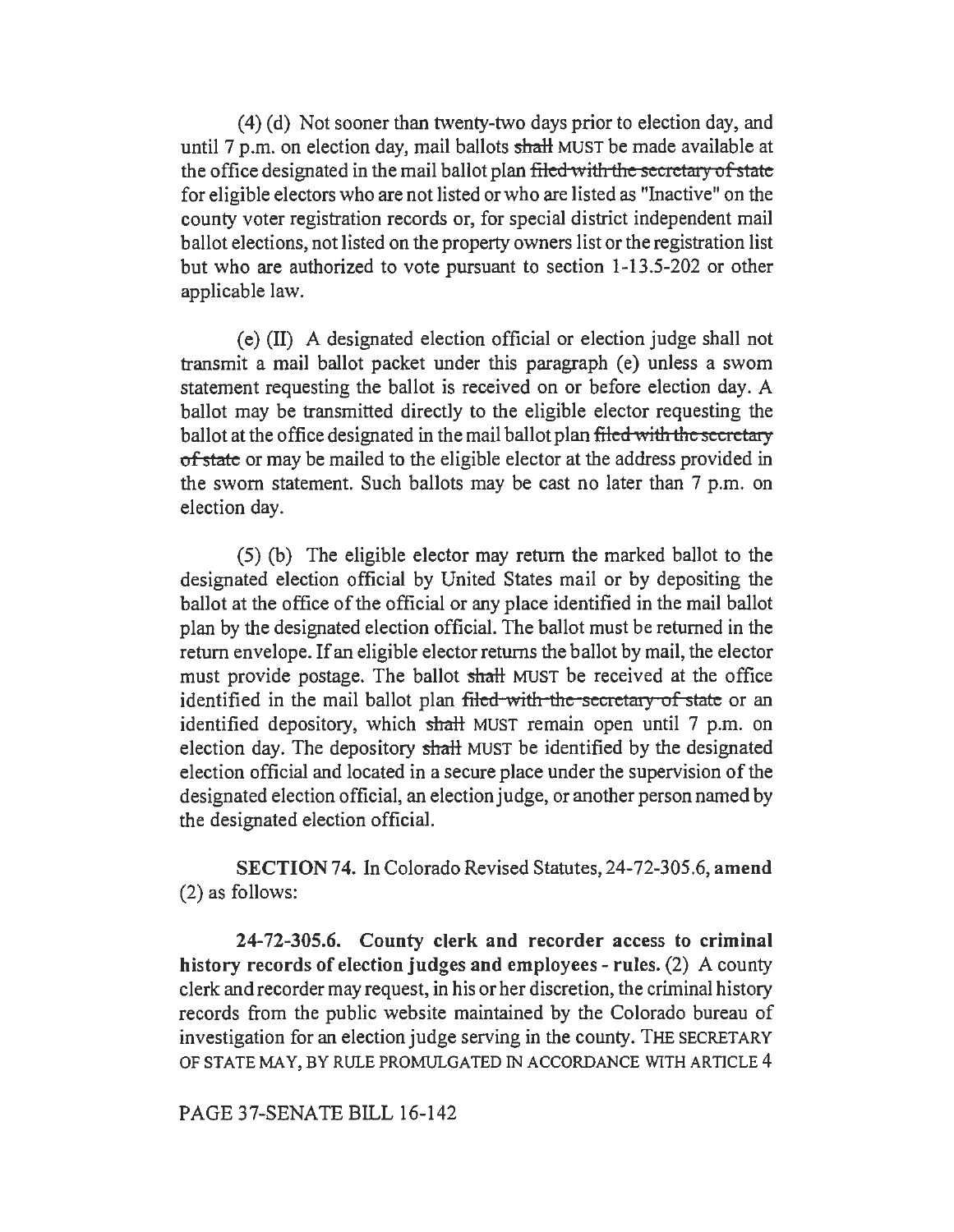(4) (d) Not sooner than twenty-two days prior to election day, and until 7 p.m. on election day, mail ballots shall MUST be made available at the office designated in the mail ballot plan filed with the secretary of state for eligible electors who are not listed or who are listed as "Inactive" on the county voter registration records or, for special district independent mail ballot elections, not listed on the property owners list or the registration list but who are authorized to vote pursuant to section 1-13.5-202 or other applicable law.

(e) (II) A designated election official or election judge shall not transmit a mail ballot packet under this paragraph (e) unless a swom statement requesting the ballot is received on or before election day. A ballot may be transmitted directly to the eligible elector requesting the ballot at the office designated in the mail ballot plan filed with the secretary of state or may be mailed to the eligible elector at the address provided in the sworn statement. Such ballots may be cast no later than 7 p.m. on election day.

( 5) (b) The eligible elector may return the marked ballot to the designated election official by United States mail or by depositing the ballot at the office of the official or any place identified in the mail ballot plan by the designated election official. The ballot must be returned in the return envelope. If an eligible elector returns the ballot by mail, the elector must provide postage. The ballot shall MUST be received at the office identified in the mail ballot plan filed with the secretary of state or an identified depository, which shall MUST remain open until 7 p.m. on election day. The depository shall MUST be identified by the designated election official and located in a secure place under the supervision of the designated election official, an election judge, or another person named by the designated election official.

SECTION 74. In Colorado Revised Statutes, 24-72-305.6, amend (2) as follows:

24-72-305.6. County clerk and recorder access to criminal history records of election judges and employees - rules. (2) A county clerk and recorder may request, in his or her discretion, the criminal history records from the public website maintained by the Colorado bureau of investigation for an election judge serving in the county. THE SECRETARY OF STATE MAY, BY RULE PROMULGATED IN ACCORDANCE WITH ARTICLE 4

PAGE 37-SENATE BILL 16-142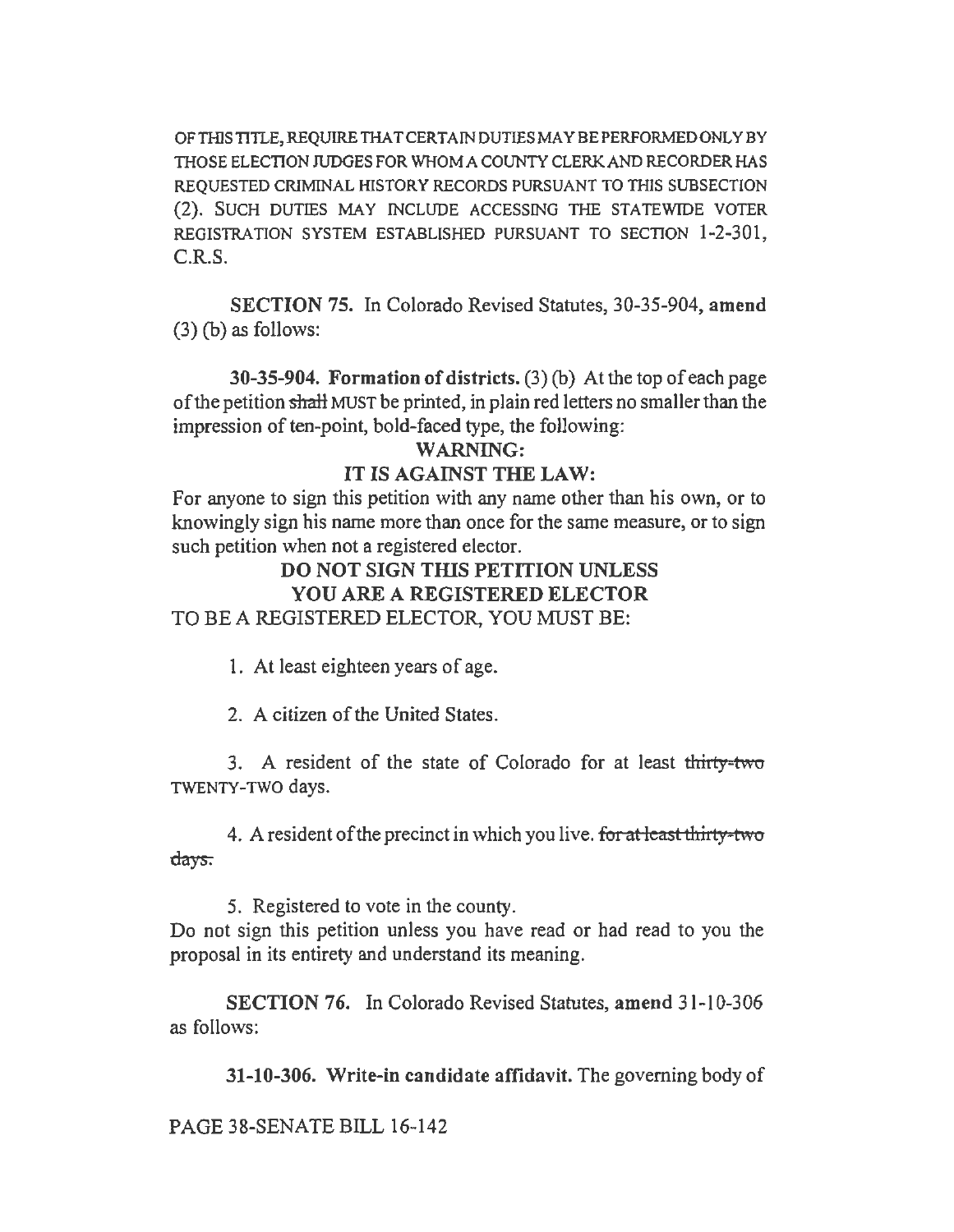OF THIS TITLE, REQUIRE THAT CERTAIN DUTIES MAY BE PERFORMED ONLY BY THOSE ELECTION JUDGES FOR WHOM A COUNTY CLERK AND RECORDER HAS REQUESTED CRIMINAL HISTORY RECORDS PURSUANT TO THIS SUBSECTION (2). SUCH DUTIES MAY INCLUDE ACCESSING THE STATEWIDE VOTER REGISTRATION SYSTEM ESTABLISHED PURSUANT TO SECTION 1-2-301, C.R.S.

SECTION 75. In Colorado Revised Statutes, 30-35-904, amend (3) (b) as follows:

30-35-904. Formation of districts. (3) (b) At the top of each page of the petition shall MUST be printed, in plain red letters no smaller than the impression of ten-point, bold-faced type, the following:

### WARNING:

#### IT IS AGAINST THE LAW:

For anyone to sign this petition with any name other than his own, or to knowingly sign his name more than once for the same measure, or to sign such petition when not a registered elector.

# DO NOT SIGN THIS PETITION UNLESS YOU ARE A REGISTERED ELECTOR TO BE A REGISTERED ELECTOR, YOU MUST BE:

1. At least eighteen years of age.

2. A citizen of the United States.

3. A resident of the state of Colorado for at least thirty-two TWENTY-TWO days.

4. A resident of the precinct in which you live. for at least thirty-two days.

*5.* Registered to vote in the county.

Do not sign this petition unless you have read or had read to you the proposal in its entirety and understand its meaning.

SECTION 76. In Colorado Revised Statutes, amend 31-10-306 as follows:

31-10-306. Write-in candidate affidavit. The governing body of

PAGE 38-SENATE BILL 16-142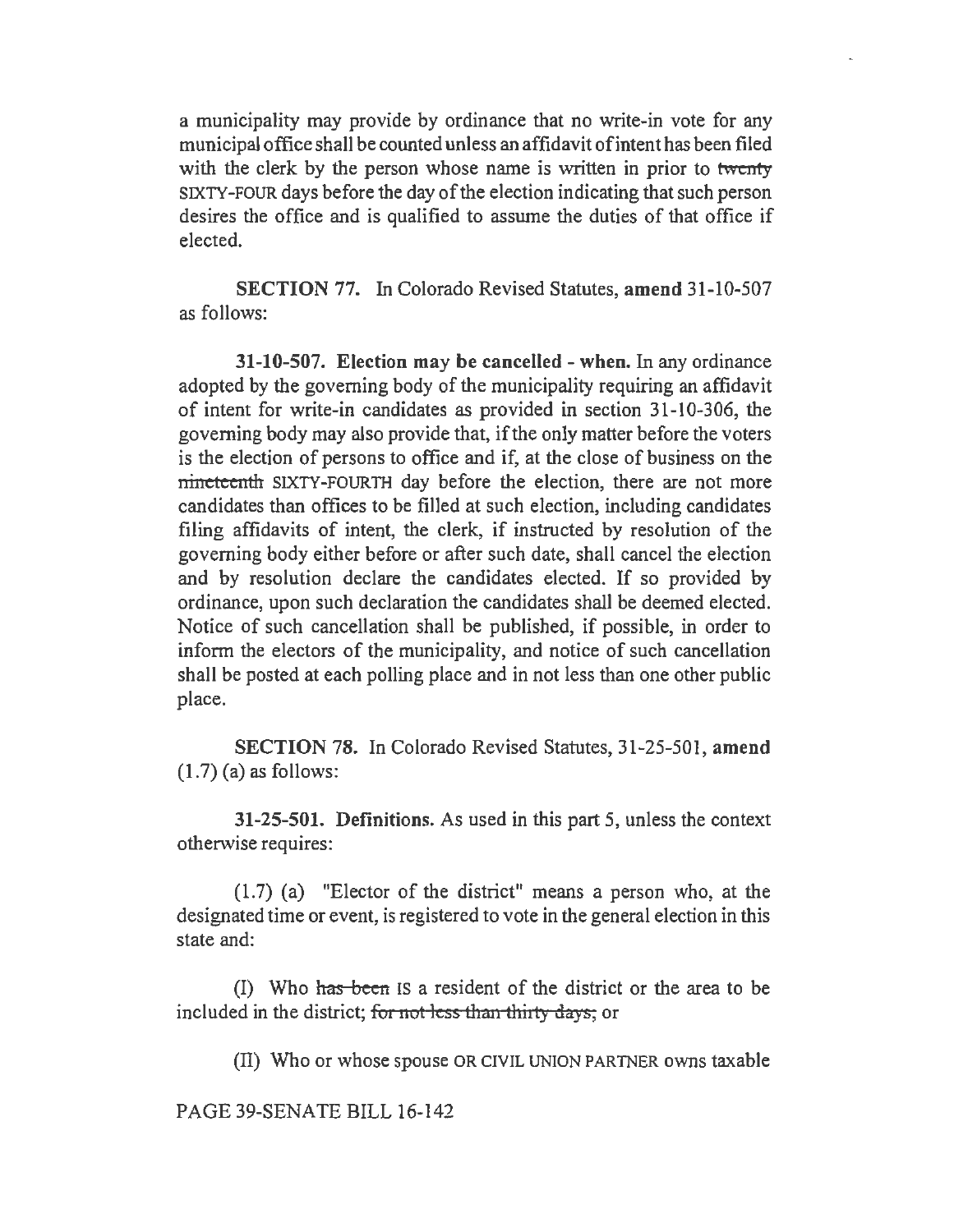a municipality may provide by ordinance that no write-in vote for any municipal office shall be counted unless an affidavit ofintent has been filed with the clerk by the person whose name is written in prior to twenty SIXTY-FOUR days before the day of the election indicating that such person desires the office and is qualified to assume the duties of that office if elected.

SECTION 77. In Colorado Revised Statutes, amend 31-10-507 as follows:

31-10-507. Election may be cancelled -when. In any ordinance adopted by the governing body of the municipality requiring an affidavit of intent for write-in candidates as provided in section 31-10-306, the governing body may also provide that, ifthe only matter before the voters is the election of persons to office and if, at the close of business on the nineteenth SIXTY-FOURTH day before the election, there are not more candidates than offices to be filled at such election, including candidates filing affidavits of intent, the clerk, if instructed by resolution of the governing body either before or after such date, shall cancel the election and by resolution declare the candidates elected. If so provided by ordinance, upon such declaration the candidates shall be deemed elected. Notice of such cancellation shall be published, if possible, in order to inform the electors of the municipality, and notice of such cancellation shall be posted at each polling place and in not less than one other public place.

SECTION 78. In Colorado Revised Statutes, 31-25-501, amend  $(1.7)$  (a) as follows:

31-25-501. Definitions. As used in this part 5, unless the context otherwise requires:

(1.7) (a) "Elector of the district" means a person who, at the designated time or event, is registered to vote in the general election in this state and:

(I) Who has been IS a resident of the district or the area to be included in the district; for not less than thirty days; or

(II) Who or whose spouse OR CIVIL UNION PARTNER owns taxable

PAGE 39-SENATE BILL 16-142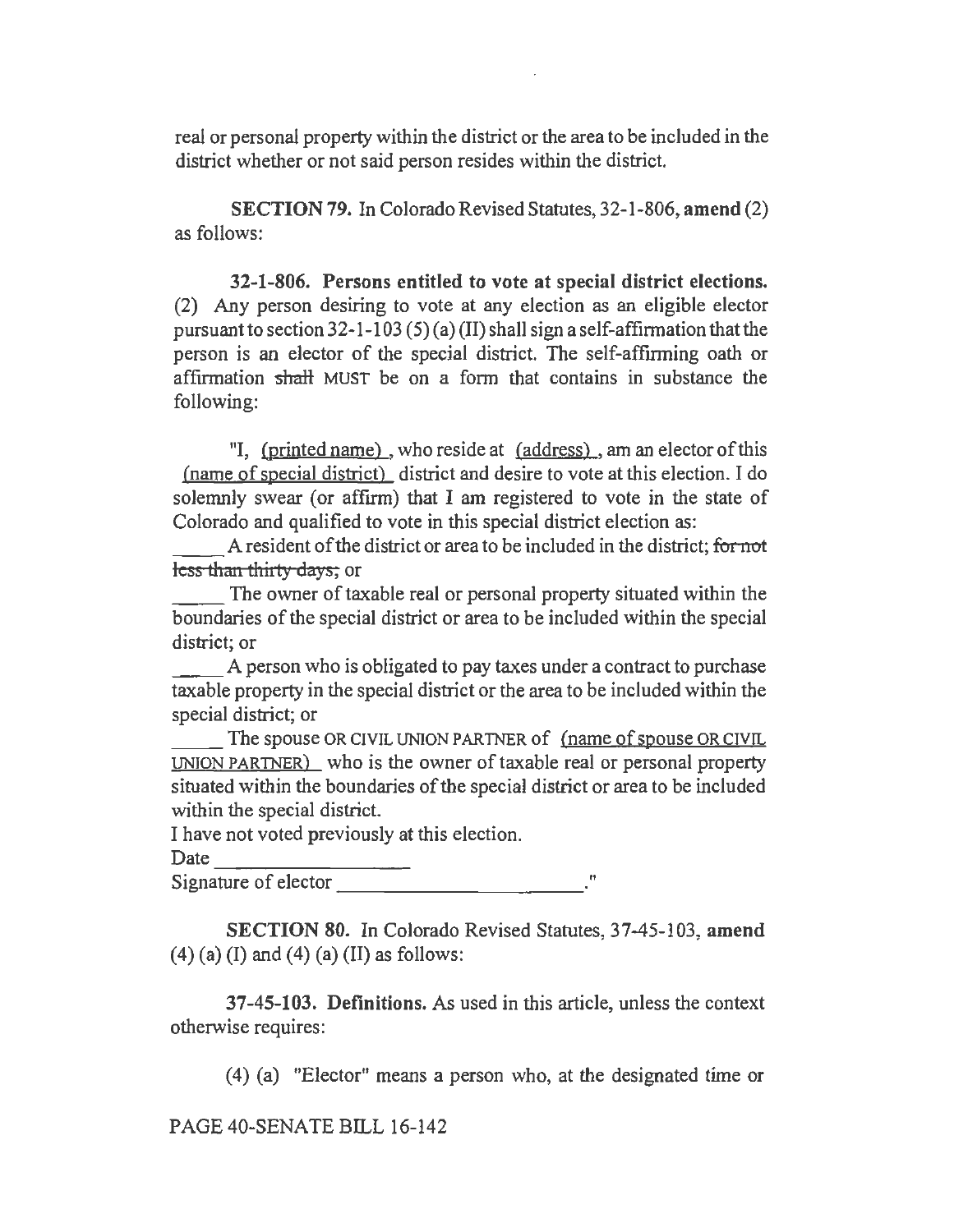real or personal property within the district or the area to be included in the district whether or not said person resides within the district.

SECTION 79. In Colorado Revised Statutes, 32-1-806, amend (2) as follows:

32-1-806. Persons entitled to vote at special district elections. (2) Any person desiring to vote at any election as an eligible elector pursuant to section  $32$ -1-103 (5) (a) (II) shall sign a self-affirmation that the person is an elector of the special district. The self-affinning oath or affirmation shall MUST be on a form that contains in substance the following:

"I, (printed name) , who reside at (address) , am an elector of this (name of special district) district and desire to vote at this election. I do solemnly swear {or affirm) that I am registered to vote in the state of

Colorado and qualified to vote in this special district election as:<br>
A resident of the district or area to be included in the district; for not<br>
less than thirty days; or less than thirty days; or

The owner of taxable real or personal property situated within the boundaries of the special district or area to be included within the special district; or

A person who is obligated to pay taxes under a contract to purchase taxable property in the special district or the area to be included within the special district; or

The spouse OR CIVIL UNION PARTNER of (name of spouse OR CIVIL UNION PARTNER) who is the owner of taxable real or personal property situated within the boundaries of the special district or area to be included within the special district.

I have not voted previously at this election.

Date ------~~- Signature of elector----------- <sup>11</sup>

SECTION 80. In Colorado Revised Statutes, 37-45-103, amend  $(4)$  (a) (I) and (4) (a) (II) as follows:

37-45-103. Definitions. As used in this article, unless the context otherwise requires:

(4) (a) "Elector" means a person who, at the designated time or

PAGE 40-SENATE BILL 16-142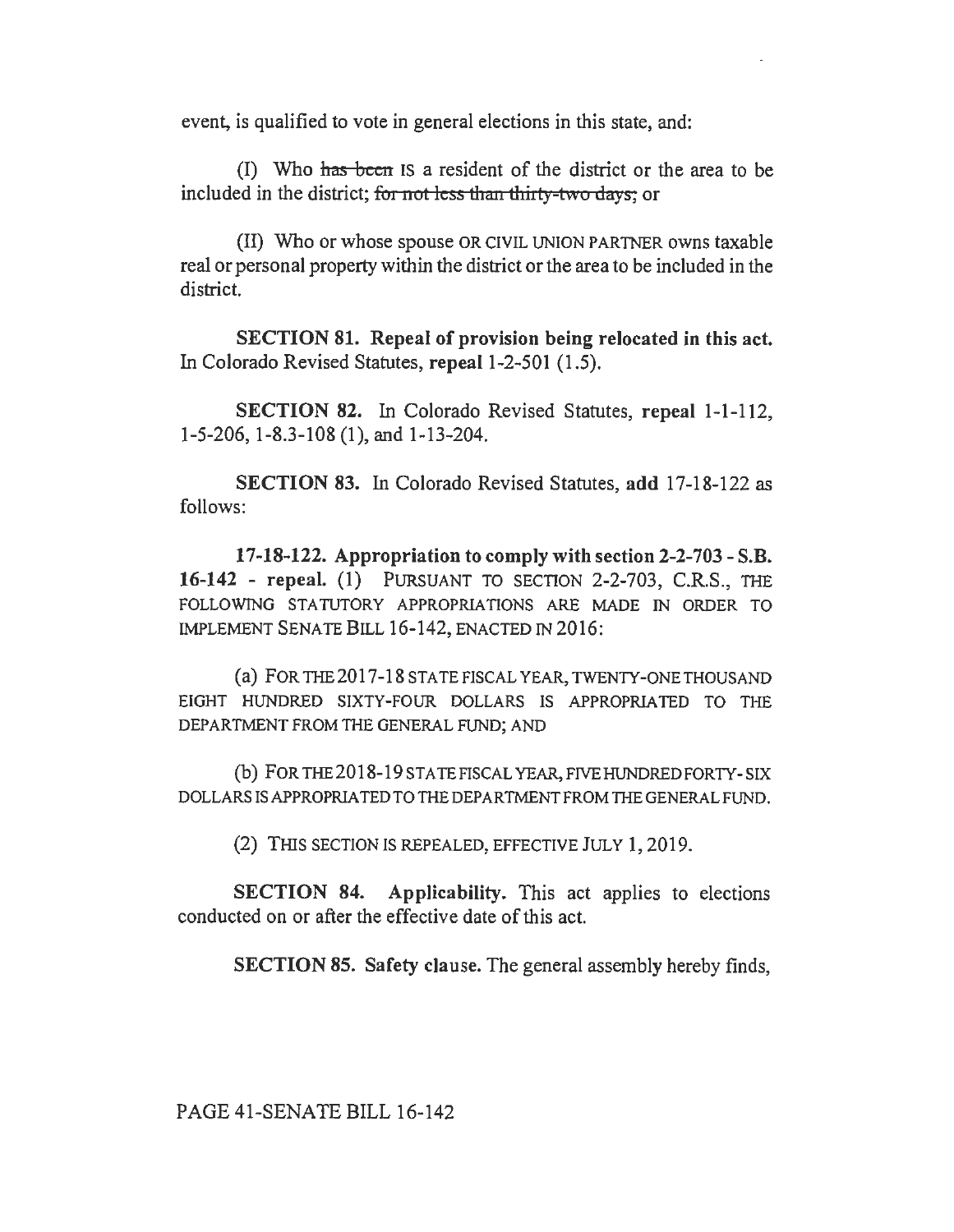event, is qualified to vote in general elections in this state, and:

(I) Who has been IS a resident of the district or the area to be included in the district; for not less than thirty-two days; or

(II) Who or whose spouse OR CIVIL UNION PAR1NER owns taxable real or personal property within the district or the area to be included in the district.

SECTION 81. Repeal of provision being relocated in this act. In Colorado Revised Statutes, repeal 1-2-501 (1.5).

SECTION 82. In Colorado Revised Statutes, repeal 1-1-112, 1-5-206, 1-8.3-108 (1 ), and 1-13-204.

SECTION 83. In Colorado Revised Statutes, add 17-18-122 as follows:

17-18-122. Appropriation to comply with section 2-2-703 - S.B. 16-142 - repeal. (1) PURSUANT TO SECTION 2-2-703, C.R.S., THE FOLLOWING STATUTORY APPROPRIATIONS ARE MADE IN ORDER TO IMPLEMENT SENATE BILL 16-142, ENACTED IN 2016:

(a) FOR THE2017-18 STATE FISCAL YEAR, TWENTY-ONE THOUSAND EIGHT HUNDRED SIXTY-FOUR DOLLARS IS APPROPRIATED TO THE DEPARTMENT FROM THE GENERAL FUND; AND

(b) FOR THE2018-19STATEFISCAL YEAR,FIVEHUNDREDFORTY-SIX DOLLARS IS APPROPRIATED TO THE DEPARTMENT FROM THE GENERAL FUND.

(2) THIS SECTION JS REPEALED, EFFECTIVE JULY 1, 2019.

SECTION 84. Applicability. This act applies to elections conducted on or after the effective date of this act.

SECTION 85. Safety clause. The general assembly hereby finds,